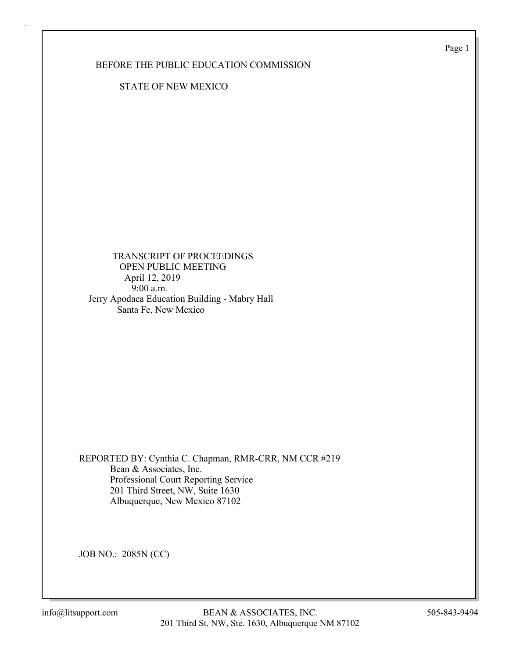Page 1

BEFORE THE PUBLIC EDUCATION COMMISSION

STATE OF NEW MEXICO

 TRANSCRIPT OF PROCEEDINGS OPEN PUBLIC MEETING April 12, 2019 9:00 a.m. Jerry Apodaca Education Building - Mabry Hall Santa Fe, New Mexico

REPORTED BY: Cynthia C. Chapman, RMR-CRR, NM CCR #219 Bean & Associates, Inc. Professional Court Reporting Service 201 Third Street, NW, Suite 1630 Albuquerque, New Mexico 87102

JOB NO.: 2085N (CC)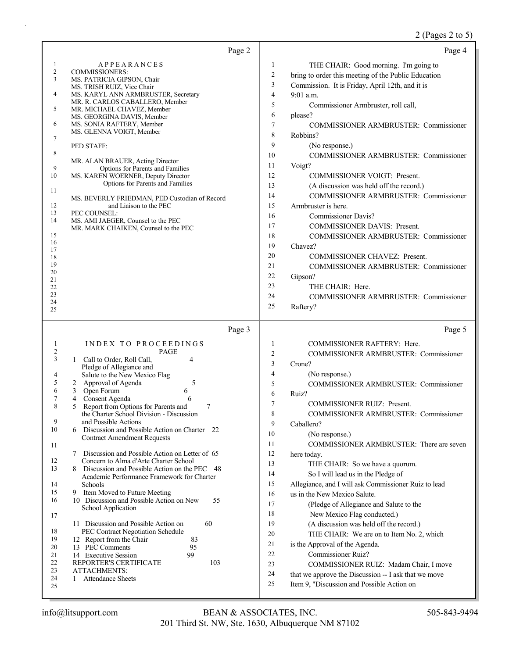# 2 (Pages 2 to 5)

| Page 2                                                                                                                                                                                                                                                                                                                                                                                                                                                                                                                                                                                                                                                                                                                                                                                                                                                         | Page 4                                                                                                                                                                                                                                                                                                                                                                                                                                                                                                                                                                                                                                                                                                                                                                                                                                                                                                 |
|----------------------------------------------------------------------------------------------------------------------------------------------------------------------------------------------------------------------------------------------------------------------------------------------------------------------------------------------------------------------------------------------------------------------------------------------------------------------------------------------------------------------------------------------------------------------------------------------------------------------------------------------------------------------------------------------------------------------------------------------------------------------------------------------------------------------------------------------------------------|--------------------------------------------------------------------------------------------------------------------------------------------------------------------------------------------------------------------------------------------------------------------------------------------------------------------------------------------------------------------------------------------------------------------------------------------------------------------------------------------------------------------------------------------------------------------------------------------------------------------------------------------------------------------------------------------------------------------------------------------------------------------------------------------------------------------------------------------------------------------------------------------------------|
| <b>APPEARANCES</b><br>1<br>$\overline{c}$<br>COMMISSIONERS:<br>3<br>MS. PATRICIA GIPSON, Chair<br>MS. TRISH RUIZ, Vice Chair<br>4<br>MS. KARYL ANN ARMBRUSTER, Secretary<br>MR. R. CARLOS CABALLERO, Member<br>5<br>MR. MICHAEL CHAVEZ, Member<br>MS. GEORGINA DAVIS, Member<br>6<br>MS. SONIA RAFTERY, Member<br>MS. GLENNA VOIGT, Member<br>7<br>PED STAFF:<br>8<br>MR. ALAN BRAUER, Acting Director<br>9<br>Options for Parents and Families<br>10<br>MS. KAREN WOERNER, Deputy Director<br>Options for Parents and Families<br>11<br>MS. BEVERLY FRIEDMAN, PED Custodian of Record<br>12<br>and Liaison to the PEC<br>13<br>PEC COUNSEL:<br>14<br>MS. AMI JAEGER, Counsel to the PEC<br>MR. MARK CHAIKEN, Counsel to the PEC<br>15<br>16<br>17<br>18<br>19<br>20<br>21                                                                                     | 1<br>THE CHAIR: Good morning. I'm going to<br>$\overline{c}$<br>bring to order this meeting of the Public Education<br>$\mathfrak{Z}$<br>Commission. It is Friday, April 12th, and it is<br>$\overline{4}$<br>9:01 a.m.<br>5<br>Commissioner Armbruster, roll call,<br>6<br>please?<br>7<br><b>COMMISSIONER ARMBRUSTER: Commissioner</b><br>8<br>Robbins?<br>9<br>(No response.)<br>10<br>COMMISSIONER ARMBRUSTER: Commissioner<br>11<br>Voigt?<br>12<br><b>COMMISSIONER VOIGT: Present.</b><br>13<br>(A discussion was held off the record.)<br>14<br><b>COMMISSIONER ARMBRUSTER: Commissioner</b><br>15<br>Armbruster is here.<br>16<br><b>Commissioner Davis?</b><br>17<br>COMMISSIONER DAVIS: Present.<br>18<br><b>COMMISSIONER ARMBRUSTER: Commissioner</b><br>19<br>Chavez?<br>20<br><b>COMMISSIONER CHAVEZ: Present.</b><br>21<br><b>COMMISSIONER ARMBRUSTER: Commissioner</b><br>22<br>Gipson? |
| 22                                                                                                                                                                                                                                                                                                                                                                                                                                                                                                                                                                                                                                                                                                                                                                                                                                                             | 23<br>THE CHAIR: Here.                                                                                                                                                                                                                                                                                                                                                                                                                                                                                                                                                                                                                                                                                                                                                                                                                                                                                 |
| 23<br>24                                                                                                                                                                                                                                                                                                                                                                                                                                                                                                                                                                                                                                                                                                                                                                                                                                                       | 24<br>COMMISSIONER ARMBRUSTER: Commissioner                                                                                                                                                                                                                                                                                                                                                                                                                                                                                                                                                                                                                                                                                                                                                                                                                                                            |
| 25                                                                                                                                                                                                                                                                                                                                                                                                                                                                                                                                                                                                                                                                                                                                                                                                                                                             | 25<br>Raftery?                                                                                                                                                                                                                                                                                                                                                                                                                                                                                                                                                                                                                                                                                                                                                                                                                                                                                         |
| Page 3                                                                                                                                                                                                                                                                                                                                                                                                                                                                                                                                                                                                                                                                                                                                                                                                                                                         | Page 5                                                                                                                                                                                                                                                                                                                                                                                                                                                                                                                                                                                                                                                                                                                                                                                                                                                                                                 |
| INDEX TO PROCEEDINGS<br>1<br>2<br><b>PAGE</b><br>3<br>1 Call to Order, Roll Call,<br>4<br>Pledge of Allegiance and<br>Salute to the New Mexico Flag<br>4<br>2 Approval of Agenda<br>5<br>5<br>6<br>3<br>Open Forum<br>6<br>7<br>Consent Agenda<br>6<br>4<br>Report from Options for Parents and<br>8<br>5<br>7<br>the Charter School Division - Discussion<br>9<br>and Possible Actions<br>10<br>Discussion and Possible Action on Charter 22<br>6<br><b>Contract Amendment Requests</b><br>11<br>7<br>Discussion and Possible Action on Letter of 65<br>12<br>Concern to Alma d'Arte Charter School<br>13<br>Discussion and Possible Action on the PEC<br>-48<br>8<br>Academic Performance Framework for Charter<br>14<br>Schools<br>15<br>9 Item Moved to Future Meeting<br>16<br>10 Discussion and Possible Action on New<br>55<br>School Application<br>17 | 1<br><b>COMMISSIONER RAFTERY: Here.</b><br>$\overline{c}$<br>COMMISSIONER ARMBRUSTER: Commissioner<br>3<br>Crone?<br>4<br>(No response.)<br>5<br>COMMISSIONER ARMBRUSTER: Commissioner<br>6<br>Ruiz?<br>7<br><b>COMMISSIONER RUIZ: Present.</b><br>8<br>COMMISSIONER ARMBRUSTER: Commissioner<br>9<br>Caballero?<br>10<br>(No response.)<br>11<br>COMMISSIONER ARMBRUSTER: There are seven<br>12<br>here today.<br>13<br>THE CHAIR: So we have a quorum.<br>14<br>So I will lead us in the Pledge of<br>15<br>Allegiance, and I will ask Commissioner Ruiz to lead<br>16<br>us in the New Mexico Salute.<br>17<br>(Pledge of Allegiance and Salute to the<br>18<br>New Mexico Flag conducted.)                                                                                                                                                                                                         |
| 11 Discussion and Possible Action on<br>60<br>18<br>PEC Contract Negotiation Schedule<br>19<br>12 Report from the Chair<br>83<br>13 PEC Comments<br>20<br>95<br>99<br>21<br>14 Executive Session<br>22<br>103<br>REPORTER'S CERTIFICATE<br>23<br><b>ATTACHMENTS:</b><br>24<br><b>Attendance Sheets</b><br>1<br>25                                                                                                                                                                                                                                                                                                                                                                                                                                                                                                                                              | 19<br>(A discussion was held off the record.)<br>20<br>THE CHAIR: We are on to Item No. 2, which<br>21<br>is the Approval of the Agenda.<br>22<br>Commissioner Ruiz?<br>23<br>COMMISSIONER RUIZ: Madam Chair, I move<br>24<br>that we approve the Discussion -- I ask that we move<br>25<br>Item 9, "Discussion and Possible Action on                                                                                                                                                                                                                                                                                                                                                                                                                                                                                                                                                                 |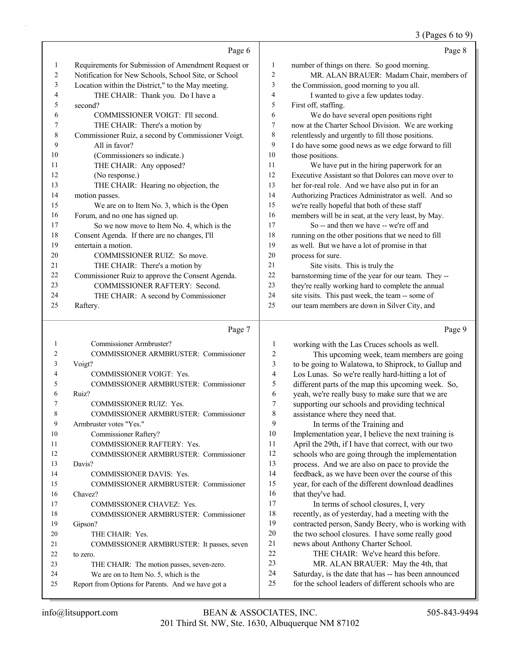### 3 (Pages 6 to 9)

|    | Page 6                                               |                | Page 8                                               |
|----|------------------------------------------------------|----------------|------------------------------------------------------|
| 1  | Requirements for Submission of Amendment Request or  | 1              | number of things on there. So good morning.          |
| 2  | Notification for New Schools, School Site, or School | $\overline{2}$ | MR. ALAN BRAUER: Madam Chair, members of             |
| 3  | Location within the District," to the May meeting.   | 3              | the Commission, good morning to you all.             |
| 4  | THE CHAIR: Thank you. Do I have a                    | $\overline{4}$ | I wanted to give a few updates today.                |
| 5  | second?                                              | 5              | First off, staffing.                                 |
| 6  | COMMISSIONER VOIGT: I'll second.                     | 6              | We do have several open positions right              |
| 7  | THE CHAIR: There's a motion by                       | 7              | now at the Charter School Division. We are working   |
| 8  | Commissioner Ruiz, a second by Commissioner Voigt.   | 8              | relentlessly and urgently to fill those positions.   |
| 9  | All in favor?                                        | 9              | I do have some good news as we edge forward to fill  |
| 10 | (Commissioners so indicate.)                         | 10             | those positions.                                     |
| 11 | THE CHAIR: Any opposed?                              | 11             | We have put in the hiring paperwork for an           |
| 12 | (No response.)                                       | 12             | Executive Assistant so that Dolores can move over to |
| 13 | THE CHAIR: Hearing no objection, the                 | 13             | her for-real role. And we have also put in for an    |
| 14 | motion passes.                                       | 14             | Authorizing Practices Administrator as well. And so  |
| 15 | We are on to Item No. 3, which is the Open           | 15             | we're really hopeful that both of these staff        |
| 16 | Forum, and no one has signed up.                     | 16             | members will be in seat, at the very least, by May.  |
| 17 | So we now move to Item No. 4, which is the           | 17             | So -- and then we have -- we're off and              |
| 18 | Consent Agenda. If there are no changes, I'll        | 18             | running on the other positions that we need to fill  |
| 19 | entertain a motion.                                  | 19             | as well. But we have a lot of promise in that        |
| 20 | COMMISSIONER RUIZ: So move.                          | 20             | process for sure.                                    |
| 21 | THE CHAIR: There's a motion by                       | 21             | Site visits. This is truly the                       |
| 22 | Commissioner Ruiz to approve the Consent Agenda.     | 22             | barnstorming time of the year for our team. They --  |
| 23 | COMMISSIONER RAFTERY: Second.                        | 23             | they're really working hard to complete the annual   |
| 24 | THE CHAIR: A second by Commissioner                  | 24             | site visits. This past week, the team -- some of     |
| 25 | Raftery.                                             | 25             | our team members are down in Silver City, and        |
|    |                                                      |                |                                                      |

### Page 7

| 2<br>COMMISSIONER ARMBRUSTER: Commissioner<br>3<br>Voigt?<br>4<br><b>COMMISSIONER VOIGT: Yes.</b><br>5<br>COMMISSIONER ARMBRUSTER: Commissioner<br>6<br>Ruiz?<br>7<br><b>COMMISSIONER RUIZ: Yes.</b><br>8<br>COMMISSIONER ARMBRUSTER: Commissioner<br>Armbruster votes "Yes."<br>9<br>10<br>Commissioner Raftery?<br>11<br><b>COMMISSIONER RAFTERY: Yes.</b><br>12<br>COMMISSIONER ARMBRUSTER: Commissioner<br>13<br>Davis?<br><b>COMMISSIONER DAVIS: Yes.</b><br>14<br>COMMISSIONER ARMBRUSTER: Commissioner<br>15<br>Chavez?<br>16<br>17<br><b>COMMISSIONER CHAVEZ: Yes.</b><br>18<br>COMMISSIONER ARMBRUSTER: Commissioner<br>19<br>Gipson?<br>20<br>THE CHAIR: Yes.<br>2.1<br>COMMISSIONER ARMBRUSTER: It passes, seven<br>22.<br>to zero.<br>23<br>THE CHAIR: The motion passes, seven-zero.<br>24<br>We are on to Item No. 5, which is the<br>25<br>Report from Options for Parents. And we have got a | 1 | Commissioner Armbruster? |
|--------------------------------------------------------------------------------------------------------------------------------------------------------------------------------------------------------------------------------------------------------------------------------------------------------------------------------------------------------------------------------------------------------------------------------------------------------------------------------------------------------------------------------------------------------------------------------------------------------------------------------------------------------------------------------------------------------------------------------------------------------------------------------------------------------------------------------------------------------------------------------------------------------------|---|--------------------------|
|                                                                                                                                                                                                                                                                                                                                                                                                                                                                                                                                                                                                                                                                                                                                                                                                                                                                                                              |   |                          |
|                                                                                                                                                                                                                                                                                                                                                                                                                                                                                                                                                                                                                                                                                                                                                                                                                                                                                                              |   |                          |
|                                                                                                                                                                                                                                                                                                                                                                                                                                                                                                                                                                                                                                                                                                                                                                                                                                                                                                              |   |                          |
|                                                                                                                                                                                                                                                                                                                                                                                                                                                                                                                                                                                                                                                                                                                                                                                                                                                                                                              |   |                          |
|                                                                                                                                                                                                                                                                                                                                                                                                                                                                                                                                                                                                                                                                                                                                                                                                                                                                                                              |   |                          |
|                                                                                                                                                                                                                                                                                                                                                                                                                                                                                                                                                                                                                                                                                                                                                                                                                                                                                                              |   |                          |
|                                                                                                                                                                                                                                                                                                                                                                                                                                                                                                                                                                                                                                                                                                                                                                                                                                                                                                              |   |                          |
|                                                                                                                                                                                                                                                                                                                                                                                                                                                                                                                                                                                                                                                                                                                                                                                                                                                                                                              |   |                          |
|                                                                                                                                                                                                                                                                                                                                                                                                                                                                                                                                                                                                                                                                                                                                                                                                                                                                                                              |   |                          |
|                                                                                                                                                                                                                                                                                                                                                                                                                                                                                                                                                                                                                                                                                                                                                                                                                                                                                                              |   |                          |
|                                                                                                                                                                                                                                                                                                                                                                                                                                                                                                                                                                                                                                                                                                                                                                                                                                                                                                              |   |                          |
|                                                                                                                                                                                                                                                                                                                                                                                                                                                                                                                                                                                                                                                                                                                                                                                                                                                                                                              |   |                          |
|                                                                                                                                                                                                                                                                                                                                                                                                                                                                                                                                                                                                                                                                                                                                                                                                                                                                                                              |   |                          |
|                                                                                                                                                                                                                                                                                                                                                                                                                                                                                                                                                                                                                                                                                                                                                                                                                                                                                                              |   |                          |
|                                                                                                                                                                                                                                                                                                                                                                                                                                                                                                                                                                                                                                                                                                                                                                                                                                                                                                              |   |                          |
|                                                                                                                                                                                                                                                                                                                                                                                                                                                                                                                                                                                                                                                                                                                                                                                                                                                                                                              |   |                          |
|                                                                                                                                                                                                                                                                                                                                                                                                                                                                                                                                                                                                                                                                                                                                                                                                                                                                                                              |   |                          |
|                                                                                                                                                                                                                                                                                                                                                                                                                                                                                                                                                                                                                                                                                                                                                                                                                                                                                                              |   |                          |
|                                                                                                                                                                                                                                                                                                                                                                                                                                                                                                                                                                                                                                                                                                                                                                                                                                                                                                              |   |                          |
|                                                                                                                                                                                                                                                                                                                                                                                                                                                                                                                                                                                                                                                                                                                                                                                                                                                                                                              |   |                          |
|                                                                                                                                                                                                                                                                                                                                                                                                                                                                                                                                                                                                                                                                                                                                                                                                                                                                                                              |   |                          |
|                                                                                                                                                                                                                                                                                                                                                                                                                                                                                                                                                                                                                                                                                                                                                                                                                                                                                                              |   |                          |
|                                                                                                                                                                                                                                                                                                                                                                                                                                                                                                                                                                                                                                                                                                                                                                                                                                                                                                              |   |                          |
|                                                                                                                                                                                                                                                                                                                                                                                                                                                                                                                                                                                                                                                                                                                                                                                                                                                                                                              |   |                          |
|                                                                                                                                                                                                                                                                                                                                                                                                                                                                                                                                                                                                                                                                                                                                                                                                                                                                                                              |   |                          |

Page 9

| 1              | working with the Las Cruces schools as well.         |
|----------------|------------------------------------------------------|
| $\overline{2}$ | This upcoming week, team members are going           |
| 3              | to be going to Walatowa, to Shiprock, to Gallup and  |
| $\overline{4}$ | Los Lunas. So we're really hard-hitting a lot of     |
| 5              | different parts of the map this upcoming week. So,   |
| 6              | yeah, we're really busy to make sure that we are     |
| 7              | supporting our schools and providing technical       |
| 8              | assistance where they need that.                     |
| 9              | In terms of the Training and                         |
| 10             | Implementation year, I believe the next training is  |
| 11             | April the 29th, if I have that correct, with our two |
| 12             | schools who are going through the implementation     |
| 13             | process. And we are also on pace to provide the      |
| 14             | feedback, as we have been over the course of this    |
| 15             | year, for each of the different download deadlines   |
| 16             | that they've had.                                    |
| 17             | In terms of school closures, I, very                 |
| 18             | recently, as of yesterday, had a meeting with the    |
| 19             | contracted person, Sandy Beery, who is working with  |
| 20             | the two school closures. I have some really good     |
| 21             | news about Anthony Charter School.                   |
| 22             | THE CHAIR: We've heard this before.                  |
| 23             | MR. ALAN BRAUER: May the 4th, that                   |
| 24             | Saturday, is the date that has -- has been announced |
| 25             | for the school leaders of different schools who are  |
|                |                                                      |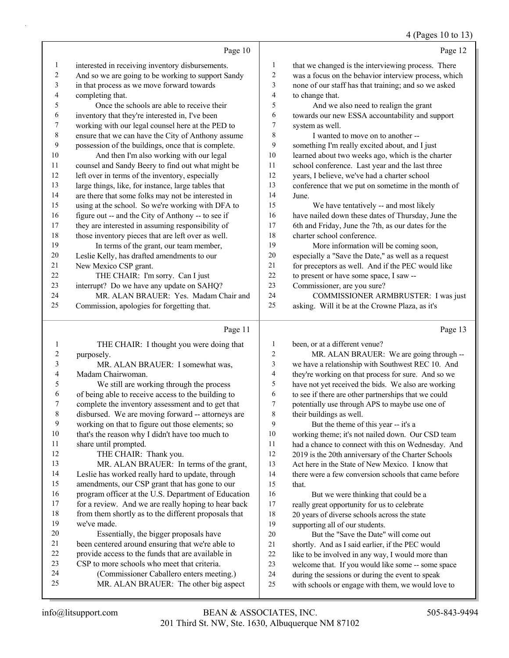### 4 (Pages 10 to 13)

|                 | Page 10                                             |    | Page 12                                              |
|-----------------|-----------------------------------------------------|----|------------------------------------------------------|
| $\mathbf{1}$    | interested in receiving inventory disbursements.    | 1  | that we changed is the interviewing process. There   |
| 2               | And so we are going to be working to support Sandy  | 2  | was a focus on the behavior interview process, which |
| 3               | in that process as we move forward towards          | 3  | none of our staff has that training; and so we asked |
| 4               | completing that.                                    | 4  | to change that.                                      |
| 5               | Once the schools are able to receive their          | 5  | And we also need to realign the grant                |
| 6               | inventory that they're interested in, I've been     | 6  | towards our new ESSA accountability and support      |
| 7               | working with our legal counsel here at the PED to   | 7  | system as well.                                      |
| $8\phantom{.0}$ | ensure that we can have the City of Anthony assume  | 8  | I wanted to move on to another --                    |
| 9               | possession of the buildings, once that is complete. | 9  | something I'm really excited about, and I just       |
| 10              | And then I'm also working with our legal            | 10 | learned about two weeks ago, which is the charter    |
| 11              | counsel and Sandy Beery to find out what might be   | 11 | school conference. Last year and the last three      |
| 12              | left over in terms of the inventory, especially     | 12 | years, I believe, we've had a charter school         |
| 13              | large things, like, for instance, large tables that | 13 | conference that we put on sometime in the month of   |
| 14              | are there that some folks may not be interested in  | 14 | June.                                                |
| 15              | using at the school. So we're working with DFA to   | 15 | We have tentatively -- and most likely               |
| 16              | figure out -- and the City of Anthony -- to see if  | 16 | have nailed down these dates of Thursday, June the   |
| 17              | they are interested in assuming responsibility of   | 17 | 6th and Friday, June the 7th, as our dates for the   |
| 18              | those inventory pieces that are left over as well.  | 18 | charter school conference.                           |
| 19              | In terms of the grant, our team member,             | 19 | More information will be coming soon,                |
| 20              | Leslie Kelly, has drafted amendments to our         | 20 | especially a "Save the Date," as well as a request   |
| 21              | New Mexico CSP grant.                               | 21 | for preceptors as well. And if the PEC would like    |
| 22              | THE CHAIR: I'm sorry. Can I just                    | 22 | to present or have some space, I saw --              |
| 23              | interrupt? Do we have any update on SAHQ?           | 23 | Commissioner, are you sure?                          |
| 24              | MR. ALAN BRAUER: Yes. Madam Chair and               | 24 | COMMISSIONER ARMBRUSTER: I was just                  |
| 25              | Commission, apologies for forgetting that.          | 25 | asking. Will it be at the Crowne Plaza, as it's      |
|                 | Page 11                                             |    | Page 13                                              |

### Page

|    | THE CHAIR: I thought you were doing that             | 1              | been, or at a different venue?                       |
|----|------------------------------------------------------|----------------|------------------------------------------------------|
| 2  | purposely.                                           | $\overline{c}$ | MR. ALAN BRAUER: We are going through --             |
| 3  | MR. ALAN BRAUER: I somewhat was,                     | 3              | we have a relationship with Southwest REC 10. And    |
| 4  | Madam Chairwoman.                                    | 4              | they're working on that process for sure. And so we  |
| 5  | We still are working through the process             | 5              | have not yet received the bids. We also are working  |
| 6  | of being able to receive access to the building to   | 6              | to see if there are other partnerships that we could |
| 7  | complete the inventory assessment and to get that    | 7              | potentially use through APS to maybe use one of      |
| 8  | disbursed. We are moving forward -- attorneys are    | 8              | their buildings as well.                             |
| 9  | working on that to figure out those elements; so     | 9              | But the theme of this year -- it's a                 |
| 10 | that's the reason why I didn't have too much to      | 10             | working theme; it's not nailed down. Our CSD team    |
| 11 | share until prompted.                                | 11             | had a chance to connect with this on Wednesday. And  |
| 12 | THE CHAIR: Thank you.                                | 12             | 2019 is the 20th anniversary of the Charter Schools  |
| 13 | MR. ALAN BRAUER: In terms of the grant,              | 13             | Act here in the State of New Mexico. I know that     |
| 14 | Leslie has worked really hard to update, through     | 14             | there were a few conversion schools that came before |
| 15 | amendments, our CSP grant that has gone to our       | 15             | that.                                                |
| 16 | program officer at the U.S. Department of Education  | 16             | But we were thinking that could be a                 |
| 17 | for a review. And we are really hoping to hear back  | 17             | really great opportunity for us to celebrate         |
| 18 | from them shortly as to the different proposals that | 18             | 20 years of diverse schools across the state         |
| 19 | we've made.                                          | 19             | supporting all of our students.                      |
| 20 | Essentially, the bigger proposals have               | 20             | But the "Save the Date" will come out                |
| 21 | been centered around ensuring that we're able to     | 21             | shortly. And as I said earlier, if the PEC would     |
| 22 | provide access to the funds that are available in    | 22             | like to be involved in any way, I would more than    |
| 23 | CSP to more schools who meet that criteria.          | 23             | welcome that. If you would like some -- some space   |
| 24 | (Commissioner Caballero enters meeting.)             | 24             | during the sessions or during the event to speak     |
| 25 | MR. ALAN BRAUER: The other big aspect                | 25             | with schools or engage with them, we would love to   |
|    |                                                      |                |                                                      |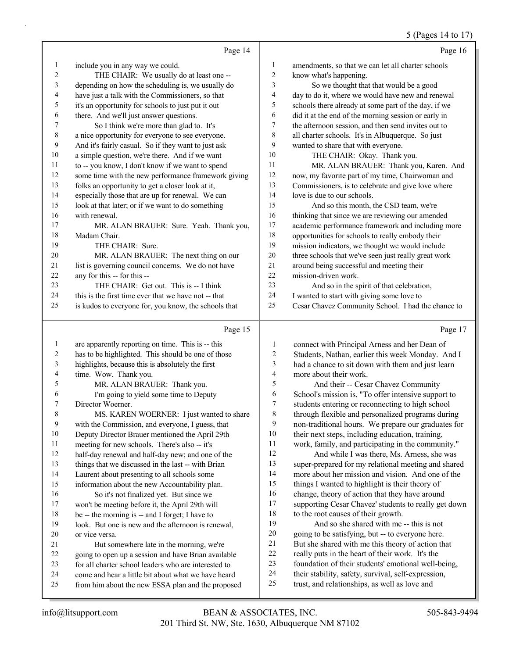#### 5 (Pages 14 to 17)

|                | Page 14                                              |                          | Page 16                                              |
|----------------|------------------------------------------------------|--------------------------|------------------------------------------------------|
| 1              | include you in any way we could.                     | $\mathbf{1}$             | amendments, so that we can let all charter schools   |
| 2              | THE CHAIR: We usually do at least one --             | 2                        | know what's happening.                               |
| 3              | depending on how the scheduling is, we usually do    | 3                        | So we thought that that would be a good              |
| 4              | have just a talk with the Commissioners, so that     | $\overline{\mathcal{L}}$ | day to do it, where we would have new and renewal    |
| 5              | it's an opportunity for schools to just put it out   | 5                        | schools there already at some part of the day, if we |
| 6              | there. And we'll just answer questions.              | 6                        | did it at the end of the morning session or early in |
| 7              | So I think we're more than glad to. It's             | 7                        | the afternoon session, and then send invites out to  |
| 8              | a nice opportunity for everyone to see everyone.     | 8                        | all charter schools. It's in Albuquerque. So just    |
| 9              | And it's fairly casual. So if they want to just ask  | 9                        | wanted to share that with everyone.                  |
| $10\,$         | a simple question, we're there. And if we want       | 10                       | THE CHAIR: Okay. Thank you.                          |
| 11             | to -- you know, I don't know if we want to spend     | 11                       | MR. ALAN BRAUER: Thank you, Karen. And               |
| 12             | some time with the new performance framework giving  | 12                       | now, my favorite part of my time, Chairwoman and     |
| 13             | folks an opportunity to get a closer look at it,     | 13                       | Commissioners, is to celebrate and give love where   |
| 14             | especially those that are up for renewal. We can     | 14                       | love is due to our schools.                          |
| 15             | look at that later; or if we want to do something    | 15                       | And so this month, the CSD team, we're               |
| 16             | with renewal.                                        | 16                       | thinking that since we are reviewing our amended     |
| 17             | MR. ALAN BRAUER: Sure. Yeah. Thank you,              | 17                       | academic performance framework and including more    |
| 18             | Madam Chair.                                         | 18                       | opportunities for schools to really embody their     |
| 19             | THE CHAIR: Sure.                                     | 19                       | mission indicators, we thought we would include      |
| 20             | MR. ALAN BRAUER: The next thing on our               | 20                       | three schools that we've seen just really great work |
| 21             | list is governing council concerns. We do not have   | 21                       | around being successful and meeting their            |
| 22             | any for this -- for this --                          | 22                       | mission-driven work.                                 |
| 23             | THE CHAIR: Get out. This is -- I think               | 23                       | And so in the spirit of that celebration,            |
| 24             | this is the first time ever that we have not -- that | 24                       | I wanted to start with giving some love to           |
| 25             | is kudos to everyone for, you know, the schools that | 25                       | Cesar Chavez Community School. I had the chance to   |
|                | Page 15                                              |                          | Page 17                                              |
| 1              | are apparently reporting on time. This is -- this    | 1                        | connect with Principal Arness and her Dean of        |
| 2              | has to be highlighted. This should be one of those   | $\overline{c}$           | Students, Nathan, earlier this week Monday. And I    |
| 3              | highlights, because this is absolutely the first     | 3                        | had a chance to sit down with them and just learn    |
| 4              | time. Wow. Thank you.                                | $\overline{4}$           | more about their work.                               |
| 5              | MR. ALAN BRAUER: Thank you.                          | 5                        | And their -- Cesar Chavez Community                  |
| 6              | I'm going to yield some time to Deputy               | 6                        | School's mission is, "To offer intensive support to  |
| 7              | Director Woerner.                                    | 7                        | students entering or reconnecting to high school     |
| 8              | MS. KAREN WOERNER: I just wanted to share            | 8                        | through flexible and personalized programs during    |
| $\overline{9}$ | with the Commission, and everyone, I guess, that     | 9                        | non-traditional hours. We prepare our graduates for  |
| 10             | Deputy Director Brauer mentioned the April 29th      | $10\,$                   | their next steps, including education, training,     |
| 11             | meeting for new schools. There's also -- it's        | 11                       | work, family, and participating in the community."   |
| 12             | half-day renewal and half-day new; and one of the    | $12\,$                   | And while I was there, Ms. Arness, she was           |
| 13             | things that we discussed in the last -- with Brian   | 13                       | super-prepared for my relational meeting and shared  |
| 14             | Laurent about presenting to all schools some         | 14                       | more about her mission and vision. And one of the    |
| 15             | information about the new Accountability plan.       | 15                       | things I wanted to highlight is their theory of      |

- information about the new Accountability plan. 16 So it's not finalized yet. But since we
- won't be meeting before it, the April 29th will be -- the morning is -- and I forget; I have to
- look. But one is new and the afternoon is renewal, or vice versa.
- 21 But somewhere late in the morning, we're going to open up a session and have Brian available for all charter school leaders who are interested to
- 
- come and hear a little bit about what we have heard from him about the new ESSA plan and the proposed
- to the root causes of their growth. 19 And so she shared with me -- this is not going to be satisfying, but -- to everyone here. But she shared with me this theory of action that
- really puts in the heart of their work. It's the

 change, theory of action that they have around supporting Cesar Chavez' students to really get down

- foundation of their students' emotional well-being,
- their stability, safety, survival, self-expression,
- trust, and relationships, as well as love and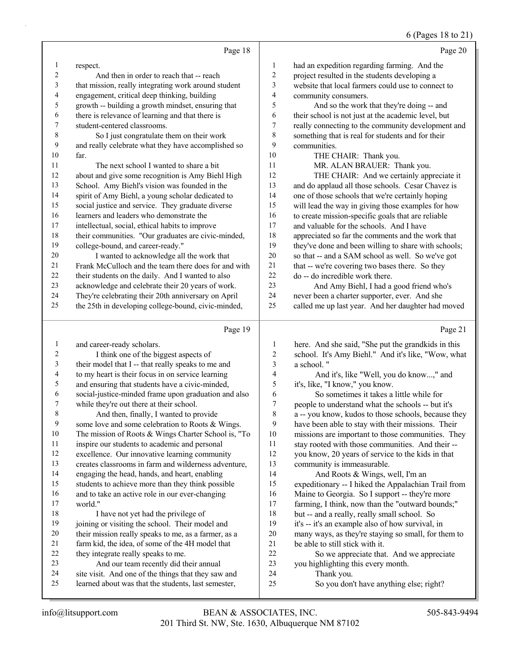# 6 (Pages 18 to 21)

|              | Page 18                                                                                                    |                | Page 20                                                                                          |
|--------------|------------------------------------------------------------------------------------------------------------|----------------|--------------------------------------------------------------------------------------------------|
| 1            | respect.                                                                                                   | 1              | had an expedition regarding farming. And the                                                     |
| 2            | And then in order to reach that -- reach                                                                   | $\overline{c}$ | project resulted in the students developing a                                                    |
| 3            | that mission, really integrating work around student                                                       | 3              | website that local farmers could use to connect to                                               |
| 4            | engagement, critical deep thinking, building                                                               | 4              | community consumers.                                                                             |
| 5            | growth -- building a growth mindset, ensuring that                                                         | 5              | And so the work that they're doing -- and                                                        |
| 6            | there is relevance of learning and that there is                                                           | 6              | their school is not just at the academic level, but                                              |
| 7            | student-centered classrooms.                                                                               | $\tau$         | really connecting to the community development and                                               |
| 8            | So I just congratulate them on their work                                                                  | $\,$ $\,$      | something that is real for students and for their                                                |
| 9            | and really celebrate what they have accomplished so                                                        | 9              | communities.                                                                                     |
| 10           | far.                                                                                                       | 10             | THE CHAIR: Thank you.                                                                            |
| 11           | The next school I wanted to share a bit                                                                    | 11             | MR. ALAN BRAUER: Thank you.                                                                      |
| 12           | about and give some recognition is Amy Biehl High                                                          | 12             | THE CHAIR: And we certainly appreciate it                                                        |
| 13           | School. Amy Biehl's vision was founded in the                                                              | 13             | and do applaud all those schools. Cesar Chavez is                                                |
| 14           | spirit of Amy Biehl, a young scholar dedicated to                                                          | 14             | one of those schools that we're certainly hoping                                                 |
| 15           | social justice and service. They graduate diverse                                                          | 15             | will lead the way in giving those examples for how                                               |
| 16           | learners and leaders who demonstrate the                                                                   | 16             | to create mission-specific goals that are reliable                                               |
| 17           | intellectual, social, ethical habits to improve                                                            | 17             | and valuable for the schools. And I have                                                         |
| 18           | their communities. "Our graduates are civic-minded,                                                        | 18             | appreciated so far the comments and the work that                                                |
| 19           | college-bound, and career-ready."                                                                          | 19             | they've done and been willing to share with schools;                                             |
| $20\,$       | I wanted to acknowledge all the work that                                                                  | $20\,$         | so that -- and a SAM school as well. So we've got                                                |
| 21           | Frank McCulloch and the team there does for and with                                                       | 21             | that -- we're covering two bases there. So they                                                  |
| $22\,$       | their students on the daily. And I wanted to also                                                          | $22\,$         | do -- do incredible work there.                                                                  |
| 23<br>24     | acknowledge and celebrate their 20 years of work.                                                          | 23             | And Amy Biehl, I had a good friend who's                                                         |
| 25           | They're celebrating their 20th anniversary on April<br>the 25th in developing college-bound, civic-minded, | 24<br>25       | never been a charter supporter, ever. And she                                                    |
|              |                                                                                                            |                | called me up last year. And her daughter had moved                                               |
|              |                                                                                                            |                |                                                                                                  |
|              | Page 19                                                                                                    |                | Page 21                                                                                          |
| $\mathbf{1}$ | and career-ready scholars.                                                                                 | 1              | here. And she said, "She put the grandkids in this                                               |
| 2            | I think one of the biggest aspects of                                                                      | $\overline{c}$ | school. It's Amy Biehl." And it's like, "Wow, what                                               |
| 3            | their model that I -- that really speaks to me and                                                         | 3              | a school."                                                                                       |
| 4            | to my heart is their focus in on service learning                                                          | 4              | And it's, like "Well, you do know," and                                                          |
| 5            | and ensuring that students have a civic-minded,                                                            | 5              | it's, like, "I know," you know.                                                                  |
| 6            | social-justice-minded frame upon graduation and also                                                       | 6              | So sometimes it takes a little while for                                                         |
| 7            | while they're out there at their school.                                                                   | 7              | people to understand what the schools -- but it's                                                |
|              | And then, finally, I wanted to provide                                                                     | 8              | a -- you know, kudos to those schools, because they                                              |
| 9            | some love and some celebration to Roots & Wings.                                                           | 9              | have been able to stay with their missions. Their                                                |
| 10           | The mission of Roots & Wings Charter School is, "To                                                        | 10             | missions are important to those communities. They                                                |
| 11           | inspire our students to academic and personal                                                              | 11             | stay rooted with those communities. And their --                                                 |
| 12           | excellence. Our innovative learning community                                                              | 12             | you know, 20 years of service to the kids in that                                                |
| 13           | creates classrooms in farm and wilderness adventure,                                                       | 13             | community is immeasurable.                                                                       |
| 14           | engaging the head, hands, and heart, enabling                                                              | 14             | And Roots & Wings, well, I'm an                                                                  |
| 15<br>16     | students to achieve more than they think possible                                                          | 15             | expeditionary -- I hiked the Appalachian Trail from                                              |
| 17           | and to take an active role in our ever-changing<br>world."                                                 | 16<br>17       | Maine to Georgia. So I support -- they're more                                                   |
| 18           | I have not yet had the privilege of                                                                        | 18             | farming, I think, now than the "outward bounds;"<br>but -- and a really, really small school. So |
| 19           | joining or visiting the school. Their model and                                                            | 19             | it's -- it's an example also of how survival, in                                                 |
| 20           | their mission really speaks to me, as a farmer, as a                                                       | $20\,$         | many ways, as they're staying so small, for them to                                              |
| 21           | farm kid, the idea, of some of the 4H model that                                                           | 21             | be able to still stick with it.                                                                  |
| 22           | they integrate really speaks to me.                                                                        | 22             | So we appreciate that. And we appreciate                                                         |
| 23           | And our team recently did their annual                                                                     | 23             | you highlighting this every month.                                                               |
| 24<br>25     | site visit. And one of the things that they saw and<br>learned about was that the students, last semester, | 24<br>25       | Thank you.<br>So you don't have anything else; right?                                            |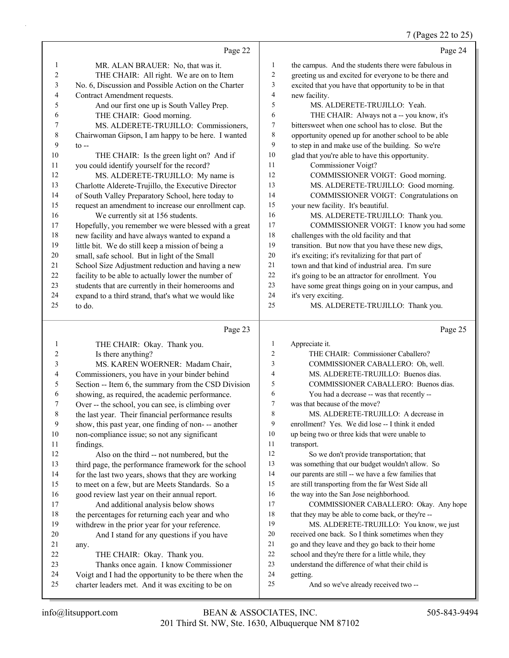# 7 (Pages 22 to 25)

|              | Page 22                                                                                            |                     | Page 24                                                                     |
|--------------|----------------------------------------------------------------------------------------------------|---------------------|-----------------------------------------------------------------------------|
| $\mathbf{1}$ | MR. ALAN BRAUER: No, that was it.                                                                  | 1                   | the campus. And the students there were fabulous in                         |
| 2            | THE CHAIR: All right. We are on to Item                                                            | 2                   | greeting us and excited for everyone to be there and                        |
| 3            | No. 6, Discussion and Possible Action on the Charter                                               | 3                   | excited that you have that opportunity to be in that                        |
| 4            | Contract Amendment requests.                                                                       | 4                   | new facility.                                                               |
| 5            | And our first one up is South Valley Prep.                                                         | 5                   | MS. ALDERETE-TRUJILLO: Yeah.                                                |
| 6            | THE CHAIR: Good morning.                                                                           | 6                   | THE CHAIR: Always not a -- you know, it's                                   |
| 7            | MS. ALDERETE-TRUJILLO: Commissioners,                                                              | 7                   | bittersweet when one school has to close. But the                           |
| 8            | Chairwoman Gipson, I am happy to be here. I wanted                                                 | 8                   | opportunity opened up for another school to be able                         |
| 9            | $to -$                                                                                             | 9                   | to step in and make use of the building. So we're                           |
| 10           | THE CHAIR: Is the green light on? And if                                                           | 10                  | glad that you're able to have this opportunity.                             |
| 11           | you could identify yourself for the record?                                                        | 11                  | Commissioner Voigt?                                                         |
| 12           | MS. ALDERETE-TRUJILLO: My name is                                                                  | 12                  | COMMISSIONER VOIGT: Good morning.                                           |
| 13           | Charlotte Alderete-Trujillo, the Executive Director                                                | 13                  | MS. ALDERETE-TRUJILLO: Good morning.                                        |
| 14           | of South Valley Preparatory School, here today to                                                  | 14                  | COMMISSIONER VOIGT: Congratulations on                                      |
| 15           | request an amendment to increase our enrollment cap.                                               | 15                  | your new facility. It's beautiful.                                          |
| 16           | We currently sit at 156 students.                                                                  | 16                  | MS. ALDERETE-TRUJILLO: Thank you.                                           |
| 17           | Hopefully, you remember we were blessed with a great                                               | 17                  | COMMISSIONER VOIGT: I know you had some                                     |
| 18           | new facility and have always wanted to expand a                                                    | 18                  | challenges with the old facility and that                                   |
| 19           | little bit. We do still keep a mission of being a                                                  | 19                  | transition. But now that you have these new digs,                           |
| 20           | small, safe school. But in light of the Small                                                      | 20                  | it's exciting; it's revitalizing for that part of                           |
| 21           | School Size Adjustment reduction and having a new                                                  | 21                  | town and that kind of industrial area. I'm sure                             |
| 22           | facility to be able to actually lower the number of                                                | 22                  | it's going to be an attractor for enrollment. You                           |
| 23           | students that are currently in their homerooms and                                                 | 23                  | have some great things going on in your campus, and                         |
| 24           | expand to a third strand, that's what we would like                                                | 24                  | it's very exciting.                                                         |
| 25           | to do.                                                                                             | 25                  | MS. ALDERETE-TRUJILLO: Thank you.                                           |
|              |                                                                                                    |                     |                                                                             |
|              | Page 23                                                                                            |                     | Page 25                                                                     |
| $\mathbf{1}$ | THE CHAIR: Okay. Thank you.                                                                        | $\mathbf{1}$        | Appreciate it.                                                              |
| 2            | Is there anything?                                                                                 | $\overline{c}$<br>3 | THE CHAIR: Commissioner Caballero?                                          |
| 3            | MS. KAREN WOERNER: Madam Chair,                                                                    | 4                   | COMMISSIONER CABALLERO: Oh, well.                                           |
| 4            | Commissioners, you have in your binder behind                                                      | 5                   | MS. ALDERETE-TRUJILLO: Buenos días.                                         |
| 5            | Section -- Item 6, the summary from the CSD Division                                               | 6                   | COMMISSIONER CABALLERO: Buenos días.                                        |
| 6<br>7       | showing, as required, the academic performance.                                                    | $\boldsymbol{7}$    | You had a decrease -- was that recently --<br>was that because of the move? |
|              | Over -- the school, you can see, is climbing over                                                  | 8                   | MS. ALDERETE-TRUJILLO: A decrease in                                        |
| 8<br>9       | the last year. Their financial performance results                                                 | 9                   | enrollment? Yes. We did lose -- I think it ended                            |
| 10           | show, this past year, one finding of non--- another                                                | 10                  | up being two or three kids that were unable to                              |
| 11           | non-compliance issue; so not any significant                                                       | 11                  |                                                                             |
| 12           | findings.                                                                                          | 12                  | transport.<br>So we don't provide transportation; that                      |
| 13           | Also on the third -- not numbered, but the<br>third page, the performance framework for the school | 13                  | was something that our budget wouldn't allow. So                            |
| 14           | for the last two years, shows that they are working                                                | 14                  | our parents are still -- we have a few families that                        |
| 15           | to meet on a few, but are Meets Standards. So a                                                    | 15                  | are still transporting from the far West Side all                           |
| 16           | good review last year on their annual report.                                                      | 16                  | the way into the San Jose neighborhood.                                     |
| 17           | And additional analysis below shows                                                                | 17                  | COMMISSIONER CABALLERO: Okay. Any hope                                      |
| 18           | the percentages for returning each year and who                                                    | 18                  | that they may be able to come back, or they're --                           |
| 19           | withdrew in the prior year for your reference.                                                     | 19                  | MS. ALDERETE-TRUJILLO: You know, we just                                    |
| 20           | And I stand for any questions if you have                                                          | 20                  | received one back. So I think sometimes when they                           |
| 21           |                                                                                                    | 21                  | go and they leave and they go back to their home                            |
| 22           | any.<br>THE CHAIR: Okay. Thank you.                                                                | 22                  | school and they're there for a little while, they                           |
| 23           | Thanks once again. I know Commissioner                                                             | 23                  | understand the difference of what their child is                            |
| 24           | Voigt and I had the opportunity to be there when the                                               | 24                  | getting.                                                                    |
| 25           | charter leaders met. And it was exciting to be on                                                  | 25                  | And so we've already received two --                                        |
|              |                                                                                                    |                     |                                                                             |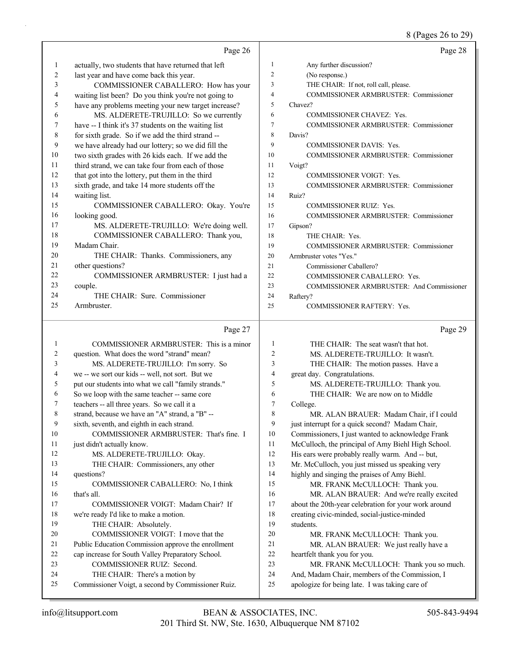# 8 (Pages 26 to 29)

|    | Page 26                                              |                | Page 28                                          |
|----|------------------------------------------------------|----------------|--------------------------------------------------|
| 1  | actually, two students that have returned that left  | 1              | Any further discussion?                          |
| 2  | last year and have come back this year.              | $\overline{c}$ | (No response.)                                   |
| 3  | COMMISSIONER CABALLERO: How has your                 | 3              | THE CHAIR: If not, roll call, please.            |
| 4  | waiting list been? Do you think you're not going to  | 4              | <b>COMMISSIONER ARMBRUSTER: Commissioner</b>     |
| 5  | have any problems meeting your new target increase?  | 5              | Chavez?                                          |
| 6  | MS. ALDERETE-TRUJILLO: So we currently               | 6              | <b>COMMISSIONER CHAVEZ: Yes.</b>                 |
| 7  | have -- I think it's 37 students on the waiting list | 7              | COMMISSIONER ARMBRUSTER: Commissioner            |
| 8  | for sixth grade. So if we add the third strand --    | 8              | Davis?                                           |
| 9  | we have already had our lottery; so we did fill the  | 9              | <b>COMMISSIONER DAVIS: Yes.</b>                  |
| 10 | two sixth grades with 26 kids each. If we add the    | 10             | <b>COMMISSIONER ARMBRUSTER: Commissioner</b>     |
| 11 | third strand, we can take four from each of those    | 11             | Voigt?                                           |
| 12 | that got into the lottery, put them in the third     | 12             | <b>COMMISSIONER VOIGT: Yes.</b>                  |
| 13 | sixth grade, and take 14 more students off the       | 13             | <b>COMMISSIONER ARMBRUSTER: Commissioner</b>     |
| 14 | waiting list.                                        | 14             | Ruiz?                                            |
| 15 | COMMISSIONER CABALLERO: Okay. You're                 | 15             | <b>COMMISSIONER RUIZ: Yes.</b>                   |
| 16 | looking good.                                        | 16             | COMMISSIONER ARMBRUSTER: Commissioner            |
| 17 | MS. ALDERETE-TRUJILLO: We're doing well.             | 17             | Gipson?                                          |
| 18 | COMMISSIONER CABALLERO: Thank you,                   | 18             | THE CHAIR: Yes.                                  |
| 19 | Madam Chair.                                         | 19             | <b>COMMISSIONER ARMBRUSTER: Commissioner</b>     |
| 20 | THE CHAIR: Thanks. Commissioners, any                | 20             | Armbruster votes "Yes."                          |
| 21 | other questions?                                     | 21             | Commissioner Caballero?                          |
| 22 | COMMISSIONER ARMBRUSTER: I just had a                | 22             | COMMISSIONER CABALLERO: Yes.                     |
| 23 | couple.                                              | 23             | <b>COMMISSIONER ARMBRUSTER: And Commissioner</b> |
| 24 | THE CHAIR: Sure. Commissioner                        | 24             | Raftery?                                         |
| 25 | Armbruster.                                          | 25             | <b>COMMISSIONER RAFTERY: Yes.</b>                |
|    | Page 27                                              |                | Page 29                                          |

# Page  $27$  |

|    | COMMISSIONER ARMBRUSTER: This is a minor             | 1              | THE CHAIR: The seat wasn't that hot.                 |
|----|------------------------------------------------------|----------------|------------------------------------------------------|
| 2  | question. What does the word "strand" mean?          | $\overline{2}$ | MS. ALDERETE-TRUJILLO: It wasn't.                    |
| 3  | MS. ALDERETE-TRUJILLO: I'm sorry. So                 | 3              | THE CHAIR: The motion passes. Have a                 |
| 4  | we -- we sort our kids -- well, not sort. But we     | 4              | great day. Congratulations.                          |
| 5  | put our students into what we call "family strands." | 5              | MS. ALDERETE-TRUJILLO: Thank you.                    |
| 6  | So we loop with the same teacher -- same core        | 6              | THE CHAIR: We are now on to Middle                   |
| 7  | teachers -- all three years. So we call it a         | 7              | College.                                             |
| 8  | strand, because we have an "A" strand, a "B" --      | 8              | MR. ALAN BRAUER: Madam Chair, if I could             |
| 9  | sixth, seventh, and eighth in each strand.           | 9              | just interrupt for a quick second? Madam Chair,      |
| 10 | COMMISSIONER ARMBRUSTER: That's fine. I              | 10             | Commissioners, I just wanted to acknowledge Frank    |
| 11 | just didn't actually know.                           | 11             | McCulloch, the principal of Amy Biehl High School.   |
| 12 | MS. ALDERETE-TRUJILLO: Okay.                         | 12             | His ears were probably really warm. And -- but,      |
| 13 | THE CHAIR: Commissioners, any other                  | 13             | Mr. McCulloch, you just missed us speaking very      |
| 14 | questions?                                           | 14             | highly and singing the praises of Amy Biehl.         |
| 15 | COMMISSIONER CABALLERO: No. I think                  | 15             | MR. FRANK McCULLOCH: Thank you.                      |
| 16 | that's all.                                          | 16             | MR. ALAN BRAUER: And we're really excited            |
| 17 | COMMISSIONER VOIGT: Madam Chair? If                  | 17             | about the 20th-year celebration for your work around |
| 18 | we're ready I'd like to make a motion.               | 18             | creating civic-minded, social-justice-minded         |
| 19 | THE CHAIR: Absolutely.                               | 19             | students.                                            |
| 20 | COMMISSIONER VOIGT: I move that the                  | 20             | MR. FRANK McCULLOCH: Thank you.                      |
| 21 | Public Education Commission approve the enrollment   | 21             | MR. ALAN BRAUER: We just really have a               |
| 22 | cap increase for South Valley Preparatory School.    | 22             | heartfelt thank you for you.                         |
| 23 | COMMISSIONER RUIZ: Second.                           | 23             | MR. FRANK McCULLOCH: Thank you so much.              |
| 24 | THE CHAIR: There's a motion by                       | 24             | And, Madam Chair, members of the Commission, I       |
| 25 | Commissioner Voigt, a second by Commissioner Ruiz.   | 25             | apologize for being late. I was taking care of       |
|    |                                                      |                |                                                      |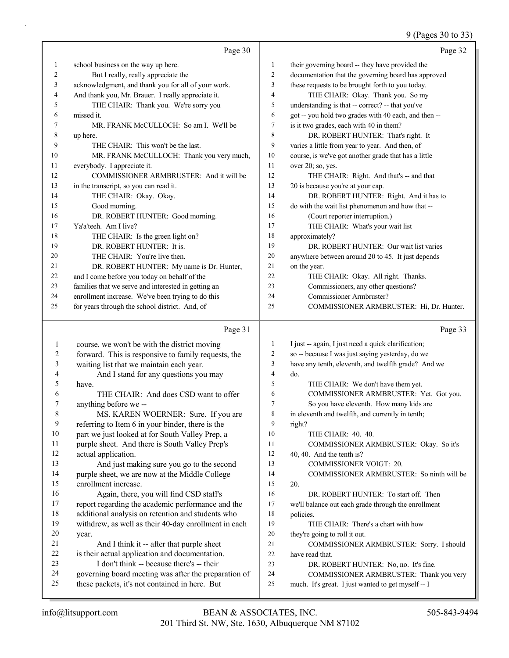# 9 (Pages 30 to 33)

|    | Page 30                                             |    | Page 32                                              |
|----|-----------------------------------------------------|----|------------------------------------------------------|
| 1  | school business on the way up here.                 | 1  | their governing board -- they have provided the      |
| 2  | But I really, really appreciate the                 | 2  | documentation that the governing board has approved  |
| 3  | acknowledgment, and thank you for all of your work. | 3  | these requests to be brought forth to you today.     |
| 4  | And thank you, Mr. Brauer. I really appreciate it.  | 4  | THE CHAIR: Okay. Thank you. So my                    |
| 5  | THE CHAIR: Thank you. We're sorry you               | 5  | understanding is that -- correct? -- that you've     |
| 6  | missed it.                                          | 6  | got -- you hold two grades with 40 each, and then -- |
| 7  | MR. FRANK McCULLOCH: So am I. We'll be              | 7  | is it two grades, each with 40 in them?              |
| 8  | up here.                                            | 8  | DR. ROBERT HUNTER: That's right. It                  |
| 9  | THE CHAIR: This won't be the last.                  | 9  | varies a little from year to year. And then, of      |
| 10 | MR. FRANK McCULLOCH: Thank you very much,           | 10 | course, is we've got another grade that has a little |
| 11 | everybody. I appreciate it.                         | 11 | over 20; so, yes.                                    |
| 12 | COMMISSIONER ARMBRUSTER: And it will be             | 12 | THE CHAIR: Right. And that's -- and that             |
| 13 | in the transcript, so you can read it.              | 13 | 20 is because you're at your cap.                    |
| 14 | THE CHAIR: Okay. Okay.                              | 14 | DR. ROBERT HUNTER: Right. And it has to              |
| 15 | Good morning.                                       | 15 | do with the wait list phenomenon and how that --     |
| 16 | DR. ROBERT HUNTER: Good morning.                    | 16 | (Court reporter interruption.)                       |
| 17 | Ya'a'teeh. Am I live?                               | 17 | THE CHAIR: What's your wait list                     |
| 18 | THE CHAIR: Is the green light on?                   | 18 | approximately?                                       |
| 19 | DR. ROBERT HUNTER: It is.                           | 19 | DR. ROBERT HUNTER: Our wait list varies              |
| 20 | THE CHAIR: You're live then.                        | 20 | anywhere between around 20 to 45. It just depends    |
| 21 | DR. ROBERT HUNTER: My name is Dr. Hunter,           | 21 | on the year.                                         |
| 22 | and I come before you today on behalf of the        | 22 | THE CHAIR: Okay. All right. Thanks.                  |
| 23 | families that we serve and interested in getting an | 23 | Commissioners, any other questions?                  |
| 24 | enrollment increase. We've been trying to do this   | 24 | Commissioner Armbruster?                             |
| 25 | for years through the school district. And, of      | 25 | COMMISSIONER ARMBRUSTER: Hi, Dr. Hunter.             |
|    |                                                     |    |                                                      |

### Page 31

|    | course, we won't be with the district moving         | 1  | I just -- again, I just need a quick clarification; |
|----|------------------------------------------------------|----|-----------------------------------------------------|
| 2  | forward. This is responsive to family requests, the  | 2  | so -- because I was just saying yesterday, do we    |
| 3  | waiting list that we maintain each year.             | 3  | have any tenth, eleventh, and twelfth grade? And we |
| 4  | And I stand for any questions you may                | 4  | do.                                                 |
| 5  | have.                                                | 5  | THE CHAIR: We don't have them yet.                  |
| 6  | THE CHAIR: And does CSD want to offer                | 6  | COMMISSIONER ARMBRUSTER: Yet. Got you.              |
| 7  | anything before we --                                | 7  | So you have eleventh. How many kids are             |
| 8  | MS. KAREN WOERNER: Sure. If you are                  | 8  | in eleventh and twelfth, and currently in tenth;    |
| 9  | referring to Item 6 in your binder, there is the     | 9  | right?                                              |
| 10 | part we just looked at for South Valley Prep, a      | 10 | THE CHAIR: 40, 40.                                  |
| 11 | purple sheet. And there is South Valley Prep's       | 11 | COMMISSIONER ARMBRUSTER: Okay. So it's              |
| 12 | actual application.                                  | 12 | 40, 40. And the tenth is?                           |
| 13 | And just making sure you go to the second            | 13 | <b>COMMISSIONER VOIGT: 20.</b>                      |
| 14 | purple sheet, we are now at the Middle College       | 14 | COMMISSIONER ARMBRUSTER: So ninth will be           |
| 15 | enrollment increase.                                 | 15 | 20.                                                 |
| 16 | Again, there, you will find CSD staff's              | 16 | DR. ROBERT HUNTER: To start off. Then               |
| 17 | report regarding the academic performance and the    | 17 | we'll balance out each grade through the enrollment |
| 18 | additional analysis on retention and students who    | 18 | policies.                                           |
| 19 | withdrew, as well as their 40-day enrollment in each | 19 | THE CHAIR: There's a chart with how                 |
| 20 | year.                                                | 20 | they're going to roll it out.                       |
| 21 | And I think it -- after that purple sheet            | 21 | COMMISSIONER ARMBRUSTER: Sorry. I should            |
| 22 | is their actual application and documentation.       | 22 | have read that.                                     |
| 23 | I don't think -- because there's -- their            | 23 | DR. ROBERT HUNTER: No, no. It's fine.               |
| 24 | governing board meeting was after the preparation of | 24 | COMMISSIONER ARMBRUSTER: Thank you very             |
| 25 | these packets, it's not contained in here. But       | 25 | much. It's great. I just wanted to get myself -- I  |
|    |                                                      |    |                                                     |

Page 33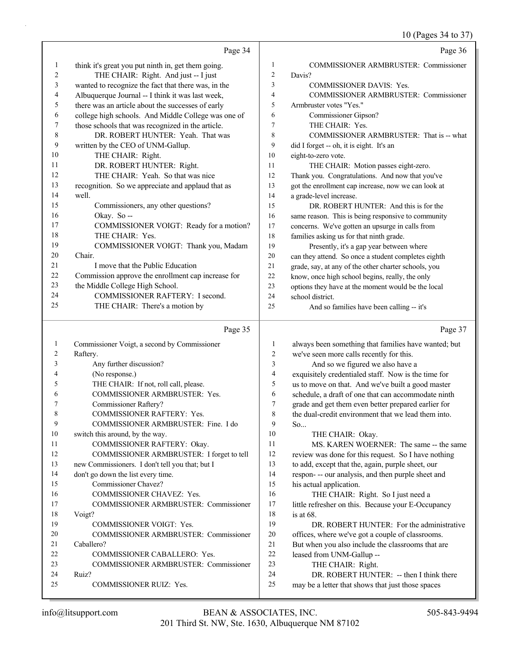10 (Pages 34 to 37)

|                |                                                     |                         | $10$ (Fages $34$ to $37$ )                           |
|----------------|-----------------------------------------------------|-------------------------|------------------------------------------------------|
|                | Page 34                                             |                         | Page 36                                              |
| $\mathbf{1}$   | think it's great you put ninth in, get them going.  | $\mathbf{1}$            | COMMISSIONER ARMBRUSTER: Commissioner                |
| 2              | THE CHAIR: Right. And just -- I just                | $\overline{c}$          | Davis?                                               |
| 3              | wanted to recognize the fact that there was, in the | $\overline{\mathbf{3}}$ | <b>COMMISSIONER DAVIS: Yes.</b>                      |
| 4              | Albuquerque Journal -- I think it was last week,    | $\overline{4}$          | COMMISSIONER ARMBRUSTER: Commissioner                |
| 5              | there was an article about the successes of early   | 5                       | Armbruster votes "Yes."                              |
| 6              | college high schools. And Middle College was one of | 6                       | Commissioner Gipson?                                 |
| 7              | those schools that was recognized in the article.   | $\overline{7}$          | THE CHAIR: Yes.                                      |
| $\,$ $\,$      | DR. ROBERT HUNTER: Yeah. That was                   | $\,$ 8 $\,$             | COMMISSIONER ARMBRUSTER: That is -- what             |
| 9              | written by the CEO of UNM-Gallup.                   | 9                       | did I forget -- oh, it is eight. It's an             |
| 10             | THE CHAIR: Right.                                   | 10                      | eight-to-zero vote.                                  |
| 11             | DR. ROBERT HUNTER: Right.                           | 11                      | THE CHAIR: Motion passes eight-zero.                 |
| 12             | THE CHAIR: Yeah. So that was nice                   | 12                      | Thank you. Congratulations. And now that you've      |
| 13             | recognition. So we appreciate and applaud that as   | 13                      | got the enrollment cap increase, now we can look at  |
| 14             | well.                                               | 14                      | a grade-level increase.                              |
| 15             | Commissioners, any other questions?                 | 15                      | DR. ROBERT HUNTER: And this is for the               |
| 16             | Okay. So --                                         | 16                      | same reason. This is being responsive to community   |
| 17             | COMMISSIONER VOIGT: Ready for a motion?             | 17                      | concerns. We've gotten an upsurge in calls from      |
| 18             | THE CHAIR: Yes.                                     | 18                      | families asking us for that ninth grade.             |
| 19             | COMMISSIONER VOIGT: Thank you, Madam                | 19                      | Presently, it's a gap year between where             |
| 20             | Chair.                                              | 20                      | can they attend. So once a student completes eighth  |
| 21             | I move that the Public Education                    | 21                      | grade, say, at any of the other charter schools, you |
| 22             | Commission approve the enrollment cap increase for  | 22                      | know, once high school begins, really, the only      |
| 23             | the Middle College High School.                     | 23                      | options they have at the moment would be the local   |
| 24             | COMMISSIONER RAFTERY: I second.                     | 24                      | school district.                                     |
| 25             | THE CHAIR: There's a motion by                      | 25                      | And so families have been calling -- it's            |
|                |                                                     |                         |                                                      |
|                | Page 35                                             |                         | Page 37                                              |
| $\mathbf{1}$   | Commissioner Voigt, a second by Commissioner        | $\mathbf{1}$            | always been something that families have wanted; but |
| $\overline{c}$ | Raftery.                                            | $\sqrt{2}$              | we've seen more calls recently for this.             |
| 3              | Any further discussion?                             | 3                       | And so we figured we also have a                     |
| 4              | (No response.)                                      | $\overline{4}$          | exquisitely credentialed staff. Now is the time for  |
| 5              | THE CHAIR: If not, roll call, please.               | 5                       | us to move on that. And we've built a good master    |
| 6              | COMMISSIONER ARMBRUSTER: Yes.                       | $\sqrt{6}$              | schedule, a draft of one that can accommodate ninth  |
| 7              | Commissioner Raftery?                               | $\boldsymbol{7}$        | grade and get them even better prepared earlier for  |
| $\,$ 8 $\,$    | <b>COMMISSIONER RAFTERY: Yes.</b>                   | 8                       | the dual-credit environment that we lead them into.  |
| 9              | COMMISSIONER ARMBRUSTER: Fine. I do                 | 9                       | So                                                   |
| 10             | switch this around, by the way.                     | 10                      | THE CHAIR: Okay.                                     |
| 11             | COMMISSIONER RAFTERY: Okay.                         | 11                      | MS. KAREN WOERNER: The same -- the same              |
| 12             | COMMISSIONER ARMBRUSTER: I forget to tell           | 12                      | review was done for this request. So I have nothing  |
| 13             | new Commissioners. I don't tell you that; but I     | 13                      | to add, except that the, again, purple sheet, our    |

14 respon- -- our analysis, and then purple sheet and 15 his actual application. 16 THE CHAIR: Right. So I just need a

17 little refresher on this. Because your E-Occupancy 18 is at 68.

19 DR. ROBERT HUNTER: For the administrative offices, where we've got a couple of classrooms. But when you also include the classrooms that are leased from UNM-Gallup --

23 THE CHAIR: Right.

24 DR. ROBERT HUNTER: -- then I think there

25 may be a letter that shows that just those spaces

18 Voigt?

24 Ruiz?

21 Caballero?

14 don't go down the list every time. 15 Commissioner Chavez?

16 COMMISSIONER CHAVEZ: Yes.

19 COMMISSIONER VOIGT: Yes.

25 COMMISSIONER RUIZ: Yes.

22 COMMISSIONER CABALLERO: Yes.

17 COMMISSIONER ARMBRUSTER: Commissioner

20 COMMISSIONER ARMBRUSTER: Commissioner

23 COMMISSIONER ARMBRUSTER: Commissioner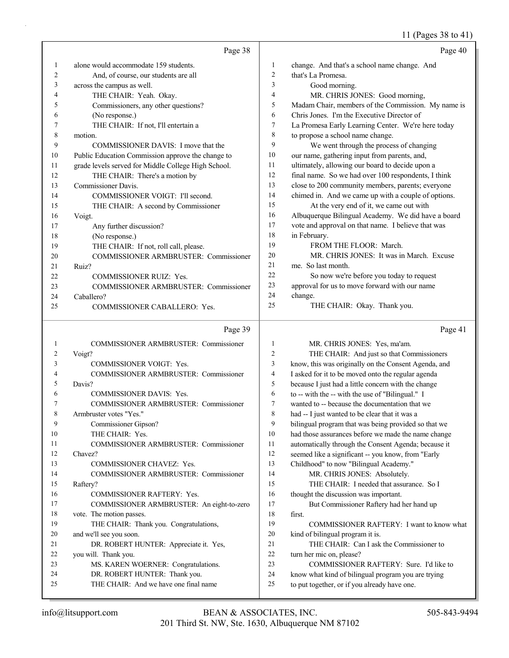# 11 (Pages 38 to 41)

|    | Page 38                                             |                  | Page 40                                              |
|----|-----------------------------------------------------|------------------|------------------------------------------------------|
| 1  | alone would accommodate 159 students.               | $\mathbf{1}$     | change. And that's a school name change. And         |
| 2  | And, of course, our students are all                | $\overline{c}$   | that's La Promesa.                                   |
| 3  | across the campus as well.                          | $\mathfrak{Z}$   | Good morning.                                        |
| 4  | THE CHAIR: Yeah. Okay.                              | 4                | MR. CHRIS JONES: Good morning,                       |
| 5  | Commissioners, any other questions?                 | 5                | Madam Chair, members of the Commission. My name is   |
| 6  | (No response.)                                      | 6                | Chris Jones. I'm the Executive Director of           |
| 7  | THE CHAIR: If not, I'll entertain a                 | $\tau$           | La Promesa Early Learning Center. We're here today   |
| 8  | motion.                                             | 8                | to propose a school name change.                     |
| 9  | COMMISSIONER DAVIS: I move that the                 | 9                | We went through the process of changing              |
| 10 | Public Education Commission approve the change to   | 10               | our name, gathering input from parents, and,         |
| 11 | grade levels served for Middle College High School. | 11               | ultimately, allowing our board to decide upon a      |
| 12 | THE CHAIR: There's a motion by                      | 12               | final name. So we had over 100 respondents, I think  |
| 13 | Commissioner Davis.                                 | 13               | close to 200 community members, parents; everyone    |
| 14 | COMMISSIONER VOIGT: I'll second.                    | 14               | chimed in. And we came up with a couple of options.  |
| 15 | THE CHAIR: A second by Commissioner                 | 15               | At the very end of it, we came out with              |
| 16 | Voigt.                                              | 16               | Albuquerque Bilingual Academy. We did have a board   |
| 17 | Any further discussion?                             | 17               | vote and approval on that name. I believe that was   |
| 18 | (No response.)                                      | 18               | in February.                                         |
| 19 | THE CHAIR: If not, roll call, please.               | 19               | FROM THE FLOOR: March.                               |
| 20 | COMMISSIONER ARMBRUSTER: Commissioner               | 20               | MR. CHRIS JONES: It was in March. Excuse             |
| 21 | Ruiz?                                               | 21               | me. So last month.                                   |
| 22 | COMMISSIONER RUIZ: Yes.                             | 22               | So now we're before you today to request             |
| 23 | COMMISSIONER ARMBRUSTER: Commissioner               | 23               | approval for us to move forward with our name        |
| 24 | Caballero?                                          | 24               | change.                                              |
| 25 | COMMISSIONER CABALLERO: Yes.                        | 25               | THE CHAIR: Okay. Thank you.                          |
|    | Page 39                                             |                  | Page 41                                              |
| 1  | COMMISSIONER ARMBRUSTER: Commissioner               | $\mathbf{1}$     | MR. CHRIS JONES: Yes, ma'am.                         |
| 2  | Voigt?                                              | $\boldsymbol{2}$ | THE CHAIR: And just so that Commissioners            |
| 3  | COMMISSIONER VOIGT: Yes.                            | $\mathfrak{Z}$   | know, this was originally on the Consent Agenda, and |
| 4  | COMMISSIONER ARMBRUSTER: Commissioner               | 4                | I asked for it to be moved onto the regular agenda   |
| 5  | Davis?                                              | 5                | because I just had a little concern with the change  |
| 6  | COMMISSIONER DAVIS: Yes.                            | 6                | to -- with the -- with the use of "Bilingual." I     |
| 7  | COMMISSIONER ARMBRUSTER: Commissioner               | 7                | wanted to -- because the documentation that we       |
|    | Armbruster votes "Yes."                             | 8                | had -- I just wanted to be clear that it was a       |
| 9  | Commissioner Gipson?                                | 9                | bilingual program that was being provided so that we |
| 10 | THE CHAIR: Yes.                                     | 10               | had those assurances before we made the name change  |
| 11 | COMMISSIONER ARMBRUSTER: Commissioner               | 11               | automatically through the Consent Agenda; because it |
| 12 | Chavez?                                             | 12               | seemed like a significant -- you know, from "Early   |
| 13 | COMMISSIONER CHAVEZ: Yes.                           | 13               | Childhood" to now "Bilingual Academy."               |
| 14 | COMMISSIONER ARMBRUSTER: Commissioner               | 14               | MR. CHRIS JONES: Absolutely.                         |
| 15 | Raftery?                                            | 15               | THE CHAIR: I needed that assurance. So I             |
| 16 | <b>COMMISSIONER RAFTERY: Yes.</b>                   | 16               | thought the discussion was important.                |
| 17 | COMMISSIONER ARMBRUSTER: An eight-to-zero           | 17               | But Commissioner Raftery had her hand up             |
| 18 | vote. The motion passes.                            | 18               | first.                                               |
| 19 | THE CHAIR: Thank you. Congratulations,              | 19               | COMMISSIONER RAFTERY: I want to know what            |
| 20 | and we'll see you soon.                             | $20\,$           | kind of bilingual program it is.                     |
| 21 | DR. ROBERT HUNTER: Appreciate it. Yes,              | 21               | THE CHAIR: Can I ask the Commissioner to             |
| 22 | you will. Thank you.                                | 22               | turn her mic on, please?                             |
| 23 | MS. KAREN WOERNER: Congratulations.                 | 23               | COMMISSIONER RAFTERY: Sure. I'd like to              |
| 24 | DR. ROBERT HUNTER: Thank you.                       | 24               | know what kind of bilingual program you are trying   |
| 25 | THE CHAIR: And we have one final name               | 25               | to put together, or if you already have one.         |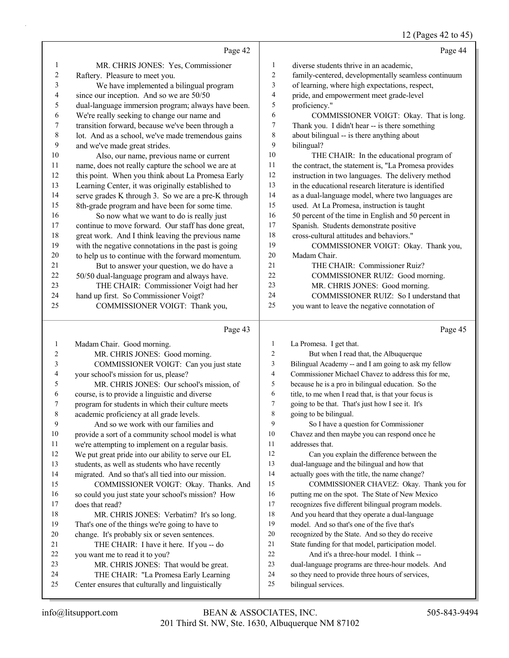# 12 (Pages 42 to 45)

|                | Page 42                                                                                    |                | Page 44                                                                                               |
|----------------|--------------------------------------------------------------------------------------------|----------------|-------------------------------------------------------------------------------------------------------|
| 1              | MR. CHRIS JONES: Yes, Commissioner                                                         | $\mathbf{1}$   | diverse students thrive in an academic,                                                               |
| $\overline{c}$ | Raftery. Pleasure to meet you.                                                             | $\overline{2}$ | family-centered, developmentally seamless continuum                                                   |
| 3              | We have implemented a bilingual program                                                    | 3              | of learning, where high expectations, respect,                                                        |
| 4              | since our inception. And so we are 50/50                                                   | 4              | pride, and empowerment meet grade-level                                                               |
| 5              | dual-language immersion program; always have been.                                         | 5              | proficiency."                                                                                         |
| 6              | We're really seeking to change our name and                                                | 6              | COMMISSIONER VOIGT: Okay. That is long.                                                               |
| 7              | transition forward, because we've been through a                                           | 7              | Thank you. I didn't hear -- is there something                                                        |
| $\,$ $\,$      | lot. And as a school, we've made tremendous gains                                          | 8              | about bilingual -- is there anything about                                                            |
| 9              | and we've made great strides.                                                              | 9              | bilingual?                                                                                            |
| 10             | Also, our name, previous name or current                                                   | 10             | THE CHAIR: In the educational program of                                                              |
| 11             | name, does not really capture the school we are at                                         | 11             | the contract, the statement is, "La Promesa provides                                                  |
| 12             | this point. When you think about La Promesa Early                                          | 12             | instruction in two languages. The delivery method                                                     |
| 13             | Learning Center, it was originally established to                                          | 13             | in the educational research literature is identified                                                  |
| 14             | serve grades K through 3. So we are a pre-K through                                        | 14             | as a dual-language model, where two languages are                                                     |
| 15             | 8th-grade program and have been for some time.                                             | 15             | used. At La Promesa, instruction is taught                                                            |
| 16             | So now what we want to do is really just                                                   | 16             | 50 percent of the time in English and 50 percent in                                                   |
| 17             | continue to move forward. Our staff has done great,                                        | 17             | Spanish. Students demonstrate positive                                                                |
| 18             | great work. And I think leaving the previous name                                          | 18             | cross-cultural attitudes and behaviors."                                                              |
| 19             | with the negative connotations in the past is going                                        | 19             | COMMISSIONER VOIGT: Okay. Thank you,                                                                  |
| $20\,$         | to help us to continue with the forward momentum.                                          | 20             | Madam Chair.                                                                                          |
| 21             | But to answer your question, we do have a                                                  | 21             | THE CHAIR: Commissioner Ruiz?                                                                         |
| 22             | 50/50 dual-language program and always have.                                               | 22             | COMMISSIONER RUIZ: Good morning.                                                                      |
| 23             | THE CHAIR: Commissioner Voigt had her                                                      | 23             | MR. CHRIS JONES: Good morning.                                                                        |
| 24<br>25       | hand up first. So Commissioner Voigt?                                                      | 24<br>25       | COMMISSIONER RUIZ: So I understand that                                                               |
|                | COMMISSIONER VOIGT: Thank you,                                                             |                | you want to leave the negative connotation of                                                         |
|                |                                                                                            |                |                                                                                                       |
|                | Page 43                                                                                    |                | Page 45                                                                                               |
| 1              | Madam Chair. Good morning.                                                                 | $\mathbf{1}$   | La Promesa. I get that.                                                                               |
| 2              | MR. CHRIS JONES: Good morning.                                                             | $\overline{c}$ | But when I read that, the Albuquerque                                                                 |
| 3              | COMMISSIONER VOIGT: Can you just state                                                     | 3              | Bilingual Academy -- and I am going to ask my fellow                                                  |
| 4              | your school's mission for us, please?                                                      | 4              | Commissioner Michael Chavez to address this for me,                                                   |
| 5              | MR. CHRIS JONES: Our school's mission, of                                                  | 5              | because he is a pro in bilingual education. So the                                                    |
| 6              | course, is to provide a linguistic and diverse                                             | 6              | title, to me when I read that, is that your focus is                                                  |
| 7              | program for students in which their culture meets                                          | 7              | going to be that. That's just how I see it. It's                                                      |
| 8              | academic proficiency at all grade levels.                                                  | 8              | going to be bilingual.                                                                                |
| 9              | And so we work with our families and                                                       | 9              | So I have a question for Commissioner                                                                 |
| 10             | provide a sort of a community school model is what                                         | 10             | Chavez and then maybe you can respond once he                                                         |
| 11             | we're attempting to implement on a regular basis.                                          | 11             | addresses that.                                                                                       |
| 12             | We put great pride into our ability to serve our EL                                        | 12             | Can you explain the difference between the                                                            |
| 13             | students, as well as students who have recently                                            | 13             | dual-language and the bilingual and how that                                                          |
| 14             | migrated. And so that's all tied into our mission.                                         | 14             | actually goes with the title, the name change?                                                        |
| 15             | COMMISSIONER VOIGT: Okay. Thanks. And                                                      | 15             | COMMISSIONER CHAVEZ: Okay. Thank you for                                                              |
| 16             | so could you just state your school's mission? How                                         | 16             | putting me on the spot. The State of New Mexico                                                       |
| 17             | does that read?                                                                            | 17<br>18       | recognizes five different bilingual program models.                                                   |
| 18<br>19       | MR. CHRIS JONES: Verbatim? It's so long.                                                   | 19             | And you heard that they operate a dual-language                                                       |
| 20             | That's one of the things we're going to have to                                            | $20\,$         | model. And so that's one of the five that's                                                           |
| 21             | change. It's probably six or seven sentences.<br>THE CHAIR: I have it here. If you -- do   | 21             | recognized by the State. And so they do receive<br>State funding for that model, participation model. |
| 22             | you want me to read it to you?                                                             | $22\,$         | And it's a three-hour model. I think --                                                               |
| 23             | MR. CHRIS JONES: That would be great.                                                      | 23             | dual-language programs are three-hour models. And                                                     |
| 24<br>25       | THE CHAIR: "La Promesa Early Learning<br>Center ensures that culturally and linguistically | 24<br>25       | so they need to provide three hours of services,<br>bilingual services.                               |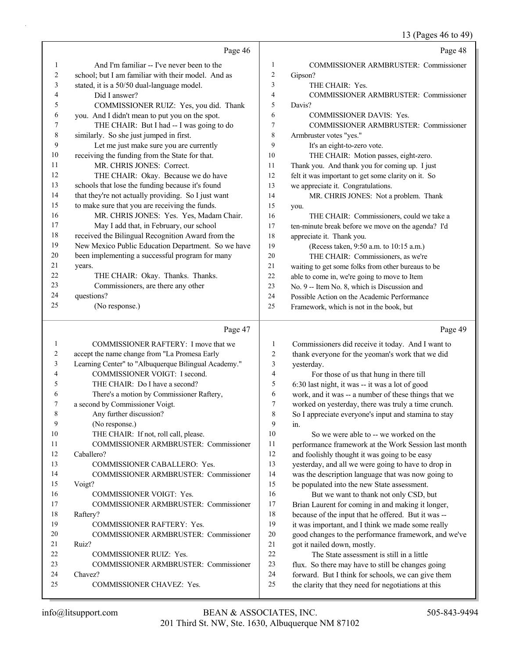13 (Pages 46 to 49)

|                | Page 46                                                                 |                | Page 48                                                                                                 |
|----------------|-------------------------------------------------------------------------|----------------|---------------------------------------------------------------------------------------------------------|
| 1              | And I'm familiar -- I've never been to the                              | 1              | COMMISSIONER ARMBRUSTER: Commissioner                                                                   |
| $\sqrt{2}$     | school; but I am familiar with their model. And as                      | $\overline{2}$ | Gipson?                                                                                                 |
| 3              | stated, it is a 50/50 dual-language model.                              | 3              | THE CHAIR: Yes.                                                                                         |
| $\overline{4}$ | Did I answer?                                                           | $\overline{4}$ | COMMISSIONER ARMBRUSTER: Commissioner                                                                   |
| 5              | COMMISSIONER RUIZ: Yes, you did. Thank                                  | 5              | Davis?                                                                                                  |
| 6              | you. And I didn't mean to put you on the spot.                          | 6              | <b>COMMISSIONER DAVIS: Yes.</b>                                                                         |
| 7              | THE CHAIR: But I had -- I was going to do                               | 7              | COMMISSIONER ARMBRUSTER: Commissioner                                                                   |
| 8              | similarly. So she just jumped in first.                                 | 8              | Armbruster votes "yes."                                                                                 |
| 9              | Let me just make sure you are currently                                 | 9              | It's an eight-to-zero vote.                                                                             |
| 10             | receiving the funding from the State for that.                          | 10             | THE CHAIR: Motion passes, eight-zero.                                                                   |
| 11             | MR. CHRIS JONES: Correct.                                               | 11             | Thank you. And thank you for coming up. I just                                                          |
| 12             | THE CHAIR: Okay. Because we do have                                     | 12             | felt it was important to get some clarity on it. So                                                     |
| 13             | schools that lose the funding because it's found                        | 13             | we appreciate it. Congratulations.                                                                      |
| 14             | that they're not actually providing. So I just want                     | 14             | MR. CHRIS JONES: Not a problem. Thank                                                                   |
| 15             | to make sure that you are receiving the funds.                          | 15             | you.                                                                                                    |
| 16             | MR. CHRIS JONES: Yes. Yes, Madam Chair.                                 | 16             | THE CHAIR: Commissioners, could we take a                                                               |
| 17             | May I add that, in February, our school                                 | 17             | ten-minute break before we move on the agenda? I'd                                                      |
| 18             | received the Bilingual Recognition Award from the                       | 18             | appreciate it. Thank you.                                                                               |
| 19             | New Mexico Public Education Department. So we have                      | 19             | (Recess taken, 9:50 a.m. to 10:15 a.m.)                                                                 |
| 20             | been implementing a successful program for many                         | 20             | THE CHAIR: Commissioners, as we're                                                                      |
| 21             | years.                                                                  | 21             | waiting to get some folks from other bureaus to be                                                      |
| 22             | THE CHAIR: Okay. Thanks. Thanks.                                        | 22             | able to come in, we're going to move to Item                                                            |
| 23<br>24       | Commissioners, are there any other                                      | 23             | No. 9 -- Item No. 8, which is Discussion and                                                            |
| 25             | questions?                                                              | 24             | Possible Action on the Academic Performance                                                             |
|                | (No response.)                                                          | 25             | Framework, which is not in the book, but                                                                |
|                |                                                                         |                |                                                                                                         |
|                | Page 47                                                                 |                | Page 49                                                                                                 |
| $\mathbf{1}$   | COMMISSIONER RAFTERY: I move that we                                    | 1              | Commissioners did receive it today. And I want to                                                       |
| 2              | accept the name change from "La Promesa Early                           | 2              | thank everyone for the yeoman's work that we did                                                        |
| 3              | Learning Center" to "Albuquerque Bilingual Academy."                    | 3              | yesterday.                                                                                              |
| 4              | COMMISSIONER VOIGT: I second.                                           | 4              | For those of us that hung in there till                                                                 |
| 5              | THE CHAIR: Do I have a second?                                          | 5              | 6:30 last night, it was -- it was a lot of good                                                         |
| 6              | There's a motion by Commissioner Raftery,                               | 6              | work, and it was -- a number of these things that we                                                    |
| 7              | a second by Commissioner Voigt.                                         | 7              | worked on yesterday, there was truly a time crunch.                                                     |
| 8              | Any further discussion?                                                 | $\,8$          | So I appreciate everyone's input and stamina to stay                                                    |
| 9              | (No response.)                                                          | 9              | in.                                                                                                     |
| 10             | THE CHAIR: If not, roll call, please.                                   | 10             | So we were able to -- we worked on the                                                                  |
| 11             | COMMISSIONER ARMBRUSTER: Commissioner                                   | 11             | performance framework at the Work Session last month                                                    |
| 12             | Caballero?                                                              | 12             | and foolishly thought it was going to be easy                                                           |
| 13             | COMMISSIONER CABALLERO: Yes.                                            | 13             | yesterday, and all we were going to have to drop in                                                     |
| 14             | COMMISSIONER ARMBRUSTER: Commissioner                                   | 14             | was the description language that was now going to                                                      |
| 15             | Voigt?                                                                  | 15             | be populated into the new State assessment.                                                             |
| 16             | COMMISSIONER VOIGT: Yes.                                                | 16             | But we want to thank not only CSD, but                                                                  |
| 17             | COMMISSIONER ARMBRUSTER: Commissioner                                   | 17             | Brian Laurent for coming in and making it longer,                                                       |
| 18             | Raftery?                                                                | 18             | because of the input that he offered. But it was --                                                     |
| 19             | <b>COMMISSIONER RAFTERY: Yes.</b>                                       | 19             | it was important, and I think we made some really                                                       |
| 20<br>21       | <b>COMMISSIONER ARMBRUSTER: Commissioner</b><br>Ruiz?                   | 20<br>21       | good changes to the performance framework, and we've                                                    |
| 22             |                                                                         | 22             | got it nailed down, mostly.<br>The State assessment is still in a little                                |
| 23             | COMMISSIONER RUIZ: Yes.<br><b>COMMISSIONER ARMBRUSTER: Commissioner</b> | 23             |                                                                                                         |
| 24             | Chavez?                                                                 | 24             | flux. So there may have to still be changes going<br>forward. But I think for schools, we can give them |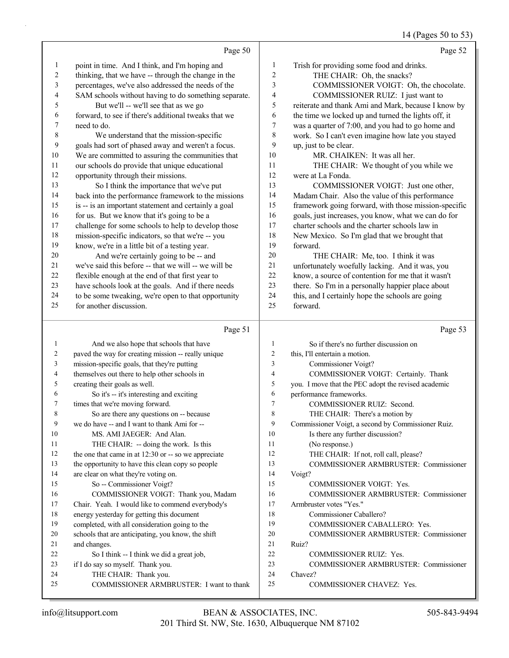#### 14 (Pages 50 to 53)

|                | Page 50                                              |                | Page 52                                              |
|----------------|------------------------------------------------------|----------------|------------------------------------------------------|
| 1              | point in time. And I think, and I'm hoping and       | $\mathbf{1}$   | Trish for providing some food and drinks.            |
| $\overline{2}$ | thinking, that we have -- through the change in the  | $\overline{c}$ | THE CHAIR: Oh, the snacks?                           |
| 3              | percentages, we've also addressed the needs of the   | 3              | COMMISSIONER VOIGT: Oh, the chocolate.               |
| 4              | SAM schools without having to do something separate. | 4              | COMMISSIONER RUIZ: I just want to                    |
| 5              | But we'll -- we'll see that as we go                 | 5              | reiterate and thank Ami and Mark, because I know by  |
| 6              | forward, to see if there's additional tweaks that we | 6              | the time we locked up and turned the lights off, it  |
| 7              | need to do.                                          | 7              | was a quarter of 7:00, and you had to go home and    |
| 8              | We understand that the mission-specific              | 8              | work. So I can't even imagine how late you stayed    |
| $\mathbf{9}$   | goals had sort of phased away and weren't a focus.   | 9              | up, just to be clear.                                |
| 10             | We are committed to assuring the communities that    | 10             | MR. CHAIKEN: It was all her.                         |
| 11             | our schools do provide that unique educational       | 11             | THE CHAIR: We thought of you while we                |
| 12             | opportunity through their missions.                  | 12             | were at La Fonda.                                    |
| 13             | So I think the importance that we've put             | 13             | COMMISSIONER VOIGT: Just one other,                  |
| 14             | back into the performance framework to the missions  | 14             | Madam Chair. Also the value of this performance      |
| 15             | is -- is an important statement and certainly a goal | 15             | framework going forward, with those mission-specific |
| 16             | for us. But we know that it's going to be a          | 16             | goals, just increases, you know, what we can do for  |
| 17             | challenge for some schools to help to develop those  | 17             | charter schools and the charter schools law in       |
| 18             | mission-specific indicators, so that we're -- you    | 18             | New Mexico. So I'm glad that we brought that         |
| 19             | know, we're in a little bit of a testing year.       | 19             | forward.                                             |
| 20             | And we're certainly going to be -- and               | 20             | THE CHAIR: Me, too. I think it was                   |
| 21             | we've said this before -- that we will -- we will be | 21             | unfortunately woefully lacking. And it was, you      |
| 22             | flexible enough at the end of that first year to     | 22             | know, a source of contention for me that it wasn't   |
| 23             | have schools look at the goals. And if there needs   | 23             | there. So I'm in a personally happier place about    |
| 24             | to be some tweaking, we're open to that opportunity  | 24             | this, and I certainly hope the schools are going     |
| 25             | for another discussion.                              | 25             | forward.                                             |
|                |                                                      |                |                                                      |
|                | Page 51                                              |                | Page 53                                              |
| 1              | And we also hope that schools that have              | 1              | So if there's no further discussion on               |
| 2              | paved the way for creating mission -- really unique  | $\overline{2}$ | this, I'll entertain a motion.                       |
| 3              | mission-specific goals, that they're putting         | 3              | Commissioner Voigt?                                  |
| 4              | themselves out there to help other schools in        | $\overline{4}$ | COMMISSIONER VOIGT: Certainly. Thank                 |
| 5              | creating their goals as well.                        | 5              | you. I move that the PEC adopt the revised academic  |

| ◡  | you. I move that the r LC adopt |
|----|---------------------------------|
| -6 | performance frameworks.         |

- 7 COMMISSIONER RUIZ: Second.
- 8 THE CHAIR: There's a motion by
- 9 Commissioner Voigt, a second by Commissioner Ruiz.
- 10 Is there any further discussion?
- 11 (No response.)
- 12 THE CHAIR: If not, roll call, please?
- 25 COMMISSIONER ARMBRUSTER: I want to thank 13 COMMISSIONER ARMBRUSTER: Commissioner 14 Voigt? 15 COMMISSIONER VOIGT: Yes. 16 COMMISSIONER ARMBRUSTER: Commissioner 17 Armbruster votes "Yes." 18 Commissioner Caballero? 19 COMMISSIONER CABALLERO: Yes. 20 COMMISSIONER ARMBRUSTER: Commissioner 21 Ruiz? 22 COMMISSIONER RUIZ: Yes. 23 COMMISSIONER ARMBRUSTER: Commissioner 24 Chavez? 25 COMMISSIONER CHAVEZ: Yes.

21 and changes.

6 So it's -- it's interesting and exciting

8 So are there any questions on -- because 9 we do have -- and I want to thank Ami for -- 10 MS. AMI JAEGER: And Alan. 11 THE CHAIR: -- doing the work. Is this 12 the one that came in at 12:30 or -- so we appreciate 13 the opportunity to have this clean copy so people

16 COMMISSIONER VOIGT: Thank you, Madam 17 Chair. Yeah. I would like to commend everybody's

7 times that we're moving forward.

14 are clear on what they're voting on. 15 So -- Commissioner Voigt?

18 energy yesterday for getting this document 19 completed, with all consideration going to the 20 schools that are anticipating, you know, the shift

22 So I think -- I think we did a great job,

23 if I do say so myself. Thank you. 24 THE CHAIR: Thank you.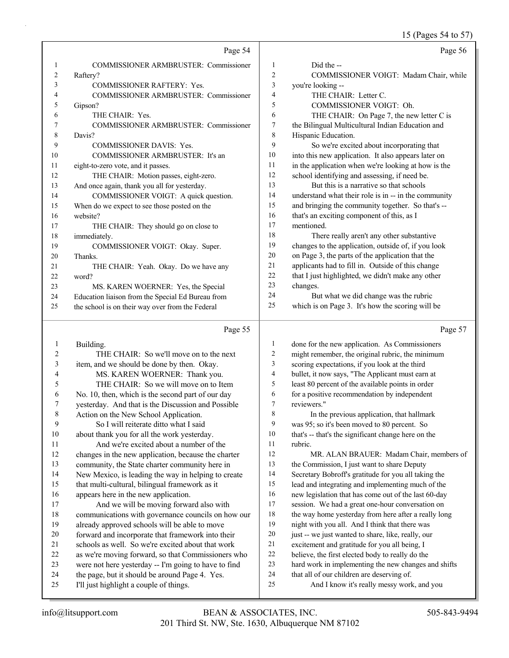|                |                                                      |                  | 15 (Pages 54 to 57)                                  |
|----------------|------------------------------------------------------|------------------|------------------------------------------------------|
|                | Page 54                                              |                  | Page 56                                              |
| 1              | COMMISSIONER ARMBRUSTER: Commissioner                | $\mathbf{1}$     | Did the --                                           |
| 2              | Raftery?                                             | $\overline{c}$   | COMMISSIONER VOIGT: Madam Chair, while               |
| 3              | COMMISSIONER RAFTERY: Yes.                           | 3                | you're looking --                                    |
| 4              | COMMISSIONER ARMBRUSTER: Commissioner                | 4                | THE CHAIR: Letter C.                                 |
| 5              | Gipson?                                              | 5                | COMMISSIONER VOIGT: Oh.                              |
| 6              | THE CHAIR: Yes.                                      | 6                | THE CHAIR: On Page 7, the new letter C is            |
| 7              | COMMISSIONER ARMBRUSTER: Commissioner                | 7                | the Bilingual Multicultural Indian Education and     |
| 8              | Davis?                                               | 8                | Hispanic Education.                                  |
| 9              | <b>COMMISSIONER DAVIS: Yes.</b>                      | 9                | So we're excited about incorporating that            |
| 10             | COMMISSIONER ARMBRUSTER: It's an                     | 10               | into this new application. It also appears later on  |
| 11             | eight-to-zero vote, and it passes.                   | 11               | in the application when we're looking at how is the  |
| 12             | THE CHAIR: Motion passes, eight-zero.                | 12               | school identifying and assessing, if need be.        |
| 13             | And once again, thank you all for yesterday.         | 13               | But this is a narrative so that schools              |
| 14             | COMMISSIONER VOIGT: A quick question.                | 14               | understand what their role is in -- in the community |
| 15             | When do we expect to see those posted on the         | 15               | and bringing the community together. So that's --    |
| 16             | website?                                             | 16               | that's an exciting component of this, as I           |
| 17             | THE CHAIR: They should go on close to                | 17               | mentioned.                                           |
| 18             | immediately.                                         | 18               | There really aren't any other substantive            |
| 19             | COMMISSIONER VOIGT: Okay. Super.                     | 19               | changes to the application, outside of, if you look  |
| 20             | Thanks.                                              | 20               | on Page 3, the parts of the application that the     |
| 21             | THE CHAIR: Yeah. Okay. Do we have any                | $21$             | applicants had to fill in. Outside of this change    |
| 22             | word?                                                | 22               | that I just highlighted, we didn't make any other    |
| 23             | MS. KAREN WOERNER: Yes, the Special                  | 23               | changes.                                             |
| 24             | Education liaison from the Special Ed Bureau from    | 24               | But what we did change was the rubric                |
| 25             | the school is on their way over from the Federal     | 25               | which is on Page 3. It's how the scoring will be     |
|                | Page 55                                              |                  | Page 57                                              |
| $\mathbf{1}$   | Building.                                            | $\mathbf{1}$     | done for the new application. As Commissioners       |
| $\overline{c}$ | THE CHAIR: So we'll move on to the next              | 2                | might remember, the original rubric, the minimum     |
| 3              | item, and we should be done by then. Okay.           | 3                | scoring expectations, if you look at the third       |
| 4              | MS. KAREN WOERNER: Thank you.                        | 4                | bullet, it now says, "The Applicant must earn at     |
| 5              | THE CHAIR: So we will move on to Item                | 5                | least 80 percent of the available points in order    |
| 6              | No. 10, then, which is the second part of our day    | 6                | for a positive recommendation by independent         |
| 7              | yesterday. And that is the Discussion and Possible   | $\boldsymbol{7}$ | reviewers."                                          |
| $\,$ 8 $\,$    | Action on the New School Application.                | 8                | In the previous application, that hallmark           |
| 9              | So I will reiterate ditto what I said                | 9                | was 95; so it's been moved to 80 percent. So         |
| $10\,$         | about thank you for all the work yesterday.          | 10               | that's -- that's the significant change here on the  |
| 11             | And we're excited about a number of the              | 11               | rubric.                                              |
| 12             | changes in the new application, because the charter  | 12               | MR. ALAN BRAUER: Madam Chair, members of             |
| 13             | community, the State charter community here in       | 13               | the Commission, I just want to share Deputy          |
| 14             | New Mexico, is leading the way in helping to create  | 14               | Secretary Bobroff's gratitude for you all taking the |
| 15             | that multi-cultural, bilingual framework as it       | 15               | lead and integrating and implementing much of the    |
| 16             | appears here in the new application.                 | 16               | new legislation that has come out of the last 60-day |
| 17             | And we will be moving forward also with              | 17               | session. We had a great one-hour conversation on     |
| $18\,$         | communications with governance councils on how our   | 18               | the way home yesterday from here after a really long |
| 19             | already approved schools will be able to move        | 19               | night with you all. And I think that there was       |
| $20\,$         | forward and incorporate that framework into their    | $20\,$           | just -- we just wanted to share, like, really, our   |
| 21             | schools as well. So we're excited about that work    | 21               | excitement and gratitude for you all being, I        |
| 22             | as we're moving forward, so that Commissioners who   | 22               | believe, the first elected body to really do the     |
| 23             | were not here yesterday -- I'm going to have to find | 23               | hard work in implementing the new changes and shifts |
| 24             | the page, but it should be around Page 4. Yes.       | 24               | that all of our children are deserving of.           |

- were not here yesterday -- I'm going to have to find
- the page, but it should be around Page 4. Yes. I'll just highlight a couple of things.
- 25 And I know it's really messy work, and you

that all of our children are deserving of.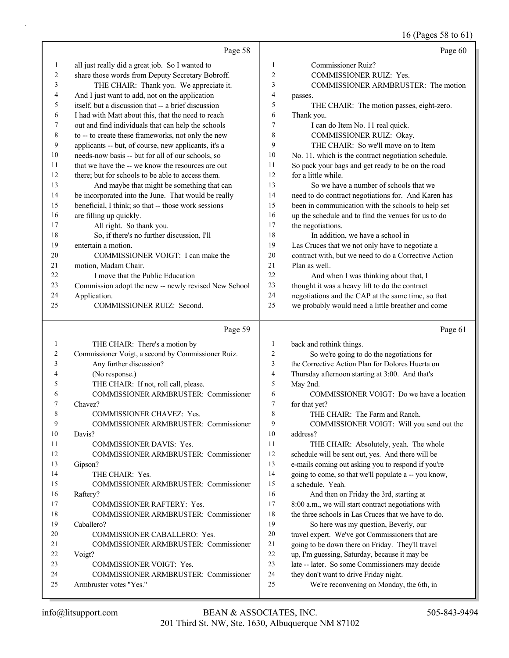# 16 (Pages 58 to 61)

|                         | Page 58                                                                 |                         | Page 60                                                                            |
|-------------------------|-------------------------------------------------------------------------|-------------------------|------------------------------------------------------------------------------------|
| $\mathbf{1}$            | all just really did a great job. So I wanted to                         | 1                       | <b>Commissioner Ruiz?</b>                                                          |
| 2                       | share those words from Deputy Secretary Bobroff.                        | $\overline{c}$          | COMMISSIONER RUIZ: Yes.                                                            |
| 3                       | THE CHAIR: Thank you. We appreciate it.                                 | 3                       | COMMISSIONER ARMBRUSTER: The motion                                                |
| 4                       | And I just want to add, not on the application                          | 4                       | passes.                                                                            |
| 5                       | itself, but a discussion that -- a brief discussion                     | 5                       | THE CHAIR: The motion passes, eight-zero.                                          |
| 6                       | I had with Matt about this, that the need to reach                      | 6                       | Thank you.                                                                         |
| 7                       | out and find individuals that can help the schools                      | 7                       | I can do Item No. 11 real quick.                                                   |
| $\,8\,$                 | to -- to create these frameworks, not only the new                      | 8                       | COMMISSIONER RUIZ: Okay.                                                           |
| 9                       | applicants -- but, of course, new applicants, it's a                    | 9                       | THE CHAIR: So we'll move on to Item                                                |
| 10                      | needs-now basis -- but for all of our schools, so                       | 10                      | No. 11, which is the contract negotiation schedule.                                |
| 11                      | that we have the -- we know the resources are out                       | 11                      | So pack your bags and get ready to be on the road                                  |
| 12                      | there; but for schools to be able to access them.                       | 12                      | for a little while.                                                                |
| 13                      | And maybe that might be something that can                              | 13                      | So we have a number of schools that we                                             |
| 14                      | be incorporated into the June. That would be really                     | 14                      | need to do contract negotiations for. And Karen has                                |
| 15                      | beneficial, I think; so that -- those work sessions                     | 15                      | been in communication with the schools to help set                                 |
| 16                      | are filling up quickly.                                                 | 16                      | up the schedule and to find the venues for us to do                                |
| 17                      | All right. So thank you.                                                | 17                      | the negotiations.                                                                  |
| 18                      | So, if there's no further discussion, I'll                              | 18                      | In addition, we have a school in                                                   |
| 19                      | entertain a motion.                                                     | 19                      | Las Cruces that we not only have to negotiate a                                    |
| 20                      | COMMISSIONER VOIGT: I can make the                                      | 20                      | contract with, but we need to do a Corrective Action                               |
| 21                      | motion, Madam Chair.                                                    | 21                      | Plan as well.                                                                      |
| 22                      | I move that the Public Education                                        | 22                      | And when I was thinking about that, I                                              |
| 23                      | Commission adopt the new -- newly revised New School                    | 23                      | thought it was a heavy lift to do the contract                                     |
| 24                      | Application.                                                            | 24                      | negotiations and the CAP at the same time, so that                                 |
| 25                      | COMMISSIONER RUIZ: Second.                                              | 25                      | we probably would need a little breather and come                                  |
|                         | Page 59                                                                 |                         | Page 61                                                                            |
| $\mathbf{1}$            | THE CHAIR: There's a motion by                                          | $\mathbf{1}$            | back and rethink things.                                                           |
| $\overline{\mathbf{c}}$ | Commissioner Voigt, a second by Commissioner Ruiz.                      | $\overline{c}$          | So we're going to do the negotiations for                                          |
| 3                       | Any further discussion?                                                 | 3                       | the Corrective Action Plan for Dolores Huerta on                                   |
| 4                       | (No response.)                                                          | $\overline{\mathbf{4}}$ | Thursday afternoon starting at 3:00. And that's                                    |
| 5                       | THE CHAIR: If not, roll call, please.                                   | 5                       | May 2nd.                                                                           |
| 6                       | COMMISSIONER ARMBRUSTER: Commissioner                                   | 6                       | COMMISSIONER VOIGT: Do we have a location                                          |
| 7                       | Chavez?                                                                 | $\tau$                  | for that yet?                                                                      |
| 8                       | COMMISSIONER CHAVEZ: Yes.                                               | 8                       | THE CHAIR: The Farm and Ranch.                                                     |
| 9                       | COMMISSIONER ARMBRUSTER: Commissioner                                   | 9                       | COMMISSIONER VOIGT: Will you send out the                                          |
| 10                      | Davis?                                                                  | 10                      | address?                                                                           |
| 11                      |                                                                         |                         |                                                                                    |
| 12                      | <b>COMMISSIONER DAVIS: Yes.</b>                                         | 11                      | THE CHAIR: Absolutely, yeah. The whole                                             |
|                         | COMMISSIONER ARMBRUSTER: Commissioner                                   | 12                      | schedule will be sent out, yes. And there will be                                  |
| 13                      | Gipson?                                                                 | 13                      | e-mails coming out asking you to respond if you're                                 |
| 14                      | THE CHAIR: Yes.                                                         | 14                      | going to come, so that we'll populate a -- you know,                               |
| 15                      | COMMISSIONER ARMBRUSTER: Commissioner                                   | 15                      | a schedule. Yeah.                                                                  |
| 16                      | Raftery?                                                                | 16                      | And then on Friday the 3rd, starting at                                            |
| 17                      | COMMISSIONER RAFTERY: Yes.                                              | 17                      | 8:00 a.m., we will start contract negotiations with                                |
| 18                      | <b>COMMISSIONER ARMBRUSTER: Commissioner</b>                            | 18                      | the three schools in Las Cruces that we have to do.                                |
| 19                      | Caballero?                                                              | 19                      | So here was my question, Beverly, our                                              |
| 20                      | COMMISSIONER CABALLERO: Yes.                                            | 20                      | travel expert. We've got Commissioners that are                                    |
| 21                      | COMMISSIONER ARMBRUSTER: Commissioner                                   | 21                      | going to be down there on Friday. They'll travel                                   |
| 22                      | Voigt?                                                                  | 22                      | up, I'm guessing, Saturday, because it may be                                      |
| 23                      | <b>COMMISSIONER VOIGT: Yes.</b>                                         | 23                      | late -- later. So some Commissioners may decide                                    |
| 24<br>25                | <b>COMMISSIONER ARMBRUSTER: Commissioner</b><br>Armbruster votes "Yes." | 24<br>25                | they don't want to drive Friday night.<br>We're reconvening on Monday, the 6th, in |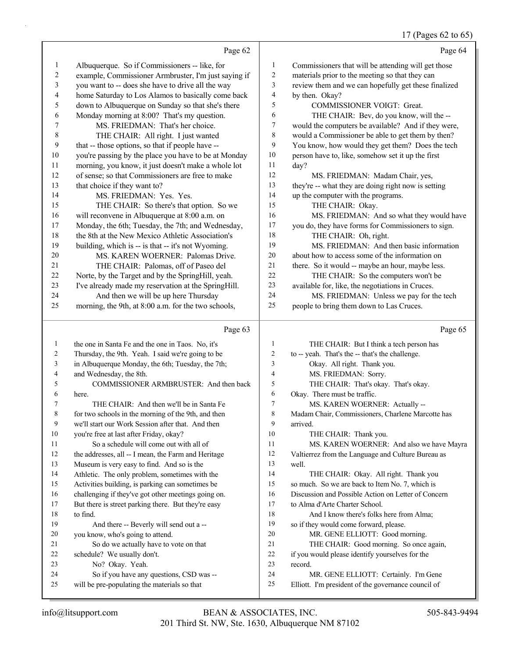# 17 (Pages 62 to 65)

|                  | Page 62                                                     |                | Page 64                                              |
|------------------|-------------------------------------------------------------|----------------|------------------------------------------------------|
| $\mathbf{1}$     | Albuquerque. So if Commissioners -- like, for               | $\mathbf{1}$   | Commissioners that will be attending will get those  |
| $\overline{c}$   | example, Commissioner Armbruster, I'm just saying if        | 2              | materials prior to the meeting so that they can      |
| 3                | you want to -- does she have to drive all the way           | 3              | review them and we can hopefully get these finalized |
| 4                | home Saturday to Los Alamos to basically come back          | 4              | by then. Okay?                                       |
| 5                | down to Albuquerque on Sunday so that she's there           | 5              | COMMISSIONER VOIGT: Great.                           |
| 6                | Monday morning at 8:00? That's my question.                 | 6              | THE CHAIR: Bev, do you know, will the --             |
| 7                | MS. FRIEDMAN: That's her choice.                            | 7              | would the computers be available? And if they were,  |
| 8                | THE CHAIR: All right. I just wanted                         | 8              | would a Commissioner be able to get them by then?    |
| $\boldsymbol{9}$ | that -- those options, so that if people have --            | 9              | You know, how would they get them? Does the tech     |
| $10\,$           | you're passing by the place you have to be at Monday        | 10             | person have to, like, somehow set it up the first    |
| 11               | morning, you know, it just doesn't make a whole lot         | 11             | day?                                                 |
| 12               | of sense; so that Commissioners are free to make            | 12             | MS. FRIEDMAN: Madam Chair, yes,                      |
| 13               | that choice if they want to?                                | 13             | they're -- what they are doing right now is setting  |
| 14               | MS. FRIEDMAN: Yes. Yes.                                     | 14             | up the computer with the programs.                   |
| 15               | THE CHAIR: So there's that option. So we                    | 15             | THE CHAIR: Okay.                                     |
| 16               | will reconvene in Albuquerque at 8:00 a.m. on               | 16             | MS. FRIEDMAN: And so what they would have            |
| 17               | Monday, the 6th; Tuesday, the 7th; and Wednesday,           | 17             | you do, they have forms for Commissioners to sign.   |
| 18               | the 8th at the New Mexico Athletic Association's            | 18             | THE CHAIR: Oh, right.                                |
| 19               | building, which is -- is that -- it's not Wyoming.          | 19             | MS. FRIEDMAN: And then basic information             |
| 20               | MS. KAREN WOERNER: Palomas Drive.                           | 20             | about how to access some of the information on       |
| 21               | THE CHAIR: Palomas, off of Paseo del                        | 21             | there. So it would -- maybe an hour, maybe less.     |
| 22               | Norte, by the Target and by the SpringHill, yeah.           | 22             | THE CHAIR: So the computers won't be                 |
| 23               | I've already made my reservation at the SpringHill.         | 23             | available for, like, the negotiations in Cruces.     |
| 24               | And then we will be up here Thursday                        | 24             | MS. FRIEDMAN: Unless we pay for the tech             |
| 25               | morning, the 9th, at 8:00 a.m. for the two schools,         | 25             | people to bring them down to Las Cruces.             |
|                  |                                                             |                |                                                      |
|                  | Page 63                                                     |                | Page 65                                              |
| $\mathbf{1}$     | the one in Santa Fe and the one in Taos. No, it's           | $\mathbf{1}$   | THE CHAIR: But I think a tech person has             |
| $\overline{c}$   | Thursday, the 9th. Yeah. I said we're going to be           | $\sqrt{2}$     | to -- yeah. That's the -- that's the challenge.      |
| 3                | in Albuquerque Monday, the 6th; Tuesday, the 7th;           | $\mathfrak{Z}$ | Okay. All right. Thank you.                          |
| 4                | and Wednesday, the 8th.                                     | $\overline{4}$ | MS. FRIEDMAN: Sorry.                                 |
| 5                | COMMISSIONER ARMBRUSTER: And then back                      | $\mathfrak s$  | THE CHAIR: That's okay. That's okay.                 |
| 6                | here.                                                       | 6              | Okay. There must be traffic.                         |
| 7                | THE CHAIR: And then we'll be in Santa Fe                    | $\overline{7}$ | MS. KAREN WOERNER: Actually --                       |
| $\,$ 8 $\,$      | for two schools in the morning of the 9th, and then         | $\,$ $\,$      | Madam Chair, Commissioners, Charlene Marcotte has    |
| 9                | we'll start our Work Session after that. And then           | 9              | arrived.                                             |
| 10               | you're free at last after Friday, okay?                     | 10             | THE CHAIR: Thank you.                                |
| 11               | So a schedule will come out with all of                     | 11             | MS. KAREN WOERNER: And also we have Mayra            |
| 12               | the addresses, all -- I mean, the Farm and Heritage         | 12             | Valtierrez from the Language and Culture Bureau as   |
| 13               | Museum is very easy to find. And so is the                  | 13             | well.                                                |
| 14               | Athletic. The only problem, sometimes with the              | 14             | THE CHAIR: Okay. All right. Thank you                |
| 15               | Activities building, is parking can sometimes be            | 15             | so much. So we are back to Item No. 7, which is      |
| 16               | challenging if they've got other meetings going on.         | 16             | Discussion and Possible Action on Letter of Concern  |
| 17               | But there is street parking there. But they're easy         | 17             | to Alma d'Arte Charter School.                       |
| 18               | to find.                                                    | 18             | And I know there's folks here from Alma;             |
| 19               | And there -- Beverly will send out a --                     | 19             | so if they would come forward, please.               |
| 20               | you know, who's going to attend.                            | 20             | MR. GENE ELLIOTT: Good morning.                      |
| 21               | So do we actually have to vote on that                      | 21             | THE CHAIR: Good morning. So once again,              |
| 22<br>23         | schedule? We usually don't.                                 | 22             | if you would please identify yourselves for the      |
| 24               | No? Okay. Yeah.<br>So if you have any questions, CSD was -- | 23<br>24       | record.<br>MR. GENE ELLIOTT: Certainly. I'm Gene     |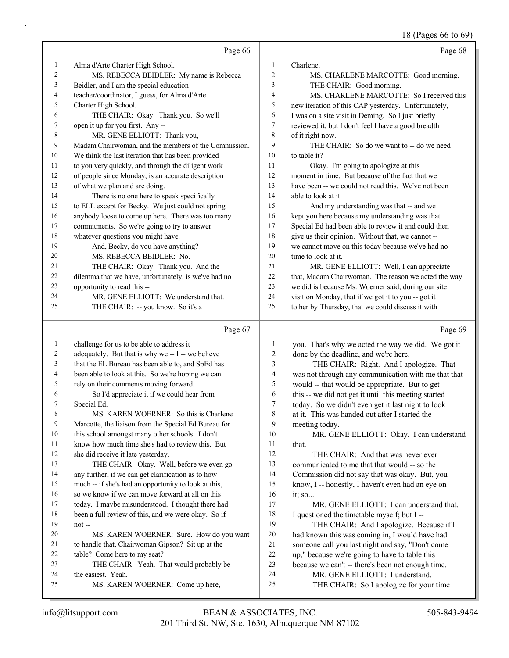18 (Pages 66 to 69)

|                |                                                      |                          | 18 (Pages 66 to 69)                                  |
|----------------|------------------------------------------------------|--------------------------|------------------------------------------------------|
|                | Page 66                                              |                          | Page 68                                              |
| 1              | Alma d'Arte Charter High School.                     | 1                        | Charlene.                                            |
| $\overline{c}$ | MS. REBECCA BEIDLER: My name is Rebecca              | $\overline{c}$           | MS. CHARLENE MARCOTTE: Good morning.                 |
| 3              | Beidler, and I am the special education              | 3                        | THE CHAIR: Good morning.                             |
| 4              | teacher/coordinator, I guess, for Alma d'Arte        | 4                        | MS. CHARLENE MARCOTTE: So I received this            |
| 5              | Charter High School.                                 | 5                        | new iteration of this CAP yesterday. Unfortunately,  |
| 6              | THE CHAIR: Okay. Thank you. So we'll                 | 6                        | I was on a site visit in Deming. So I just briefly   |
| 7              | open it up for you first. Any --                     | $\tau$                   | reviewed it, but I don't feel I have a good breadth  |
| 8              | MR. GENE ELLIOTT: Thank you,                         | 8                        | of it right now.                                     |
| 9              | Madam Chairwoman, and the members of the Commission. | 9                        | THE CHAIR: So do we want to -- do we need            |
| 10             | We think the last iteration that has been provided   | 10                       | to table it?                                         |
| 11             | to you very quickly, and through the diligent work   | 11                       | Okay. I'm going to apologize at this                 |
| 12             | of people since Monday, is an accurate description   | 12                       | moment in time. But because of the fact that we      |
| 13             | of what we plan and are doing.                       | 13                       | have been -- we could not read this. We've not been  |
| 14             | There is no one here to speak specifically           | 14                       | able to look at it.                                  |
| 15             | to ELL except for Becky. We just could not spring    | 15                       | And my understanding was that -- and we              |
| 16             | anybody loose to come up here. There was too many    | 16                       | kept you here because my understanding was that      |
| 17             | commitments. So we're going to try to answer         | 17                       | Special Ed had been able to review it and could then |
| 18             | whatever questions you might have.                   | 18                       | give us their opinion. Without that, we cannot --    |
| 19             | And, Becky, do you have anything?                    | 19                       | we cannot move on this today because we've had no    |
| 20             | MS. REBECCA BEIDLER: No.                             | 20                       | time to look at it.                                  |
| 21             | THE CHAIR: Okay. Thank you. And the                  | 21                       | MR. GENE ELLIOTT: Well, I can appreciate             |
| 22             | dilemma that we have, unfortunately, is we've had no | 22                       | that, Madam Chairwoman. The reason we acted the way  |
| 23             | opportunity to read this --                          | 23                       | we did is because Ms. Woerner said, during our site  |
| 24             | MR. GENE ELLIOTT: We understand that.                | 24                       | visit on Monday, that if we got it to you -- got it  |
| 25             | THE CHAIR: -- you know. So it's a                    | 25                       | to her by Thursday, that we could discuss it with    |
|                | Page 67                                              |                          | Page 69                                              |
| 1              | challenge for us to be able to address it            | 1                        | you. That's why we acted the way we did. We got it   |
| 2              | adequately. But that is why we -- I -- we believe    | 2                        | done by the deadline, and we're here.                |
| 3              | that the EL Bureau has been able to, and SpEd has    | 3                        | THE CHAIR: Right. And I apologize. That              |
| 4              | been able to look at this. So we're hoping we can    | $\overline{\mathcal{A}}$ | was not through any communication with me that that  |
| 5              | rely on their comments moving forward.               | 5                        | would -- that would be appropriate. But to get       |
| 6              | So I'd appreciate it if we could hear from           | 6                        | this -- we did not get it until this meeting started |
| 7              | Special Ed.                                          | 7                        | today. So we didn't even get it last night to look   |
| 8              | MS. KAREN WOERNER: So this is Charlene               | 8                        | at it. This was handed out after I started the       |
| 9              | Marcotte, the liaison from the Special Ed Bureau for | 9                        | meeting today.                                       |
| 10             | this school amongst many other schools. I don't      | 10                       | MR. GENE ELLIOTT: Okay. I can understand             |
| 11             | know how much time she's had to review this. But     | 11                       | that.                                                |
| 12             | she did receive it late yesterday.                   | 12                       | THE CHAIR: And that was never ever                   |
| 13             | THE CHAIR: Okay. Well, before we even go             | 13                       | communicated to me that that would -- so the         |
| 14             | any further, if we can get clarification as to how   | 14                       | Commission did not say that was okay. But, you       |
| 15             | much -- if she's had an opportunity to look at this, | 15                       | know, I -- honestly, I haven't even had an eye on    |
| 16             | so we know if we can move forward at all on this     | 16                       | it; so                                               |
| 17             | today. I maybe misunderstood. I thought there had    | 17                       | MR. GENE ELLIOTT: I can understand that.             |
| 18             | been a full review of this, and we were okay. So if  | 18                       | I questioned the timetable myself; but I --          |
| 19             | not-                                                 | 19                       | THE CHAIR: And I apologize. Because if I             |
| 20             | MS. KAREN WOERNER: Sure. How do you want             | 20                       | had known this was coming in, I would have had       |

 to handle that, Chairwoman Gipson? Sit up at the table? Come here to my seat? 23 THE CHAIR: Yeah. That would probably be the easiest. Yeah.

25 MS. KAREN WOERNER: Come up here,

- because we can't -- there's been not enough time.
- 24 MR. GENE ELLIOTT: I understand.

 someone call you last night and say, "Don't come up," because we're going to have to table this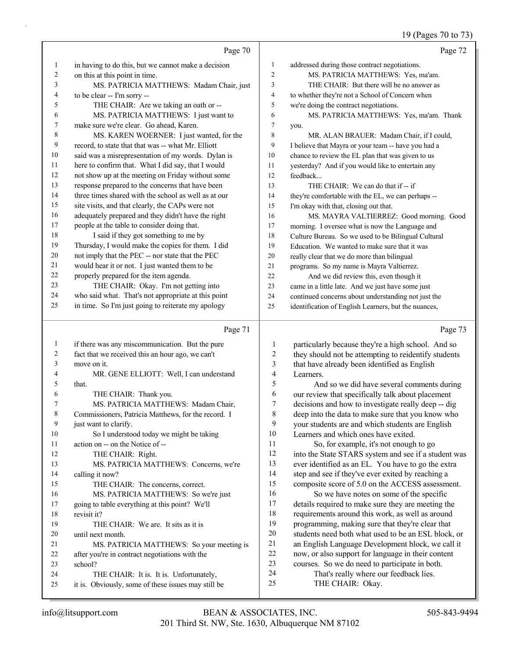# 19 (Pages 70 to 73)

|                | Page 70                                                                                        |                         | Page 72                                                    |
|----------------|------------------------------------------------------------------------------------------------|-------------------------|------------------------------------------------------------|
| $\mathbf{1}$   | in having to do this, but we cannot make a decision                                            | $\mathbf{1}$            | addressed during those contract negotiations.              |
| $\overline{c}$ | on this at this point in time.                                                                 | $\overline{2}$          | MS. PATRICIA MATTHEWS: Yes, ma'am.                         |
| 3              | MS. PATRICIA MATTHEWS: Madam Chair, just                                                       | 3                       | THE CHAIR: But there will be no answer as                  |
| 4              | to be clear -- I'm sorry --                                                                    | $\overline{4}$          | to whether they're not a School of Concern when            |
| 5              | THE CHAIR: Are we taking an oath or --                                                         | $\sqrt{5}$              | we're doing the contract negotiations.                     |
| 6              | MS. PATRICIA MATTHEWS: I just want to                                                          | 6                       | MS. PATRICIA MATTHEWS: Yes, ma'am. Thank                   |
| 7              | make sure we're clear. Go ahead, Karen.                                                        | $\tau$                  | you.                                                       |
| $\,$ $\,$      | MS. KAREN WOERNER: I just wanted, for the                                                      | $\,$ $\,$               | MR. ALAN BRAUER: Madam Chair, if I could,                  |
| 9              | record, to state that that was -- what Mr. Elliott                                             | 9                       | I believe that Mayra or your team -- have you had a        |
| 10             | said was a misrepresentation of my words. Dylan is                                             | $10\,$                  | chance to review the EL plan that was given to us          |
| 11             | here to confirm that. What I did say, that I would                                             | 11                      | yesterday? And if you would like to entertain any          |
| $12\,$         | not show up at the meeting on Friday without some                                              | 12                      | feedback                                                   |
| 13             | response prepared to the concerns that have been                                               | 13                      | THE CHAIR: We can do that if -- if                         |
| 14             | three times shared with the school as well as at our                                           | 14                      | they're comfortable with the EL, we can perhaps --         |
| 15             | site visits, and that clearly, the CAPs were not                                               | 15                      | I'm okay with that, closing out that.                      |
| 16             | adequately prepared and they didn't have the right                                             | 16                      | MS. MAYRA VALTIERREZ: Good morning. Good                   |
| $17\,$         | people at the table to consider doing that.                                                    | 17                      | morning. I oversee what is now the Language and            |
| 18             | I said if they got something to me by                                                          | 18                      | Culture Bureau. So we used to be Bilingual Cultural        |
| 19             | Thursday, I would make the copies for them. I did                                              | 19                      | Education. We wanted to make sure that it was              |
| $20\,$         | not imply that the PEC -- nor state that the PEC                                               | 20                      | really clear that we do more than bilingual                |
| 21             | would hear it or not. I just wanted them to be                                                 | 21                      | programs. So my name is Mayra Valtierrez.                  |
| $22\,$         | properly prepared for the item agenda.                                                         | 22                      | And we did review this, even though it                     |
| 23             | THE CHAIR: Okay. I'm not getting into                                                          | 23                      | came in a little late. And we just have some just          |
| 24             | who said what. That's not appropriate at this point                                            | 24                      | continued concerns about understanding not just the        |
| 25             | in time. So I'm just going to reiterate my apology                                             | 25                      | identification of English Learners, but the nuances,       |
|                |                                                                                                |                         |                                                            |
|                | Page 71                                                                                        |                         | Page 73                                                    |
| $\mathbf{1}$   | if there was any miscommunication. But the pure                                                | $\mathbf{1}$            | particularly because they're a high school. And so         |
| $\overline{c}$ | fact that we received this an hour ago, we can't                                               | $\overline{\mathbf{c}}$ | they should not be attempting to reidentify students       |
| 3              | move on it.                                                                                    | 3                       | that have already been identified as English               |
| 4              | MR. GENE ELLIOTT: Well, I can understand                                                       | 4                       | Learners.                                                  |
| 5              | that.                                                                                          | 5                       | And so we did have several comments during                 |
| 6              | THE CHAIR: Thank you.                                                                          | 6                       | our review that specifically talk about placement          |
| 7              | MS. PATRICIA MATTHEWS: Madam Chair,                                                            | 7                       | decisions and how to investigate really deep -- dig        |
| 8              | Commissioners, Patricia Matthews, for the record. I                                            | 8                       | deep into the data to make sure that you know who          |
| 9              | just want to clarify.                                                                          | 9                       | your students are and which students are English           |
| 10             | So I understood today we might be taking                                                       | 10                      | Learners and which ones have exited.                       |
| 11             | action on -- on the Notice of --                                                               | 11                      | So, for example, it's not enough to go                     |
| 12             | THE CHAIR: Right.                                                                              | 12                      | into the State STARS system and see if a student was       |
| 13             | MS. PATRICIA MATTHEWS: Concerns, we're                                                         | 13                      | ever identified as an EL. You have to go the extra         |
| 14             | calling it now?                                                                                | 14                      | step and see if they've ever exited by reaching a          |
| 15             | THE CHAIR: The concerns, correct.                                                              | 15                      | composite score of 5.0 on the ACCESS assessment.           |
| 16             | MS. PATRICIA MATTHEWS: So we're just                                                           | 16                      | So we have notes on some of the specific                   |
| 17             | going to table everything at this point? We'll                                                 | 17                      | details required to make sure they are meeting the         |
| 18             | revisit it?                                                                                    | 18                      | requirements around this work, as well as around           |
| 19             | THE CHAIR: We are. It sits as it is                                                            | 19                      | programming, making sure that they're clear that           |
| 20             | until next month.                                                                              | $20\,$                  | students need both what used to be an ESL block, or        |
| 21             | MS. PATRICIA MATTHEWS: So your meeting is                                                      | 21                      | an English Language Development block, we call it          |
| 22             | after you're in contract negotiations with the                                                 | $22\,$                  | now, or also support for language in their content         |
| 23<br>24       | school?                                                                                        | 23<br>24                | courses. So we do need to participate in both.             |
| 25             | THE CHAIR: It is. It is. Unfortunately,<br>it is. Obviously, some of these issues may still be | 25                      | That's really where our feedback lies.<br>THE CHAIR: Okay. |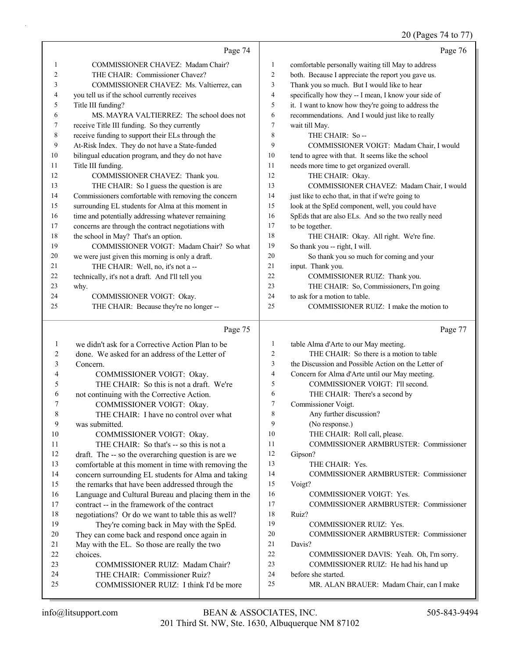#### 20 (Pages 74 to 77)

|                | Page 74                                             |    | Page 76                                              |
|----------------|-----------------------------------------------------|----|------------------------------------------------------|
| 1              | COMMISSIONER CHAVEZ: Madam Chair?                   | 1  | comfortable personally waiting till May to address   |
| $\overline{c}$ | THE CHAIR: Commissioner Chavez?                     | 2  | both. Because I appreciate the report you gave us.   |
| 3              | COMMISSIONER CHAVEZ: Ms. Valtierrez, can            | 3  | Thank you so much. But I would like to hear          |
| 4              | you tell us if the school currently receives        | 4  | specifically how they -- I mean, I know your side of |
| 5              | Title III funding?                                  | 5  | it. I want to know how they're going to address the  |
| 6              | MS. MAYRA VALTIERREZ: The school does not           | 6  | recommendations. And I would just like to really     |
| 7              | receive Title III funding. So they currently        | 7  | wait till May.                                       |
| 8              | receive funding to support their ELs through the    | 8  | THE CHAIR: So --                                     |
| 9              | At-Risk Index. They do not have a State-funded      | 9  | COMMISSIONER VOIGT: Madam Chair, I would             |
| 10             | bilingual education program, and they do not have   | 10 | tend to agree with that. It seems like the school    |
| 11             | Title III funding.                                  | 11 | needs more time to get organized overall.            |
| 12             | COMMISSIONER CHAVEZ: Thank you.                     | 12 | THE CHAIR: Okay.                                     |
| 13             | THE CHAIR: So I guess the question is are           | 13 | COMMISSIONER CHAVEZ: Madam Chair, I would            |
| 14             | Commissioners comfortable with removing the concern | 14 | just like to echo that, in that if we're going to    |
| 15             | surrounding EL students for Alma at this moment in  | 15 | look at the SpEd component, well, you could have     |
| 16             | time and potentially addressing whatever remaining  | 16 | SpEds that are also ELs. And so the two really need  |
| 17             | concerns are through the contract negotiations with | 17 | to be together.                                      |
| 18             | the school in May? That's an option.                | 18 | THE CHAIR: Okay. All right. We're fine.              |
| 19             | COMMISSIONER VOIGT: Madam Chair? So what            | 19 | So thank you -- right, I will.                       |
| 20             | we were just given this morning is only a draft.    | 20 | So thank you so much for coming and your             |
| 21             | THE CHAIR: Well, no, it's not a --                  | 21 | input. Thank you.                                    |
| 22             | technically, it's not a draft. And I'll tell you    | 22 | COMMISSIONER RUIZ: Thank you.                        |
| 23             | why.                                                | 23 | THE CHAIR: So, Commissioners, I'm going              |
| 24             | <b>COMMISSIONER VOIGT: Okay.</b>                    | 24 | to ask for a motion to table.                        |
| 25             | THE CHAIR: Because they're no longer --             | 25 | COMMISSIONER RUIZ: I make the motion to              |
|                | Page 75                                             |    | Page 77                                              |

#### Page 75

1 we didn't ask for a Corrective Action Plan to be 2 done. We asked for an address of the Letter of 3 Concern. 4 COMMISSIONER VOIGT: Okay. 5 THE CHAIR: So this is not a draft. We're 6 not continuing with the Corrective Action. 7 COMMISSIONER VOIGT: Okay. 8 THE CHAIR: I have no control over what 9 was submitted. 10 COMMISSIONER VOIGT: Okay. 11 THE CHAIR: So that's -- so this is not a 12 draft. The -- so the overarching question is are we 13 comfortable at this moment in time with removing the 14 concern surrounding EL students for Alma and taking 15 the remarks that have been addressed through the 16 Language and Cultural Bureau and placing them in the 17 contract -- in the framework of the contract 18 negotiations? Or do we want to table this as well? 19 They're coming back in May with the SpEd. 20 They can come back and respond once again in 21 May with the EL. So those are really the two 22 choices. 23 COMMISSIONER RUIZ: Madam Chair? 24 THE CHAIR: Commissioner Ruiz? 25 COMMISSIONER RUIZ: I think I'd be more 1 table Alma d'Arte to our May meeting. 2 THE CHAIR: So there is a motion to table 3 the Discussion and Possible Action on the Letter of 4 Concern for Alma d'Arte until our May meeting. 5 COMMISSIONER VOIGT: I'll second. 6 THE CHAIR: There's a second by 7 Commissioner Voigt. 8 Any further discussion? 9 (No response.) 10 THE CHAIR: Roll call, please. 11 COMMISSIONER ARMBRUSTER: Commissioner 12 Gipson? 13 THE CHAIR: Yes. 14 COMMISSIONER ARMBRUSTER: Commissioner 15 Voigt? 16 COMMISSIONER VOIGT: Yes. 17 COMMISSIONER ARMBRUSTER: Commissioner 18 Ruiz? 19 COMMISSIONER RUIZ: Yes. 20 COMMISSIONER ARMBRUSTER: Commissioner 21 Davis? 22 COMMISSIONER DAVIS: Yeah. Oh, I'm sorry. 23 COMMISSIONER RUIZ: He had his hand up 24 before she started. 25 MR. ALAN BRAUER: Madam Chair, can I make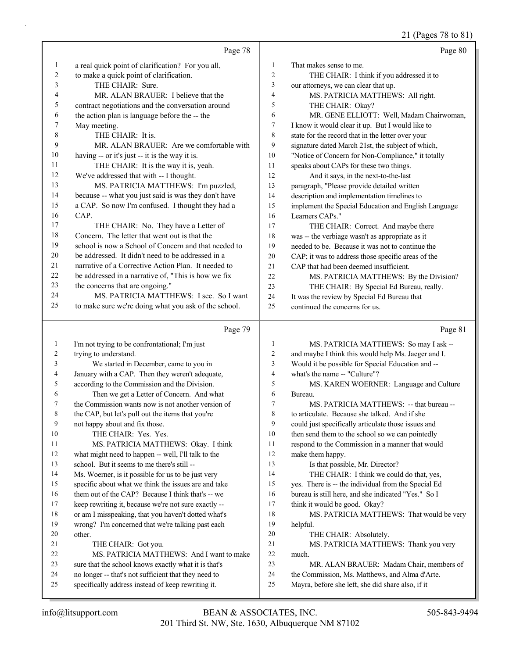21 (Pages 78 to 81)

|                | Page 78                                              |                | Page 80                                              |
|----------------|------------------------------------------------------|----------------|------------------------------------------------------|
| 1              | a real quick point of clarification? For you all,    | 1              | That makes sense to me.                              |
| 2              | to make a quick point of clarification.              | 2              | THE CHAIR: I think if you addressed it to            |
| 3              | THE CHAIR: Sure.                                     | 3              | our attorneys, we can clear that up.                 |
| 4              | MR. ALAN BRAUER: I believe that the                  | $\overline{4}$ | MS. PATRICIA MATTHEWS: All right.                    |
| 5              | contract negotiations and the conversation around    | 5              | THE CHAIR: Okay?                                     |
| 6              | the action plan is language before the -- the        | 6              | MR. GENE ELLIOTT: Well, Madam Chairwoman,            |
| 7              | May meeting.                                         | $\tau$         | I know it would clear it up. But I would like to     |
| 8              | THE CHAIR: It is.                                    | 8              | state for the record that in the letter over your    |
| 9              | MR. ALAN BRAUER: Are we comfortable with             | 9              | signature dated March 21st, the subject of which,    |
| 10             | having -- or it's just -- it is the way it is.       | 10             | "Notice of Concern for Non-Compliance," it totally   |
| 11             | THE CHAIR: It is the way it is, yeah.                | 11             | speaks about CAPs for these two things.              |
| 12             | We've addressed that with -- I thought.              | 12             | And it says, in the next-to-the-last                 |
| 13             | MS. PATRICIA MATTHEWS: I'm puzzled,                  | 13             | paragraph, "Please provide detailed written          |
| 14             | because -- what you just said is was they don't have | 14             | description and implementation timelines to          |
| 15             | a CAP. So now I'm confused. I thought they had a     | 15             | implement the Special Education and English Language |
| 16             | CAP.                                                 | 16             | Learners CAPs."                                      |
| 17             | THE CHAIR: No. They have a Letter of                 | 17             | THE CHAIR: Correct. And maybe there                  |
| 18             | Concern. The letter that went out is that the        | 18             | was -- the verbiage wasn't as appropriate as it      |
| 19             | school is now a School of Concern and that needed to | 19             | needed to be. Because it was not to continue the     |
| 20             | be addressed. It didn't need to be addressed in a    | 20             | CAP; it was to address those specific areas of the   |
| 21             | narrative of a Corrective Action Plan. It needed to  | 21             | CAP that had been deemed insufficient.               |
| 22             | be addressed in a narrative of, "This is how we fix  | 22             | MS. PATRICIA MATTHEWS: By the Division?              |
| 23             | the concerns that are ongoing."                      | 23             | THE CHAIR: By Special Ed Bureau, really.             |
| 24             | MS. PATRICIA MATTHEWS: I see. So I want              | 24             | It was the review by Special Ed Bureau that          |
| 25             | to make sure we're doing what you ask of the school. | 25             | continued the concerns for us.                       |
|                |                                                      |                |                                                      |
|                | Page 79                                              |                | Page 81                                              |
| $\mathbf{1}$   | I'm not trying to be confrontational; I'm just       | $\mathbf{1}$   | MS. PATRICIA MATTHEWS: So may I ask --               |
| $\overline{c}$ | trying to understand.                                | 2              | and maybe I think this would help Ms. Jaeger and I.  |
| 3              | We started in December, came to you in               | 3              | Would it be possible for Special Education and --    |
| 4              | January with a CAP. Then they weren't adequate,      | 4              | what's the name -- "Culture"?                        |
| 5              | according to the Commission and the Division.        | 5              | MS. KAREN WOERNER: Language and Culture              |
| 6              | Then we get a Letter of Concern. And what            | 6              | Bureau.                                              |
| 7              | the Commission wants now is not another version of   | 7              | MS. PATRICIA MATTHEWS: -- that bureau --             |
| 8              | the CAP, but let's pull out the items that you're    | 8              | to articulate. Because she talked. And if she        |
| 9              | not happy about and fix those.                       | 9              | could just specifically articulate those issues and  |
| 10             | THE CHAIR: Yes. Yes.                                 | 10             | then send them to the school so we can pointedly     |
| 11             | MS. PATRICIA MATTHEWS: Okay. I think                 | 11             | respond to the Commission in a manner that would     |
| 12             | what might need to happen -- well, I'll talk to the  | 12             | make them happy.                                     |
| 13             | school. But it seems to me there's still --          | 13             | Is that possible, Mr. Director?                      |
| 14             | Ms. Woerner, is it possible for us to be just very   | 14             | THE CHAIR: I think we could do that, yes,            |
| 15             | specific about what we think the issues are and take | 15             | yes. There is -- the individual from the Special Ed  |
| 16             | them out of the CAP? Because I think that's -- we    | 16             | bureau is still here, and she indicated "Yes." So I  |
| 17             | keep rewriting it, because we're not sure exactly -- | 17             | think it would be good. Okay?                        |
| 18             | or am I misspeaking, that you haven't dotted what's  | 18             | MS. PATRICIA MATTHEWS: That would be very            |
| 19             | wrong? I'm concerned that we're talking past each    | 19             | helpful.                                             |
| 20             | other.                                               | 20             | THE CHAIR: Absolutely.                               |
| 21             | THE CHAIR: Got you.                                  | 21             | MS. PATRICIA MATTHEWS: Thank you very                |
| 22             | MS. PATRICIA MATTHEWS: And I want to make            | 22             | much.                                                |
| 23             |                                                      | 23             | MR. ALAN BRAUER: Madam Chair, members of             |
|                | sure that the school knows exactly what it is that's |                |                                                      |
| 24             | no longer -- that's not sufficient that they need to | 24             | the Commission, Ms. Matthews, and Alma d'Arte.       |
| 25             | specifically address instead of keep rewriting it.   | 25             | Mayra, before she left, she did share also, if it    |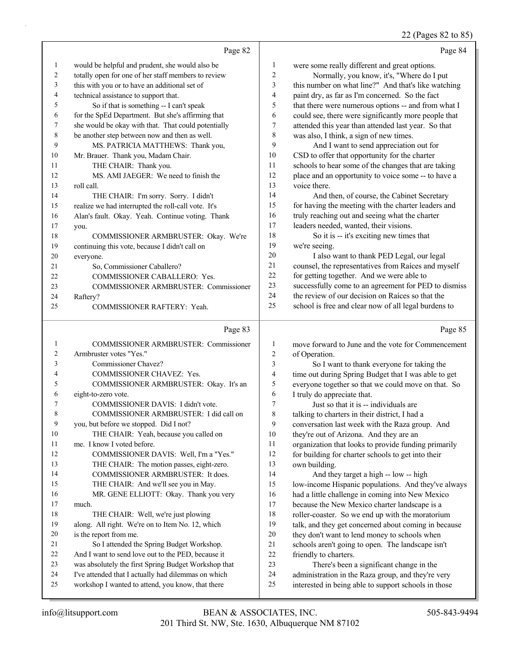#### 22 (Pages 82 to 85)

|    | Page 82                                             |                | Page 84                                              |
|----|-----------------------------------------------------|----------------|------------------------------------------------------|
| 1  | would be helpful and prudent, she would also be     | 1              | were some really different and great options.        |
| 2  | totally open for one of her staff members to review | 2              | Normally, you know, it's, "Where do I put            |
| 3  | this with you or to have an additional set of       | 3              | this number on what line?" And that's like watching  |
| 4  | technical assistance to support that.               | $\overline{4}$ | paint dry, as far as I'm concerned. So the fact      |
| 5  | So if that is something -- I can't speak            | 5              | that there were numerous options -- and from what I  |
| 6  | for the SpEd Department. But she's affirming that   | 6              | could see, there were significantly more people that |
| 7  | she would be okay with that. That could potentially | 7              | attended this year than attended last year. So that  |
| 8  | be another step between now and then as well.       | 8              | was also, I think, a sign of new times.              |
| 9  | MS. PATRICIA MATTHEWS: Thank you,                   | 9              | And I want to send appreciation out for              |
| 10 | Mr. Brauer. Thank you, Madam Chair.                 | 10             | CSD to offer that opportunity for the charter        |
| 11 | THE CHAIR: Thank you.                               | 11             | schools to hear some of the changes that are taking  |
| 12 | MS. AMI JAEGER: We need to finish the               | 12             | place and an opportunity to voice some -- to have a  |
| 13 | roll call.                                          | 13             | voice there.                                         |
| 14 | THE CHAIR: I'm sorry. Sorry. I didn't               | 14             | And then, of course, the Cabinet Secretary           |
| 15 | realize we had interrupted the roll-call vote. It's | 15             | for having the meeting with the charter leaders and  |
| 16 | Alan's fault. Okay. Yeah. Continue voting. Thank    | 16             | truly reaching out and seeing what the charter       |
| 17 | you.                                                | 17             | leaders needed, wanted, their visions.               |
| 18 | COMMISSIONER ARMBRUSTER: Okay. We're                | 18             | So it is -- it's exciting new times that             |
| 19 | continuing this vote, because I didn't call on      | 19             | we're seeing.                                        |
| 20 | everyone.                                           | 20             | I also want to thank PED Legal, our legal            |
| 21 | So, Commissioner Caballero?                         | 21             | counsel, the representatives from Raíces and myself  |
| 22 | COMMISSIONER CABALLERO: Yes.                        | 22             | for getting together. And we were able to            |
| 23 | <b>COMMISSIONER ARMBRUSTER: Commissioner</b>        | 23             | successfully come to an agreement for PED to dismiss |
| 24 | Raftery?                                            | 24             | the review of our decision on Raices so that the     |
| 25 | COMMISSIONER RAFTERY: Yeah.                         | 25             | school is free and clear now of all legal burdens to |
|    | Page 83                                             |                | Page 85                                              |

| $\mathbf{1}$             | COMMISSIONER ARMBRUSTER: Commissioner                |
|--------------------------|------------------------------------------------------|
| $\overline{c}$           | Armbruster votes "Yes."                              |
| 3                        | Commissioner Chavez?                                 |
| $\overline{\mathcal{L}}$ | <b>COMMISSIONER CHAVEZ: Yes.</b>                     |
| 5                        | COMMISSIONER ARMBRUSTER: Okay. It's an               |
| 6                        | eight-to-zero vote.                                  |
| 7                        | COMMISSIONER DAVIS: I didn't vote.                   |
| 8                        | COMMISSIONER ARMBRUSTER: I did call on               |
| 9                        | you, but before we stopped. Did I not?               |
| 10                       | THE CHAIR: Yeah, because you called on               |
| 11                       | me. I know I voted before.                           |
| 12                       | COMMISSIONER DAVIS: Well, I'm a "Yes."               |
| 13                       | THE CHAIR: The motion passes, eight-zero.            |
| 14                       | COMMISSIONER ARMBRUSTER: It does.                    |
| 15                       | THE CHAIR: And we'll see you in May.                 |
| 16                       | MR. GENE ELLIOTT: Okay. Thank you very               |
| 17                       | much.                                                |
| 18                       | THE CHAIR: Well, we're just plowing                  |
| 19                       | along. All right. We're on to Item No. 12, which     |
| 20                       | is the report from me.                               |
| 2.1                      | So I attended the Spring Budget Workshop.            |
| 22.                      | And I want to send love out to the PED, because it   |
| 23                       | was absolutely the first Spring Budget Workshop that |
| 24                       | I've attended that I actually had dilemmas on which  |
| 25                       | workshop I wanted to attend, you know, that there    |
|                          |                                                      |

 move forward to June and the vote for Commencement of Operation. 3 So I want to thank everyone for taking the time out during Spring Budget that I was able to get everyone together so that we could move on that. So I truly do appreciate that. 7 Just so that it is -- individuals are talking to charters in their district, I had a conversation last week with the Raza group. And they're out of Arizona. And they are an organization that looks to provide funding primarily 12 for building for charter schools to get into their own building. 14 And they target a high -- low -- high low-income Hispanic populations. And they've always had a little challenge in coming into New Mexico because the New Mexico charter landscape is a roller-coaster. So we end up with the moratorium talk, and they get concerned about coming in because they don't want to lend money to schools when schools aren't going to open. The landscape isn't friendly to charters. 23 There's been a significant change in the administration in the Raza group, and they're very interested in being able to support schools in those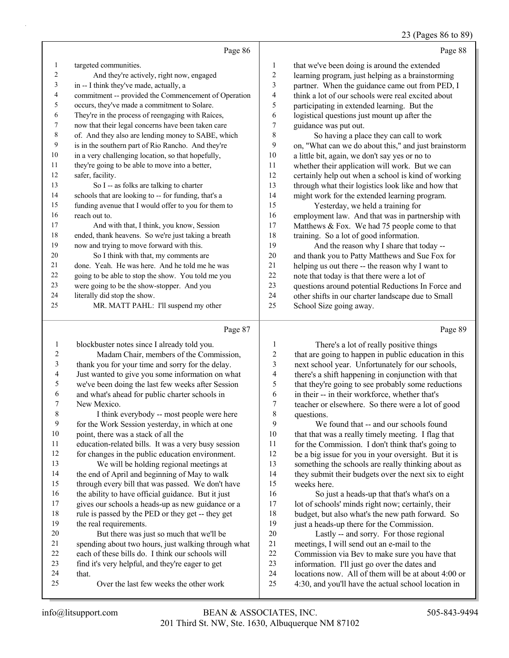#### 23 (Pages 86 to 89)

|    | Page 86                                              |                  | Page 88                                              |
|----|------------------------------------------------------|------------------|------------------------------------------------------|
| 1  | targeted communities.                                | $\mathbf{1}$     | that we've been doing is around the extended         |
| 2  | And they're actively, right now, engaged             | $\overline{c}$   | learning program, just helping as a brainstorming    |
| 3  | in -- I think they've made, actually, a              | 3                | partner. When the guidance came out from PED, I      |
| 4  | commitment -- provided the Commencement of Operation | 4                | think a lot of our schools were real excited about   |
| 5  | occurs, they've made a commitment to Solare.         | 5                | participating in extended learning. But the          |
| 6  | They're in the process of reengaging with Raices,    | 6                | logistical questions just mount up after the         |
| 7  | now that their legal concerns have been taken care   | $\boldsymbol{7}$ | guidance was put out.                                |
| 8  | of. And they also are lending money to SABE, which   | 8                | So having a place they can call to work              |
| 9  | is in the southern part of Rio Rancho. And they're   | 9                | on, "What can we do about this," and just brainstorm |
| 10 | in a very challenging location, so that hopefully,   | 10               | a little bit, again, we don't say yes or no to       |
| 11 | they're going to be able to move into a better,      | 11               | whether their application will work. But we can      |
| 12 | safer, facility.                                     | 12               | certainly help out when a school is kind of working  |
| 13 | So I -- as folks are talking to charter              | 13               | through what their logistics look like and how that  |
| 14 | schools that are looking to -- for funding, that's a | 14               | might work for the extended learning program.        |
| 15 | funding avenue that I would offer to you for them to | 15               | Yesterday, we held a training for                    |
| 16 | reach out to.                                        | 16               | employment law. And that was in partnership with     |
| 17 | And with that, I think, you know, Session            | 17               | Matthews & Fox. We had 75 people come to that        |
| 18 | ended, thank heavens. So we're just taking a breath  | 18               | training. So a lot of good information.              |
| 19 | now and trying to move forward with this.            | 19               | And the reason why I share that today --             |
| 20 | So I think with that, my comments are                | 20               | and thank you to Patty Matthews and Sue Fox for      |
| 21 | done. Yeah. He was here. And he told me he was       | 21               | helping us out there -- the reason why I want to     |
| 22 | going to be able to stop the show. You told me you   | 22               | note that today is that there were a lot of          |
| 23 | were going to be the show-stopper. And you           | 23               | questions around potential Reductions In Force and   |
| 24 | literally did stop the show.                         | 24               | other shifts in our charter landscape due to Small   |
| 25 | MR. MATT PAHL: I'll suspend my other                 | 25               | School Size going away.                              |
|    | Page 87                                              |                  | Page 89                                              |

#### Page 87 |

| 1  | blockbuster notes since I already told you.         |                | There's a lot of really positive things              |
|----|-----------------------------------------------------|----------------|------------------------------------------------------|
| 2  | Madam Chair, members of the Commission,             | $\overline{2}$ | that are going to happen in public education in this |
| 3  | thank you for your time and sorry for the delay.    | 3              | next school year. Unfortunately for our schools,     |
| 4  | Just wanted to give you some information on what    | 4              | there's a shift happening in conjunction with that   |
| 5  | we've been doing the last few weeks after Session   | 5              | that they're going to see probably some reductions   |
| 6  | and what's ahead for public charter schools in      | 6              | in their -- in their workforce, whether that's       |
| 7  | New Mexico.                                         | 7              | teacher or elsewhere. So there were a lot of good    |
| 8  | I think everybody -- most people were here          | 8              | questions.                                           |
| 9  | for the Work Session yesterday, in which at one     | 9              | We found that -- and our schools found               |
| 10 | point, there was a stack of all the                 | 10             | that that was a really timely meeting. I flag that   |
| 11 | education-related bills. It was a very busy session | 11             | for the Commission. I don't think that's going to    |
| 12 | for changes in the public education environment.    | 12             | be a big issue for you in your oversight. But it is  |
| 13 | We will be holding regional meetings at             | 13             | something the schools are really thinking about as   |
| 14 | the end of April and beginning of May to walk       | 14             | they submit their budgets over the next six to eight |
| 15 | through every bill that was passed. We don't have   | 15             | weeks here.                                          |
| 16 | the ability to have official guidance. But it just  | 16             | So just a heads-up that that's what's on a           |
| 17 | gives our schools a heads-up as new guidance or a   | 17             | lot of schools' minds right now; certainly, their    |
| 18 | rule is passed by the PED or they get -- they get   | 18             | budget, but also what's the new path forward. So     |
| 19 | the real requirements.                              | 19             | just a heads-up there for the Commission.            |
| 20 | But there was just so much that we'll be            | 20             | Lastly -- and sorry. For those regional              |
| 21 | spending about two hours, just walking through what | 21             | meetings, I will send out an e-mail to the           |
| 22 | each of these bills do. I think our schools will    | 22             | Commission via Bev to make sure you have that        |
| 23 | find it's very helpful, and they're eager to get    | 23             | information. I'll just go over the dates and         |
| 24 | that.                                               | 24             | locations now. All of them will be at about 4:00 or  |
| 25 | Over the last few weeks the other work              | 25             | 4:30, and you'll have the actual school location in  |
|    |                                                     |                |                                                      |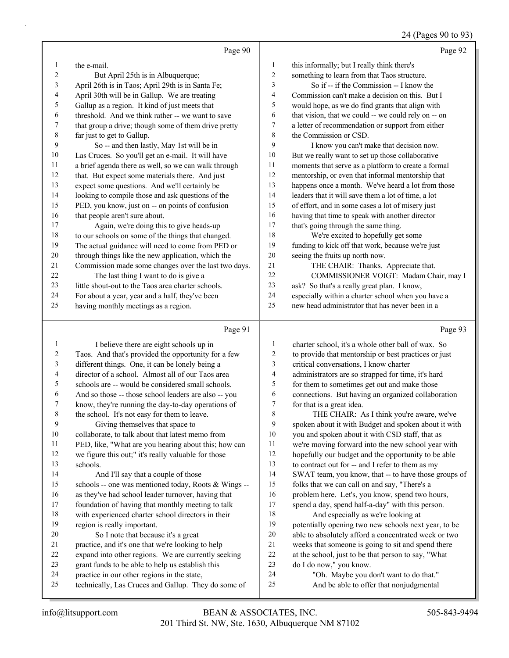### 24 (Pages 90 to 93)

|             | Page 90                                                                                              |                  | Page 92                                                                                        |
|-------------|------------------------------------------------------------------------------------------------------|------------------|------------------------------------------------------------------------------------------------|
| 1           | the e-mail.                                                                                          | $\mathbf{1}$     | this informally; but I really think there's                                                    |
| 2           | But April 25th is in Albuquerque;                                                                    | $\sqrt{2}$       | something to learn from that Taos structure.                                                   |
| 3           | April 26th is in Taos; April 29th is in Santa Fe;                                                    | 3                | So if -- if the Commission -- I know the                                                       |
| 4           | April 30th will be in Gallup. We are treating                                                        | 4                | Commission can't make a decision on this. But I                                                |
| 5           | Gallup as a region. It kind of just meets that                                                       | 5                | would hope, as we do find grants that align with                                               |
| 6           | threshold. And we think rather -- we want to save                                                    | 6                | that vision, that we could -- we could rely on -- on                                           |
| 7           | that group a drive; though some of them drive pretty                                                 | 7                | a letter of recommendation or support from either                                              |
| $\,$ 8 $\,$ | far just to get to Gallup.                                                                           | $\,8\,$          | the Commission or CSD.                                                                         |
| 9           | So -- and then lastly, May 1st will be in                                                            | 9                | I know you can't make that decision now.                                                       |
| 10          | Las Cruces. So you'll get an e-mail. It will have                                                    | 10               | But we really want to set up those collaborative                                               |
| 11          | a brief agenda there as well, so we can walk through                                                 | 11               | moments that serve as a platform to create a formal                                            |
| 12          | that. But expect some materials there. And just                                                      | 12               | mentorship, or even that informal mentorship that                                              |
| 13          | expect some questions. And we'll certainly be                                                        | 13               | happens once a month. We've heard a lot from those                                             |
| 14          | looking to compile those and ask questions of the                                                    | 14               | leaders that it will save them a lot of time, a lot                                            |
| 15          | PED, you know, just on -- on points of confusion                                                     | 15               | of effort, and in some cases a lot of misery just                                              |
| 16          | that people aren't sure about.                                                                       | 16               | having that time to speak with another director                                                |
| 17          | Again, we're doing this to give heads-up                                                             | 17               | that's going through the same thing.                                                           |
| $18\,$      | to our schools on some of the things that changed.                                                   | 18               | We're excited to hopefully get some                                                            |
| 19          | The actual guidance will need to come from PED or                                                    | 19               | funding to kick off that work, because we're just                                              |
| 20          | through things like the new application, which the                                                   | 20               | seeing the fruits up north now.                                                                |
| 21          | Commission made some changes over the last two days.                                                 | 21               | THE CHAIR: Thanks. Appreciate that.                                                            |
| 22          | The last thing I want to do is give a                                                                | 22               | COMMISSIONER VOIGT: Madam Chair, may I                                                         |
| 23          | little shout-out to the Taos area charter schools.                                                   | 23               | ask? So that's a really great plan. I know,                                                    |
| 24          | For about a year, year and a half, they've been                                                      | 24               | especially within a charter school when you have a                                             |
| 25          | having monthly meetings as a region.                                                                 | 25               | new head administrator that has never been in a                                                |
|             |                                                                                                      |                  |                                                                                                |
|             | Page 91                                                                                              |                  | Page 93                                                                                        |
| 1           |                                                                                                      | 1                |                                                                                                |
| 2           | I believe there are eight schools up in                                                              | $\boldsymbol{2}$ | charter school, it's a whole other ball of wax. So                                             |
| 3           | Taos. And that's provided the opportunity for a few                                                  | 3                | to provide that mentorship or best practices or just<br>critical conversations, I know charter |
| 4           | different things. One, it can be lonely being a<br>director of a school. Almost all of our Taos area | 4                | administrators are so strapped for time, it's hard                                             |
| 5           | schools are -- would be considered small schools.                                                    | 5                | for them to sometimes get out and make those                                                   |
| 6           | And so those -- those school leaders are also -- you                                                 | 6                | connections. But having an organized collaboration                                             |
| 7           | know, they're running the day-to-day operations of                                                   | 7                | for that is a great idea.                                                                      |
| 8           | the school. It's not easy for them to leave.                                                         | $\,$ $\,$        | THE CHAIR: As I think you're aware, we've                                                      |
| 9           | Giving themselves that space to                                                                      | 9                | spoken about it with Budget and spoken about it with                                           |
| 10          | collaborate, to talk about that latest memo from                                                     | 10               | you and spoken about it with CSD staff, that as                                                |
| 11          | PED, like, "What are you hearing about this; how can                                                 | 11               | we're moving forward into the new school year with                                             |
| 12          | we figure this out;" it's really valuable for those                                                  | 12               | hopefully our budget and the opportunity to be able                                            |
| 13          | schools.                                                                                             | 13               | to contract out for -- and I refer to them as my                                               |
| 14          | And I'll say that a couple of those                                                                  | 14               | SWAT team, you know, that -- to have those groups of                                           |
| 15          | schools -- one was mentioned today, Roots & Wings --                                                 | 15               | folks that we can call on and say, "There's a                                                  |
| 16          | as they've had school leader turnover, having that                                                   | 16               | problem here. Let's, you know, spend two hours,                                                |
| 17          | foundation of having that monthly meeting to talk                                                    | 17               | spend a day, spend half-a-day" with this person.                                               |
| 18          | with experienced charter school directors in their                                                   | 18               | And especially as we're looking at                                                             |
| 19          | region is really important.                                                                          | 19               | potentially opening two new schools next year, to be                                           |
| 20          | So I note that because it's a great                                                                  | 20               | able to absolutely afford a concentrated week or two                                           |
| 21          | practice, and it's one that we're looking to help                                                    | $21\,$           | weeks that someone is going to sit and spend there                                             |
| $22\,$      | expand into other regions. We are currently seeking                                                  | $22\,$           | at the school, just to be that person to say, "What                                            |
| 23<br>24    | grant funds to be able to help us establish this<br>practice in our other regions in the state,      | 23<br>24         | do I do now," you know.<br>"Oh. Maybe you don't want to do that."                              |

technically, Las Cruces and Gallup. They do some of

25 And be able to offer that nonjudgmental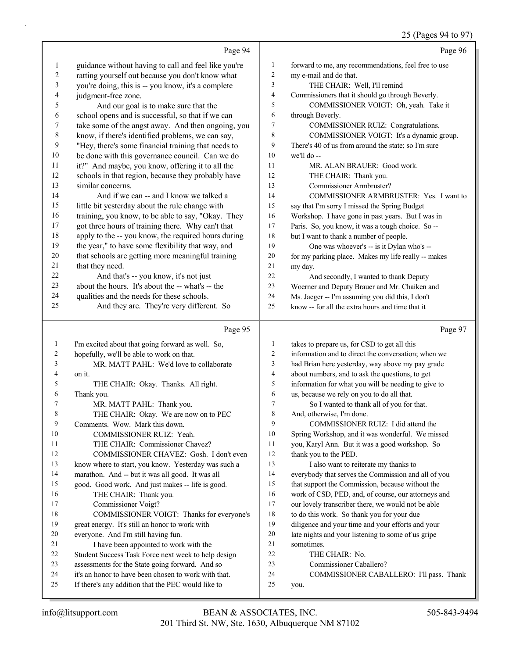# 25 (Pages 94 to 97)

|                          | Page 94                                                                                                    |                     | Page 96                                                                                                |
|--------------------------|------------------------------------------------------------------------------------------------------------|---------------------|--------------------------------------------------------------------------------------------------------|
| 1                        | guidance without having to call and feel like you're                                                       | $\mathbf{1}$        | forward to me, any recommendations, feel free to use                                                   |
| $\boldsymbol{2}$         | ratting yourself out because you don't know what                                                           | $\sqrt{2}$          | my e-mail and do that.                                                                                 |
| 3                        | you're doing, this is -- you know, it's a complete                                                         | 3                   | THE CHAIR: Well, I'll remind                                                                           |
| $\overline{\mathcal{A}}$ | judgment-free zone.                                                                                        | $\overline{4}$      | Commissioners that it should go through Beverly.                                                       |
| 5                        | And our goal is to make sure that the                                                                      | 5                   | COMMISSIONER VOIGT: Oh, yeah. Take it                                                                  |
| 6                        | school opens and is successful, so that if we can                                                          | 6                   | through Beverly.                                                                                       |
| 7                        | take some of the angst away. And then ongoing, you                                                         | 7                   | COMMISSIONER RUIZ: Congratulations.                                                                    |
| 8                        | know, if there's identified problems, we can say,                                                          | 8                   | COMMISSIONER VOIGT: It's a dynamic group.                                                              |
| 9                        | "Hey, there's some financial training that needs to                                                        | 9                   | There's 40 of us from around the state; so I'm sure                                                    |
| $10\,$                   | be done with this governance council. Can we do                                                            | 10                  | we'll do --                                                                                            |
| 11                       | it?" And maybe, you know, offering it to all the                                                           | 11                  | MR. ALAN BRAUER: Good work.                                                                            |
| $12\,$                   | schools in that region, because they probably have                                                         | 12                  | THE CHAIR: Thank you.                                                                                  |
| 13                       | similar concerns.                                                                                          | 13                  | Commissioner Armbruster?                                                                               |
| 14<br>15                 | And if we can -- and I know we talked a                                                                    | 14                  | COMMISSIONER ARMBRUSTER: Yes. I want to                                                                |
| 16                       | little bit yesterday about the rule change with                                                            | 15                  | say that I'm sorry I missed the Spring Budget                                                          |
| 17                       | training, you know, to be able to say, "Okay. They<br>got three hours of training there. Why can't that    | 16<br>17            | Workshop. I have gone in past years. But I was in                                                      |
| 18                       | apply to the -- you know, the required hours during                                                        | 18                  | Paris. So, you know, it was a tough choice. So --<br>but I want to thank a number of people.           |
| 19                       | the year," to have some flexibility that way, and                                                          | 19                  | One was whoever's -- is it Dylan who's --                                                              |
| $20\,$                   | that schools are getting more meaningful training                                                          | 20                  | for my parking place. Makes my life really -- makes                                                    |
| 21                       | that they need.                                                                                            | 21                  | my day.                                                                                                |
| 22                       | And that's -- you know, it's not just                                                                      | 22                  | And secondly, I wanted to thank Deputy                                                                 |
| 23                       | about the hours. It's about the -- what's -- the                                                           | 23                  | Woerner and Deputy Brauer and Mr. Chaiken and                                                          |
| 24                       | qualities and the needs for these schools.                                                                 | 24                  | Ms. Jaeger -- I'm assuming you did this, I don't                                                       |
| 25                       | And they are. They're very different. So                                                                   | 25                  | know -- for all the extra hours and time that it                                                       |
|                          |                                                                                                            |                     |                                                                                                        |
|                          | Page 95                                                                                                    |                     | Page 97                                                                                                |
| $\mathbf{1}$             | I'm excited about that going forward as well. So,                                                          | $\mathbf{1}$        | takes to prepare us, for CSD to get all this                                                           |
| $\overline{c}$           | hopefully, we'll be able to work on that.                                                                  | $\overline{c}$      | information and to direct the conversation; when we                                                    |
| 3                        | MR. MATT PAHL: We'd love to collaborate                                                                    | 3                   | had Brian here yesterday, way above my pay grade                                                       |
| 4<br>5                   | on it.                                                                                                     | $\overline{4}$<br>5 | about numbers, and to ask the questions, to get<br>information for what you will be needing to give to |
| 6                        | THE CHAIR: Okay. Thanks. All right.<br>Thank you.                                                          | 6                   | us, because we rely on you to do all that.                                                             |
| $\tau$                   | MR. MATT PAHL: Thank you.                                                                                  | $\tau$              | So I wanted to thank all of you for that.                                                              |
|                          | THE CHAIR: Okay. We are now on to PEC                                                                      | 8                   | And, otherwise, I'm done.                                                                              |
| 9                        | Comments. Wow. Mark this down.                                                                             | 9                   | COMMISSIONER RUIZ: I did attend the                                                                    |
| 10                       | COMMISSIONER RUIZ: Yeah.                                                                                   | 10                  | Spring Workshop, and it was wonderful. We missed                                                       |
| 11                       | THE CHAIR: Commissioner Chavez?                                                                            | 11                  | you, Karyl Ann. But it was a good workshop. So                                                         |
| 12                       | COMMISSIONER CHAVEZ: Gosh. I don't even                                                                    | 12                  | thank you to the PED.                                                                                  |
| 13                       | know where to start, you know. Yesterday was such a                                                        | 13                  | I also want to reiterate my thanks to                                                                  |
| 14                       | marathon. And -- but it was all good. It was all                                                           | 14                  | everybody that serves the Commission and all of you                                                    |
| 15                       | good. Good work. And just makes -- life is good.                                                           | 15                  | that support the Commission, because without the                                                       |
| 16                       | THE CHAIR: Thank you.                                                                                      | 16                  | work of CSD, PED, and, of course, our attorneys and                                                    |
| 17                       |                                                                                                            |                     |                                                                                                        |
| 18                       | Commissioner Voigt?                                                                                        | 17                  | our lovely transcriber there, we would not be able                                                     |
|                          | COMMISSIONER VOIGT: Thanks for everyone's                                                                  | 18                  | to do this work. So thank you for your due                                                             |
| 19                       | great energy. It's still an honor to work with                                                             | 19                  | diligence and your time and your efforts and your                                                      |
| 20                       | everyone. And I'm still having fun.                                                                        | 20                  | late nights and your listening to some of us gripe                                                     |
| 21                       | I have been appointed to work with the                                                                     | 21                  | sometimes.                                                                                             |
| 22                       | Student Success Task Force next week to help design                                                        | 22                  | THE CHAIR: No.                                                                                         |
| 23                       | assessments for the State going forward. And so                                                            | 23                  | Commissioner Caballero?                                                                                |
| 24<br>25                 | it's an honor to have been chosen to work with that.<br>If there's any addition that the PEC would like to | 24<br>25            | COMMISSIONER CABALLERO: I'll pass. Thank<br>you.                                                       |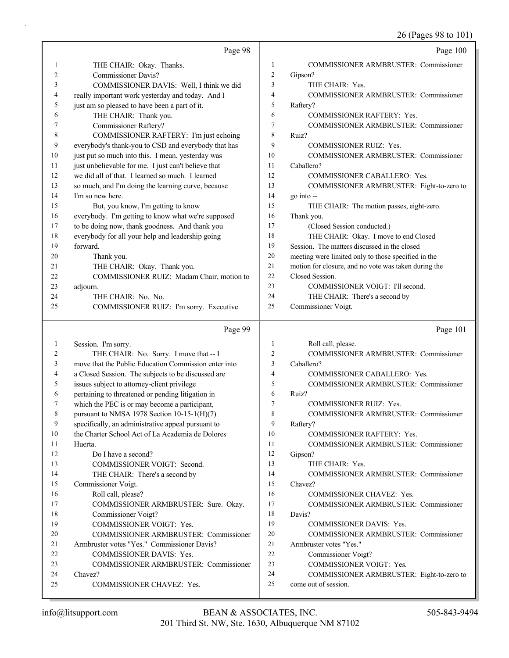26 (Pages 98 to 101)

|                | Page 98                                              |                | Page 100                                                          |
|----------------|------------------------------------------------------|----------------|-------------------------------------------------------------------|
| 1              | THE CHAIR: Okay. Thanks.                             | 1              | COMMISSIONER ARMBRUSTER: Commissioner                             |
| $\overline{2}$ | <b>Commissioner Davis?</b>                           | $\overline{c}$ | Gipson?                                                           |
| 3              | COMMISSIONER DAVIS: Well, I think we did             | 3              | THE CHAIR: Yes.                                                   |
| 4              | really important work yesterday and today. And I     | 4              | <b>COMMISSIONER ARMBRUSTER: Commissioner</b>                      |
| 5              | just am so pleased to have been a part of it.        | 5              | Raftery?                                                          |
| 6              | THE CHAIR: Thank you.                                | 6              | COMMISSIONER RAFTERY: Yes.                                        |
| 7              | Commissioner Raftery?                                | 7              | COMMISSIONER ARMBRUSTER: Commissioner                             |
| 8              | COMMISSIONER RAFTERY: I'm just echoing               | 8              | Ruiz?                                                             |
| 9              | everybody's thank-you to CSD and everybody that has  | 9              | COMMISSIONER RUIZ: Yes.                                           |
| 10             | just put so much into this. I mean, yesterday was    | 10             | <b>COMMISSIONER ARMBRUSTER: Commissioner</b>                      |
| 11             | just unbelievable for me. I just can't believe that  | 11             | Caballero?                                                        |
| 12             | we did all of that. I learned so much. I learned     | 12             | COMMISSIONER CABALLERO: Yes.                                      |
| 13             | so much, and I'm doing the learning curve, because   | 13             | COMMISSIONER ARMBRUSTER: Eight-to-zero to                         |
| 14             | I'm so new here.                                     | 14             | go into --                                                        |
| 15             | But, you know, I'm getting to know                   | 15             | THE CHAIR: The motion passes, eight-zero.                         |
| 16             | everybody. I'm getting to know what we're supposed   | 16             | Thank you.                                                        |
| 17             | to be doing now, thank goodness. And thank you       | 17             | (Closed Session conducted.)                                       |
| 18             | everybody for all your help and leadership going     | 18             | THE CHAIR: Okay. I move to end Closed                             |
| 19             | forward.                                             | 19             | Session. The matters discussed in the closed                      |
| 20             | Thank you.                                           | 20             | meeting were limited only to those specified in the               |
| 21             | THE CHAIR: Okay. Thank you.                          | 21             | motion for closure, and no vote was taken during the              |
| 22             | COMMISSIONER RUIZ: Madam Chair, motion to            | 22             | Closed Session.                                                   |
| 23             | adjourn.                                             | 23             | COMMISSIONER VOIGT: I'll second.                                  |
| 24             | THE CHAIR: No. No.                                   | 24             | THE CHAIR: There's a second by                                    |
| 25             | COMMISSIONER RUIZ: I'm sorry. Executive              | 25             | Commissioner Voigt.                                               |
|                |                                                      |                |                                                                   |
|                | Page 99                                              |                | Page 101                                                          |
| $\mathbf{1}$   | Session. I'm sorry.                                  | 1              | Roll call, please.                                                |
| 2              | THE CHAIR: No. Sorry. I move that -- I               | 2              | COMMISSIONER ARMBRUSTER: Commissioner                             |
| 3              | move that the Public Education Commission enter into | 3              | Caballero?                                                        |
| 4              | a Closed Session. The subjects to be discussed are   | 4              | COMMISSIONER CABALLERO: Yes.                                      |
| 5              | issues subject to attorney-client privilege          | 5              | COMMISSIONER ARMBRUSTER: Commissioner                             |
| 6              | pertaining to threatened or pending litigation in    | 6              | Ruiz?                                                             |
| 7              | which the PEC is or may become a participant,        | 7              | COMMISSIONER RUIZ: Yes.                                           |
| 8              | pursuant to NMSA 1978 Section 10-15-1(H)(7)          | 8              | COMMISSIONER ARMBRUSTER: Commissioner                             |
| 9              | specifically, an administrative appeal pursuant to   | 9              | Raftery?                                                          |
| 10             | the Charter School Act of La Academia de Dolores     | 10             | COMMISSIONER RAFTERY: Yes.                                        |
| 11             | Huerta.                                              | 11             | <b>COMMISSIONER ARMBRUSTER: Commissioner</b>                      |
| 12             | Do I have a second?                                  | 12             | Gipson?                                                           |
| 13             | COMMISSIONER VOIGT: Second.                          | 13             | THE CHAIR: Yes.                                                   |
| 14             | THE CHAIR: There's a second by                       | 14             | COMMISSIONER ARMBRUSTER: Commissioner                             |
| 15             | Commissioner Voigt.                                  | 15             | Chavez?                                                           |
| 16             | Roll call, please?                                   | 16             | COMMISSIONER CHAVEZ: Yes.                                         |
| 17             | COMMISSIONER ARMBRUSTER: Sure. Okay.                 | 17             | <b>COMMISSIONER ARMBRUSTER: Commissioner</b>                      |
| 18             | Commissioner Voigt?                                  | 18             | Davis?                                                            |
| 19             | COMMISSIONER VOIGT: Yes.                             | 19             | COMMISSIONER DAVIS: Yes.                                          |
| 20             | <b>COMMISSIONER ARMBRUSTER: Commissioner</b>         | 20             | <b>COMMISSIONER ARMBRUSTER: Commissioner</b>                      |
| 21             | Armbruster votes "Yes." Commissioner Davis?          | 21             | Armbruster votes "Yes."                                           |
| 22             | COMMISSIONER DAVIS: Yes.                             | 22             | Commissioner Voigt?                                               |
| 23<br>24       | COMMISSIONER ARMBRUSTER: Commissioner<br>Chavez?     | 23<br>24       | COMMISSIONER VOIGT: Yes.                                          |
| 25             | COMMISSIONER CHAVEZ: Yes.                            | 25             | COMMISSIONER ARMBRUSTER: Eight-to-zero to<br>come out of session. |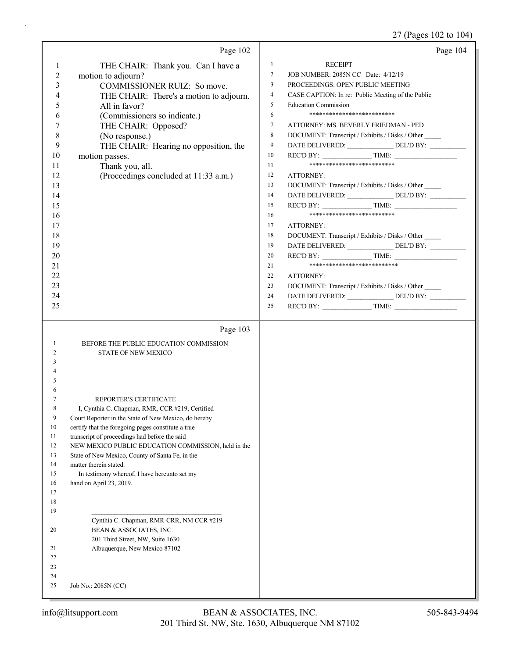# 27 (Pages 102 to 104)

|                                                                                                                                                                       | Page 102                                                                                                                                                                                                                                                                                                                                                                                                                                                | Page 104                                                                                                                                                                                                                                                                                                                                                                                                                                                                                                                                                                                                                                                                                                                                                                                                                                                                                                                |
|-----------------------------------------------------------------------------------------------------------------------------------------------------------------------|---------------------------------------------------------------------------------------------------------------------------------------------------------------------------------------------------------------------------------------------------------------------------------------------------------------------------------------------------------------------------------------------------------------------------------------------------------|-------------------------------------------------------------------------------------------------------------------------------------------------------------------------------------------------------------------------------------------------------------------------------------------------------------------------------------------------------------------------------------------------------------------------------------------------------------------------------------------------------------------------------------------------------------------------------------------------------------------------------------------------------------------------------------------------------------------------------------------------------------------------------------------------------------------------------------------------------------------------------------------------------------------------|
| $\mathbf{1}$<br>$\overline{c}$<br>3<br>4<br>5<br>6<br>7<br>$\,8$<br>9<br>10<br>11<br>12<br>13<br>14<br>15<br>16<br>17<br>18<br>19<br>20<br>21<br>22<br>23<br>24<br>25 | THE CHAIR: Thank you. Can I have a<br>motion to adjourn?<br>COMMISSIONER RUIZ: So move.<br>THE CHAIR: There's a motion to adjourn.<br>All in favor?<br>(Commissioners so indicate.)<br>THE CHAIR: Opposed?<br>(No response.)<br>THE CHAIR: Hearing no opposition, the<br>motion passes.<br>Thank you, all.<br>(Proceedings concluded at 11:33 a.m.)                                                                                                     | $\mathbf{1}$<br><b>RECEIPT</b><br>JOB NUMBER: 2085N CC Date: 4/12/19<br>2<br>PROCEEDINGS: OPEN PUBLIC MEETING<br>3<br>4<br>CASE CAPTION: In re: Public Meeting of the Public<br>5<br><b>Education Commission</b><br>**************************<br>6<br>$\tau$<br>ATTORNEY: MS. BEVERLY FRIEDMAN - PED<br>8<br>DOCUMENT: Transcript / Exhibits / Disks / Other<br>DATE DELIVERED: _______________________DEL'D BY: ________________________________<br>9<br>$RECD BY:$ TIME:<br>10<br>**************************<br>11<br>12<br>ATTORNEY:<br>13<br>DOCUMENT: Transcript / Exhibits / Disks / Other<br>14<br>15<br>**************************<br>16<br>17<br>ATTORNEY:<br>18<br>DOCUMENT: Transcript / Exhibits / Disks / Other<br>19<br>REC'D BY: $\qquad \qquad \qquad \text{TIME:}$<br>20<br>***************************<br>21<br>22<br>ATTORNEY:<br>23<br>DOCUMENT: Transcript / Exhibits / Disks / Other<br>24<br>25 |
| 1<br>2<br>3<br>5                                                                                                                                                      | Page 103<br>BEFORE THE PUBLIC EDUCATION COMMISSION<br><b>STATE OF NEW MEXICO</b>                                                                                                                                                                                                                                                                                                                                                                        |                                                                                                                                                                                                                                                                                                                                                                                                                                                                                                                                                                                                                                                                                                                                                                                                                                                                                                                         |
| 6<br>8<br>$\boldsymbol{9}$<br>10<br>11<br>12<br>13<br>14<br>15<br>16<br>17<br>18<br>19                                                                                | REPORTER'S CERTIFICATE<br>I, Cynthia C. Chapman, RMR, CCR #219, Certified<br>Court Reporter in the State of New Mexico, do hereby<br>certify that the foregoing pages constitute a true<br>transcript of proceedings had before the said<br>NEW MEXICO PUBLIC EDUCATION COMMISSION, held in the<br>State of New Mexico, County of Santa Fe, in the<br>matter therein stated.<br>In testimony whereof, I have hereunto set my<br>hand on April 23, 2019. |                                                                                                                                                                                                                                                                                                                                                                                                                                                                                                                                                                                                                                                                                                                                                                                                                                                                                                                         |
| 20<br>21<br>22<br>23<br>24<br>25                                                                                                                                      | Cynthia C. Chapman, RMR-CRR, NM CCR #219<br>BEAN & ASSOCIATES, INC.<br>201 Third Street, NW, Suite 1630<br>Albuquerque, New Mexico 87102<br>Job No.: 2085N (CC)                                                                                                                                                                                                                                                                                         |                                                                                                                                                                                                                                                                                                                                                                                                                                                                                                                                                                                                                                                                                                                                                                                                                                                                                                                         |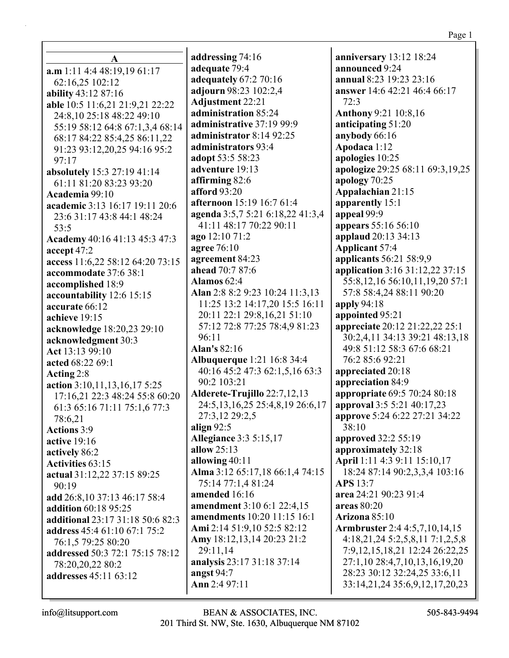| A                                |  |  |  |
|----------------------------------|--|--|--|
| a.m 1:11 4:4 48:19,19 61:17      |  |  |  |
| 62:16,25 102:12                  |  |  |  |
| ability 43:12 87:16              |  |  |  |
| able 10:5 11:6,21 21:9,21 22:22  |  |  |  |
| 24:8,10 25:18 48:22 49:10        |  |  |  |
| 55:19 58:12 64:8 67:1,3,4 68:14  |  |  |  |
| 68:17 84:22 85:4,25 86:11,22     |  |  |  |
| 91:23 93:12,20,25 94:16 95:2     |  |  |  |
| 97:17                            |  |  |  |
| absolutely 15:3 27:19 41:14      |  |  |  |
| 61:11 81:20 83:23 93:20          |  |  |  |
| Academia 99:10                   |  |  |  |
| academic 3:13 16:17 19:11 20:6   |  |  |  |
| 23:6 31:17 43:8 44:1 48:24       |  |  |  |
| 53:5                             |  |  |  |
| Academy 40:16 41:13 45:3 47:3    |  |  |  |
| accept 47:2                      |  |  |  |
| access 11:6,22 58:12 64:20 73:15 |  |  |  |
| accommodate 37:6 38:1            |  |  |  |
| accomplished 18:9                |  |  |  |
| accountability 12:6 15:15        |  |  |  |
| accurate 66:12                   |  |  |  |
| achieve 19:15                    |  |  |  |
| acknowledge 18:20,23 29:10       |  |  |  |
| acknowledgment 30:3              |  |  |  |
| Act 13:13 99:10                  |  |  |  |
| acted 68:22 69:1                 |  |  |  |
| Acting 2:8                       |  |  |  |
| action 3:10,11,13,16,17 5:25     |  |  |  |
| 17:16,21 22:3 48:24 55:8 60:20   |  |  |  |
| 61:3 65:16 71:11 75:1,6 77:3     |  |  |  |
| 78:6,21                          |  |  |  |
| <b>Actions</b> 3:9               |  |  |  |
| <b>active</b> 19:16              |  |  |  |
| actively 86:2                    |  |  |  |
| <b>Activities 63:15</b>          |  |  |  |
| actual 31:12,22 37:15 89:25      |  |  |  |
| 90:19                            |  |  |  |
| add 26:8,10 37:13 46:17 58:4     |  |  |  |
| addition 60:18 95:25             |  |  |  |
| additional 23:17 31:18 50:6 82:3 |  |  |  |
| address 45:4 61:10 67:1 75:2     |  |  |  |
| 76:1,5 79:25 80:20               |  |  |  |
| addressed 50:3 72:1 75:15 78:12  |  |  |  |
| 78:20,20,22 80:2                 |  |  |  |
| addresses 45:11 63:12            |  |  |  |
|                                  |  |  |  |

**addressing** 74:16 **adequate** 79:4 **adequately** 67:2 70:16 **adjourn** 98:23 102:2,4 **Adjustment** 22:21 **administration** 85:24 **administrative** 37:19 99:9 **administrator** 8:14 92:25 **administrators** 93:4 **adopt** 53:5 58:23 **adventure** 19:13 **affirming** 82:6 **afford** 93:20 **afternoon** 15:19 16:7 61:4 **agenda** 3:5,7 5:21 6:18,22 41:3,4 41:11 48:17 70:22 90:11 **ago** 12:10 71:2 **agree** 76:10 **agreement** 84:23 **ahead** 70:7 87:6 **Alamos** 62:4 **Alan** 2:8 8:2 9:23 10:24 11:3,13 11:25 13:2 14:17,20 15:5 16:11 20:11 22:1 29:8,16,21 51:10 57:12 72:8 77:25 78:4,9 81:23 96:11 **Alan's** 82:16 **Albuquerque** 1:21 16:8 34:4 40:16 45:2 47:3 62:1,5,16 63:3 90:2 103:21 **Alderete-Trujillo** 22:7,12,13 24:5,13,16,25 25:4,8,19 26:6,17 27:3,12 29:2,5 **align** 92:5 **Allegiance** 3:3 5:15,17 **allow** 25:13 **allowing** 40:11 **Alma** 3:12 65:17,18 66:1,4 74:15 75:14 77:1,4 81:24 **amended** 16:16 **amendment** 3:10 6:1 22:4,15 **amendments** 10:20 11:15 16:1 **Ami** 2:14 51:9,10 52:5 82:12 **Amy** 18:12,13,14 20:23 21:2 29:11,14 **analysis** 23:17 31:18 37:14 **angst** 94:7 **Ann** 2:4 97:11

**anniversary** 13:12 18:24 **announced** 9:24 **annual** 8:23 19:23 23:16 **answer** 14:6 42:21 46:4 66:17 72:3 **Anthony** 9:21 10:8,16 **anticipating** 51:20 **anybody** 66:16 **Apodaca** 1:12 **apologies** 10:25 **apologize** 29:25 68:11 69:3,19,25 **apology** 70:25 **Appalachian** 21:15 **apparently** 15:1 **appeal** 99:9 **appears** 55:16 56:10 **applaud** 20:13 34:13 **Applicant** 57:4 **applicants** 56:21 58:9,9 **application** 3:16 31:12,22 37:15 55:8,12,16 56:10,11,19,20 57:1 57:8 58:4,24 88:11 90:20 **apply** 94:18 **appointed** 95:21 **appreciate** 20:12 21:22,22 25:1 30:2,4,11 34:13 39:21 48:13,18 49:8 51:12 58:3 67:6 68:21 76:2 85:6 92:21 **appreciated** 20:18 **appreciation** 84:9 **appropriate** 69:5 70:24 80:18 **approval** 3:5 5:21 40:17,23 **approve** 5:24 6:22 27:21 34:22 38:10 **approved** 32:2 55:19 **approximately** 32:18 **April** 1:11 4:3 9:11 15:10,17 18:24 87:14 90:2,3,3,4 103:16 **APS** 13:7 **area** 24:21 90:23 91:4 **areas** 80:20 **Arizona** 85:10 **Armbruster** 2:4 4:5,7,10,14,15 4:18,21,24 5:2,5,8,11 7:1,2,5,8 7:9,12,15,18,21 12:24 26:22,25 27:1,10 28:4,7,10,13,16,19,20 28:23 30:12 32:24,25 33:6,11 33:14,21,24 35:6,9,12,17,20,23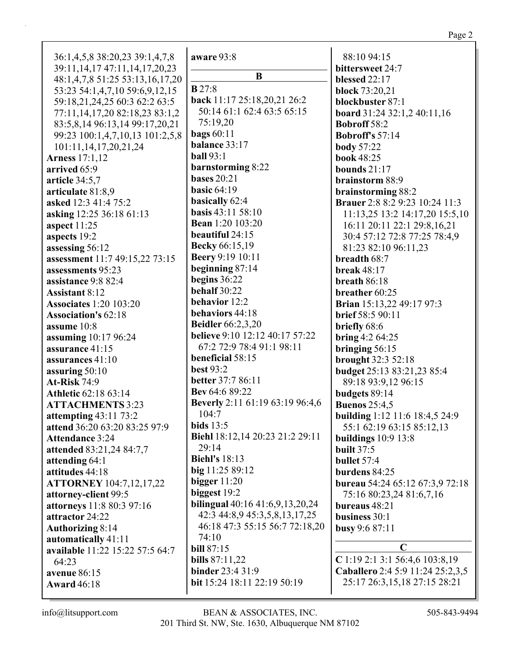| 36:1,4,5,8 38:20,23 39:1,4,7,8                                         | aware 93:8                                   |
|------------------------------------------------------------------------|----------------------------------------------|
| 39:11, 14, 17 47:11, 14, 17, 20, 23<br>48:1,4,7,8 51:25 53:13,16,17,20 | B                                            |
| 53:23 54:1,4,7,10 59:6,9,12,15                                         | B27:8                                        |
| 59:18,21,24,25 60:3 62:2 63:5                                          | back 11:17 25:18,20,21 26:2                  |
| 77:11,14,17,20 82:18,23 83:1,2                                         | 50:14 61:1 62:4 63:5 65:15                   |
| 83:5,8,14 96:13,14 99:17,20,21                                         | 75:19,20                                     |
| 99:23 100:1,4,7,10,13 101:2,5,8                                        | bags $60:11$                                 |
| 101:11,14,17,20,21,24                                                  | balance 33:17                                |
| <b>Arness</b> 17:1,12                                                  | <b>ball</b> 93:1                             |
| arrived 65:9                                                           | barnstorming 8:22                            |
| article 34:5,7                                                         | <b>bases</b> 20:21                           |
| articulate 81:8,9                                                      | basic $64:19$                                |
| asked 12:3 41:4 75:2                                                   | basically 62:4                               |
| asking 12:25 36:18 61:13                                               | <b>basis</b> 43:11 58:10                     |
| aspect $11:25$                                                         | <b>Bean</b> 1:20 103:20                      |
| aspects 19:2                                                           | beautiful 24:15                              |
| assessing 56:12                                                        | <b>Becky</b> 66:15,19                        |
| assessment 11:7 49:15,22 73:15                                         | <b>Beery 9:19 10:11</b>                      |
| assessments 95:23                                                      | beginning 87:14                              |
| assistance 9:8 82:4                                                    | begins 36:22                                 |
| <b>Assistant 8:12</b>                                                  | behalf 30:22                                 |
| <b>Associates</b> 1:20 103:20                                          | behavior 12:2                                |
| <b>Association's 62:18</b>                                             | behaviors 44:18                              |
| assume 10:8                                                            | <b>Beidler</b> 66:2,3,20                     |
| assuming 10:17 96:24                                                   | <b>believe</b> 9:10 12:12 40:17 57:22        |
| assurance 41:15                                                        | 67:2 72:9 78:4 91:1 98:11                    |
| assurances 41:10                                                       | beneficial 58:15                             |
| assuring $50:10$                                                       | <b>best 93:2</b><br><b>better</b> 37:7 86:11 |
| <b>At-Risk 74:9</b>                                                    | Bev 64:6 89:22                               |
| <b>Athletic 62:18 63:14</b>                                            | Beverly 2:11 61:19 63:19 96:4,6              |
| <b>ATTACHMENTS 3:23</b>                                                | 104:7                                        |
| attempting 43:11 73:2                                                  | bids $13:5$                                  |
| attend 36:20 63:20 83:25 97:9<br><b>Attendance 3:24</b>                | <b>Biehl</b> 18:12,14 20:23 21:2 29:11       |
| attended 83:21,24 84:7,7                                               | 29:14                                        |
| attending 64:1                                                         | <b>Biehl's</b> 18:13                         |
| attitudes 44:18                                                        | big 11:25 89:12                              |
| <b>ATTORNEY</b> 104:7,12,17,22                                         | bigger $11:20$                               |
| attorney-client 99:5                                                   | biggest 19:2                                 |
| attorneys 11:8 80:3 97:16                                              | bilingual 40:16 41:6,9,13,20,24              |
| attractor 24:22                                                        | 42:3 44:8,9 45:3,5,8,13,17,25                |
| <b>Authorizing 8:14</b>                                                | 46:18 47:3 55:15 56:7 72:18,20               |
| automatically 41:11                                                    | 74:10                                        |
| available 11:22 15:22 57:5 64:7                                        | <b>bill</b> 87:15                            |
| 64:23                                                                  | bills $87:11,22$                             |
| avenue 86:15                                                           | binder 23:4 31:9                             |
| <b>Award 46:18</b>                                                     | bit 15:24 18:11 22:19 50:19                  |
|                                                                        |                                              |

88:10 94:15 **bittersweet** 24:7 **blessed** 22:17 **block** 73:20,21 **blockbuster** 87:1 **board** 31:24 32:1,2 40:11,16 **Bobroff** 58:2 **Bobroff's** 57:14 **body** 57:22 **book** 48:25 **bounds** 21:17 **brainstorm** 88:9 **brainstorming** 88:2 **Brauer** 2:8 8:2 9:23 10:24 11:3 11:13,25 13:2 14:17,20 15:5,10 16:11 20:11 22:1 29:8,16,21 30:4 57:12 72:8 77:25 78:4,9 81:23 82:10 96:11,23 **breadth** 68:7 **break** 48:17 **breath** 86:18 **breather** 60:25 **Brian** 15:13,22 49:17 97:3 **brief** 58:5 90:11 **briefly** 68:6 **bring** 4:2 64:25 **bringing** 56:15 **brought** 32:3 52:18 **budget** 25:13 83:21,23 85:4 89:18 93:9,12 96:15 **budgets** 89:14 **Buenos** 25:4,5 **building** 1:12 11:6 18:4,5 24:9 55:1 62:19 63:15 85:12,13 **buildings** 10:9 13:8 **built** 37:5 **bullet** 57:4 **burdens** 84:25 **bureau** 54:24 65:12 67:3,9 72:18 75:16 80:23,24 81:6,7,16 **bureaus** 48:21 **business** 30:1 **busy** 9:6 87:11 **C C** 1:19 2:1 3:1 56:4,6 103:8,19

**Caballero** 2:4 5:9 11:24 25:2,3,5 25:17 26:3,15,18 27:15 28:21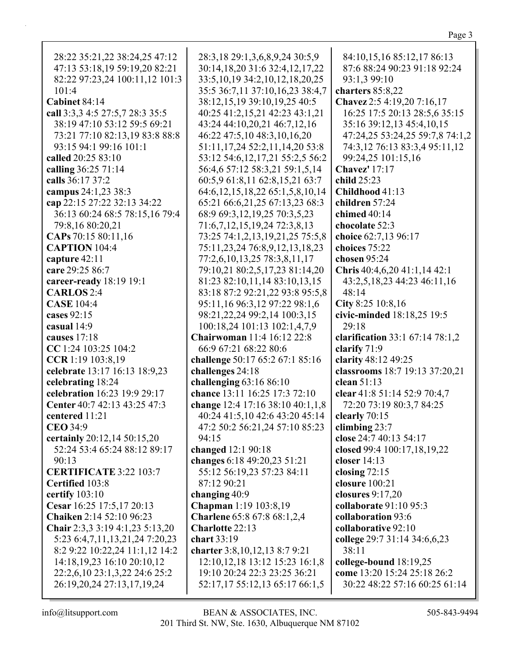| 28:22 35:21,22 38:24,25 47:12   | 28:3,18 29:1,3,6,8,9,24 30:5,9           | 84:10,15,16 85:12,17 86:13      |
|---------------------------------|------------------------------------------|---------------------------------|
| 47:13 53:18,19 59:19,20 82:21   | 30:14,18,20 31:6 32:4,12,17,22           | 87:6 88:24 90:23 91:18 92:24    |
| 82:22 97:23,24 100:11,12 101:3  | 33:5, 10, 19 34:2, 10, 12, 18, 20, 25    | 93:1,3 99:10                    |
| 101:4                           | 35:5 36:7,11 37:10,16,23 38:4,7          | charters 85:8,22                |
| Cabinet 84:14                   | 38:12,15,19 39:10,19,25 40:5             | Chavez 2:5 4:19,20 7:16,17      |
| call 3:3,3 4:5 27:5,7 28:3 35:5 | 40:25 41:2,15,21 42:23 43:1,21           | 16:25 17:5 20:13 28:5,6 35:15   |
| 38:19 47:10 53:12 59:5 69:21    | 43:24 44:10,20,21 46:7,12,16             | 35:16 39:12,13 45:4,10,15       |
| 73:21 77:10 82:13,19 83:8 88:8  | 46:22 47:5,10 48:3,10,16,20              | 47:24,25 53:24,25 59:7,8 74:1,2 |
| 93:15 94:1 99:16 101:1          | 51:11, 17, 24 52:2, 11, 14, 20 53:8      | 74:3,12 76:13 83:3,4 95:11,12   |
| called 20:25 83:10              | 53:12 54:6, 12, 17, 21 55:2, 5 56:2      | 99:24,25 101:15,16              |
| calling 36:25 71:14             | 56:4,6 57:12 58:3,21 59:1,5,14           | <b>Chavez'</b> 17:17            |
| calls 36:17 37:2                | 60:5,9 61:8,11 62:8,15,21 63:7           | child 25:23                     |
| campus 24:1,23 38:3             | 64:6, 12, 15, 18, 22 65: 1, 5, 8, 10, 14 | Childhood 41:13                 |
| cap 22:15 27:22 32:13 34:22     | 65:21 66:6,21,25 67:13,23 68:3           | children 57:24                  |
| 36:13 60:24 68:5 78:15,16 79:4  | 68:9 69:3,12,19,25 70:3,5,23             | chimed 40:14                    |
| 79:8,16 80:20,21                | 71:6,7,12,15,19,24 72:3,8,13             | chocolate 52:3                  |
| CAPs 70:15 80:11,16             | 73:25 74:1,2,13,19,21,25 75:5,8          | choice 62:7,13 96:17            |
| <b>CAPTION</b> 104:4            | 75:11,23,24 76:8,9,12,13,18,23           | choices 75:22                   |
| capture 42:11                   | 77:2,6,10,13,25 78:3,8,11,17             | chosen 95:24                    |
| care 29:25 86:7                 | 79:10,21 80:2,5,17,23 81:14,20           | Chris 40:4,6,20 41:1,14 42:1    |
| career-ready 18:19 19:1         | 81:23 82:10,11,14 83:10,13,15            | 43:2,5,18,23 44:23 46:11,16     |
| <b>CARLOS</b> 2:4               | 83:18 87:2 92:21,22 93:8 95:5,8          | 48:14                           |
| <b>CASE</b> 104:4               | 95:11,16 96:3,12 97:22 98:1,6            | City 8:25 10:8,16               |
| cases 92:15                     | 98:21, 22, 24 99:2, 14 100:3, 15         | civic-minded 18:18,25 19:5      |
| casual 14:9                     | 100:18,24 101:13 102:1,4,7,9             | 29:18                           |
| causes 17:18                    | <b>Chairwoman</b> 11:4 16:12 22:8        | clarification 33:1 67:14 78:1,2 |
| CC 1:24 103:25 104:2            | 66:9 67:21 68:22 80:6                    | clarify 71:9                    |
| CCR 1:19 103:8,19               | challenge 50:17 65:2 67:1 85:16          | clarity 48:12 49:25             |
| celebrate 13:17 16:13 18:9,23   | challenges 24:18                         | classrooms 18:7 19:13 37:20,21  |
| celebrating 18:24               | challenging $63:1686:10$                 | clean $51:13$                   |
| celebration 16:23 19:9 29:17    | chance 13:11 16:25 17:3 72:10            | clear 41:8 51:14 52:9 70:4,7    |
| Center 40:7 42:13 43:25 47:3    | change 12:4 17:16 38:10 40:1,1,8         | 72:20 73:19 80:3,7 84:25        |
| centered 11:21                  | 40:24 41:5,10 42:6 43:20 45:14           | clearly 70:15                   |
| <b>CEO 34:9</b>                 | 47:2 50:2 56:21,24 57:10 85:23           | climbing $23:7$                 |
| certainly 20:12,14 50:15,20     | 94:15                                    | close 24:7 40:13 54:17          |
| 52:24 53:4 65:24 88:12 89:17    | changed 12:1 90:18                       | closed 99:4 100:17,18,19,22     |
| 90:13                           | changes 6:18 49:20,23 51:21              | closer $14:13$                  |
| <b>CERTIFICATE 3:22 103:7</b>   | 55:12 56:19,23 57:23 84:11               | closing $72:15$                 |
| Certified 103:8                 | 87:12 90:21                              | closure 100:21                  |
| certify 103:10                  | changing 40:9                            | closures $9:17,20$              |
| Cesar 16:25 17:5,17 20:13       | <b>Chapman</b> 1:19 103:8,19             | collaborate 91:10 95:3          |
| <b>Chaiken</b> 2:14 52:10 96:23 | <b>Charlene</b> 65:8 67:8 68:1,2,4       | collaboration 93:6              |
| Chair 2:3,3 3:19 4:1,23 5:13,20 | Charlotte 22:13                          | collaborative 92:10             |
| 5:23 6:4,7,11,13,21,24 7:20,23  | chart 33:19                              | college 29:7 31:14 34:6,6,23    |
| 8:2 9:22 10:22,24 11:1,12 14:2  | charter 3:8, 10, 12, 13 8:7 9:21         | 38:11                           |
| 14:18,19,23 16:10 20:10,12      | 12:10, 12, 18 13:12 15:23 16:1, 8        | college-bound 18:19,25          |
| 22:2,6,10 23:1,3,22 24:6 25:2   | 19:10 20:24 22:3 23:25 36:21             | come 13:20 15:24 25:18 26:2     |
| 26:19,20,24 27:13,17,19,24      | 52:17,17 55:12,13 65:17 66:1,5           | 30:22 48:22 57:16 60:25 61:14   |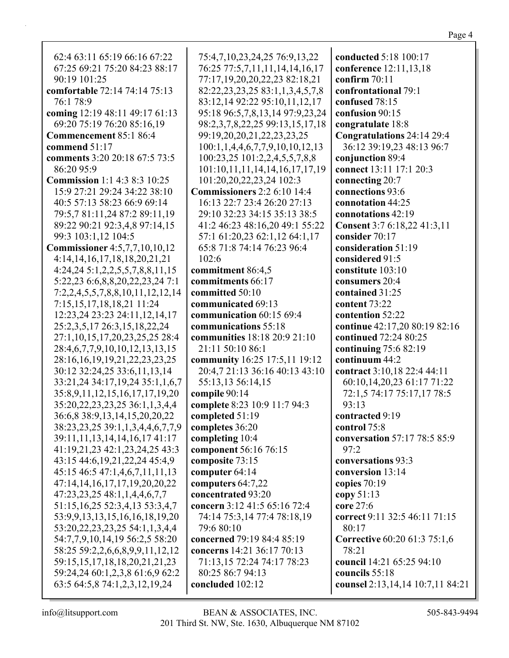| 62:4 63:11 65:19 66:16 67:22           |                                              | conducted 5:18 100:17               |
|----------------------------------------|----------------------------------------------|-------------------------------------|
| 67:25 69:21 75:20 84:23 88:17          | 75:4,7,10,23,24,25 76:9,13,22                |                                     |
|                                        | 76:25 77:5,7,11,11,14,14,16,17               | conference 12:11,13,18              |
| 90:19 101:25                           | 77:17,19,20,20,22,23 82:18,21                | confirm $70:11$                     |
| comfortable 72:14 74:14 75:13          | 82:22, 23, 23, 25 83:1, 1, 3, 4, 5, 7, 8     | confrontational 79:1                |
| 76:1 78:9                              | 83:12,14 92:22 95:10,11,12,17                | confused 78:15                      |
| coming 12:19 48:11 49:17 61:13         | 95:18 96:5,7,8,13,14 97:9,23,24              | confusion 90:15                     |
| 69:20 75:19 76:20 85:16,19             | 98:2,3,7,8,22,25 99:13,15,17,18              | congratulate 18:8                   |
| Commencement 85:1 86:4                 | 99:19,20,20,21,22,23,23,25                   | Congratulations 24:14 29:4          |
| commend 51:17                          | $100:1, 1, 4, 4, 6, 7, 7, 9, 10, 10, 12, 13$ | 36:12 39:19,23 48:13 96:7           |
| comments 3:20 20:18 67:5 73:5          | 100:23,25 101:2,2,4,5,5,7,8,8                | conjunction 89:4                    |
| 86:20 95:9                             | 101:10,11,11,14,14,16,17,17,19               | connect 13:11 17:1 20:3             |
| <b>Commission</b> 1:1 4:3 8:3 10:25    | 101:20,20,22,23,24 102:3                     | connecting 20:7                     |
| 15:9 27:21 29:24 34:22 38:10           | <b>Commissioners</b> 2:2 6:10 14:4           | connections 93:6                    |
| 40:5 57:13 58:23 66:9 69:14            | 16:13 22:7 23:4 26:20 27:13                  | connotation 44:25                   |
| 79:5,7 81:11,24 87:2 89:11,19          | 29:10 32:23 34:15 35:13 38:5                 | connotations 42:19                  |
| 89:22 90:21 92:3,4,8 97:14,15          | 41:2 46:23 48:16,20 49:1 55:22               | Consent 3:7 6:18,22 41:3,11         |
| 99:3 103:1,12 104:5                    | 57:1 61:20,23 62:1,12 64:1,17                | consider 70:17                      |
| <b>Commissioner</b> 4:5,7,7,10,10,12   | 65:8 71:8 74:14 76:23 96:4                   | consideration 51:19                 |
| 4:14, 14, 16, 17, 18, 18, 20, 21, 21   | 102:6                                        | considered 91:5                     |
| 4:24,245:1,2,2,5,5,7,8,8,11,15         | commitment 86:4,5                            | constitute 103:10                   |
| 5:22,23 6:6,8,8,20,22,23,24 7:1        | commitments 66:17                            | consumers 20:4                      |
| 7:2,2,4,5,5,7,8,8,10,11,12,12,14       | committed 50:10                              | contained 31:25                     |
| 7:15,15,17,18,18,21 11:24              | communicated 69:13                           | content 73:22                       |
| 12:23,24 23:23 24:11,12,14,17          | communication 60:15 69:4                     | contention 52:22                    |
| 25:2,3,5,17 26:3,15,18,22,24           | communications 55:18                         | continue 42:17,20 80:19 82:16       |
| 27:1,10,15,17,20,23,25,25 28:4         | communities 18:18 20:9 21:10                 | continued 72:24 80:25               |
| 28:4,6,7,7,9,10,10,12,13,13,15         | 21:11 50:10 86:1                             | continuing $75:682:19$              |
| 28:16,16,19,19,21,22,23,23,25          | community 16:25 17:5,11 19:12                | continuum 44:2                      |
| 30:12 32:24,25 33:6,11,13,14           | 20:4,7 21:13 36:16 40:13 43:10               | contract 3:10,18 22:4 44:11         |
| 33:21,24 34:17,19,24 35:1,1,6,7        | 55:13,13 56:14,15                            | 60:10,14,20,23 61:17 71:22          |
| 35:8,9,11,12,15,16,17,17,19,20         | compile 90:14                                | 72:1,5 74:17 75:17,17 78:5          |
| 35:20, 22, 23, 23, 25 36:1, 1, 3, 4, 4 | complete 8:23 10:9 11:7 94:3                 | 93:13                               |
| 36:6,8 38:9,13,14,15,20,20,22          | completed 51:19                              | contracted 9:19                     |
| 38:23,23,25 39:1,1,3,4,4,6,7,7,9       | completes 36:20                              | control 75:8                        |
| 39:11, 11, 13, 14, 14, 16, 17 41: 17   | completing 10:4                              | conversation 57:17 78:5 85:9        |
| 41:19,21,23 42:1,23,24,25 43:3         | component 56:16 76:15                        | 97:2                                |
| 43:15 44:6, 19, 21, 22, 24 45: 4, 9    | composite 73:15                              | conversations 93:3                  |
| 45:15 46:5 47:1,4,6,7,11,11,13         | computer 64:14                               | conversion 13:14                    |
| 47:14,14,16,17,17,19,20,20,22          | computers 64:7,22                            | copies $70:19$                      |
| 47:23,23,25 48:1,1,4,4,6,7,7           | concentrated 93:20                           | copy $51:13$                        |
| 51:15, 16, 25 52:3, 4, 13 53:3, 4, 7   | concern 3:12 41:5 65:16 72:4                 | core 27:6                           |
| 53:9,9,13,13,15,16,16,18,19,20         | 74:14 75:3,14 77:4 78:18,19                  | correct 9:11 32:5 46:11 71:15       |
| 53:20, 22, 23, 23, 25 54:1, 1, 3, 4, 4 | 79:6 80:10                                   | 80:17                               |
| 54:7,7,9,10,14,19 56:2,5 58:20         | concerned 79:19 84:4 85:19                   | <b>Corrective 60:20 61:3 75:1,6</b> |
| 58:25 59:2,2,6,6,8,9,9,11,12,12        | concerns 14:21 36:17 70:13                   | 78:21                               |
| 59:15, 15, 17, 18, 18, 20, 21, 21, 23  | 71:13,15 72:24 74:17 78:23                   | council 14:21 65:25 94:10           |
| 59:24,24 60:1,2,3,8 61:6,9 62:2        | 80:25 86:7 94:13                             | councils 55:18                      |
| 63:5 64:5,8 74:1,2,3,12,19,24          | concluded 102:12                             | counsel 2:13,14,14 10:7,11 84:21    |
|                                        |                                              |                                     |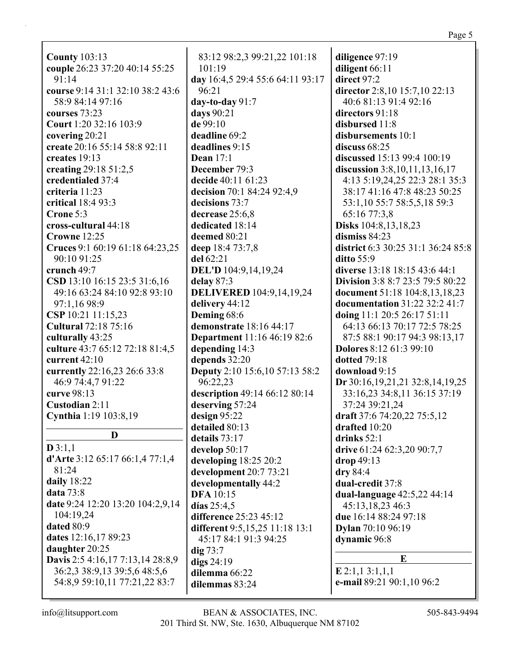**County** 103:13 **couple** 26:23 37:20 40:14 55:25  $91.14$ **course** 9:14 31:1 32:10 38:2 43:6 58:9 84:14 97:16 **courses** 73:23 **Court** 1:20 32:16 103:9 **covering** 20:21 **create** 20:16 55:14 58:8 92:11 **creates** 19:13 **creating** 29:18 51:2,5 **credentialed** 37:4 **criteria** 11:23 **critical** 18:4 93:3 **Crone** 5:3 **cross-cultural** 44:18 **Crowne** 12:25 **Cruces** 9:1 60:19 61:18 64:23,25 90:10 91:25 **crunch** 49:7 **CSD** 13:10 16:15 23:5 31:6,16 49:16 63:24 84:10 92:8 93:10 97:1,16 98:9 **CSP** 10:21 11:15,23 **Cultural** 72:18 75:16 **culturally** 43:25 **culture** 43:7 65:12 72:18 81:4,5 **current** 42:10 **currently** 22:16,23 26:6 33:8 46:9 74:4,7 91:22 **curve** 98:13 **Custodian** 2:11 **Cynthia** 1:19 103:8,19 **D**

### **D** 3:1,1

**d'Arte** 3:12 65:17 66:1,4 77:1,4 81:24 **daily** 18:22 **data** 73:8 **date** 9:24 12:20 13:20 104:2,9,14 104:19,24 **dated** 80:9 **dates** 12:16,17 89:23 **daughter** 20:25 **Davis** 2:5 4:16,17 7:13,14 28:8,9 36:2,3 38:9,13 39:5,6 48:5,6 54:8,9 59:10,11 77:21,22 83:7

83:12 98:2,3 99:21,22 101:18 101:19 **day** 16:4,5 29:4 55:6 64:11 93:17 96:21 **day-to-day** 91:7 **days** 90:21 **de** 99:10 **deadline** 69:2 **deadlines** 9:15 **Dean** 17:1 **December** 79:3 **decide** 40:11 61:23 **decision** 70:1 84:24 92:4,9 **decisions** 73:7 **decrease** 25:6,8 **dedicated** 18:14 **deemed** 80:21 **deep** 18:4 73:7,8 **del** 62:21 **DEL'D** 104:9,14,19,24 **delay** 87:3 **DELIVERED** 104:9,14,19,24 **delivery** 44:12 **Deming** 68:6 **demonstrate** 18:16 44:17 **Department** 11:16 46:19 82:6 **depending** 14:3 **depends** 32:20 **Deputy** 2:10 15:6,10 57:13 58:2 96:22,23 **description** 49:14 66:12 80:14 **deserving** 57:24 **design** 95:22 **detailed** 80:13 **details** 73:17 **develop** 50:17 **developing** 18:25 20:2 **development** 20:7 73:21 **developmentally** 44:2 **DFA** 10:15 **días** 25:4,5 **difference** 25:23 45:12 **different** 9:5,15,25 11:18 13:1 45:17 84:1 91:3 94:25 **dig** 73:7 **digs** 24:19 **dilemma** 66:22 **dilemmas** 83:24

**diligence** 97:19 **diligent** 66:11 **direct** 97:2 **director** 2:8,10 15:7,10 22:13 40:6 81:13 91:4 92:16 **directors** 91:18 **disbursed** 11:8 **disbursements** 10:1 **discuss** 68:25 **discussed** 15:13 99:4 100:19 **discussion** 3:8,10,11,13,16,17 4:13 5:19,24,25 22:3 28:1 35:3 38:17 41:16 47:8 48:23 50:25 53:1,10 55:7 58:5,5,18 59:3 65:16 77:3,8 **Disks** 104:8,13,18,23 **dismiss** 84:23 **district** 6:3 30:25 31:1 36:24 85:8 **ditto** 55:9 **diverse** 13:18 18:15 43:6 44:1 **Division** 3:8 8:7 23:5 79:5 80:22 **document** 51:18 104:8,13,18,23 **documentation** 31:22 32:2 41:7 **doing** 11:1 20:5 26:17 51:11 64:13 66:13 70:17 72:5 78:25 87:5 88:1 90:17 94:3 98:13,17 **Dolores** 8:12 61:3 99:10 **dotted** 79:18 **download** 9:15 **Dr** 30:16,19,21,21 32:8,14,19,25 33:16,23 34:8,11 36:15 37:19 37:24 39:21,24 **draft** 37:6 74:20,22 75:5,12 **drafted** 10:20 **drinks** 52:1 **drive** 61:24 62:3,20 90:7,7 **drop** 49:13 **dry** 84:4 **dual-credit** 37:8 **dual-language** 42:5,22 44:14 45:13,18,23 46:3 **due** 16:14 88:24 97:18 **Dylan** 70:10 96:19 **dynamic** 96:8 **E**

**E** 2:1,1 3:1,1,1 **e-mail** 89:21 90:1,10 96:2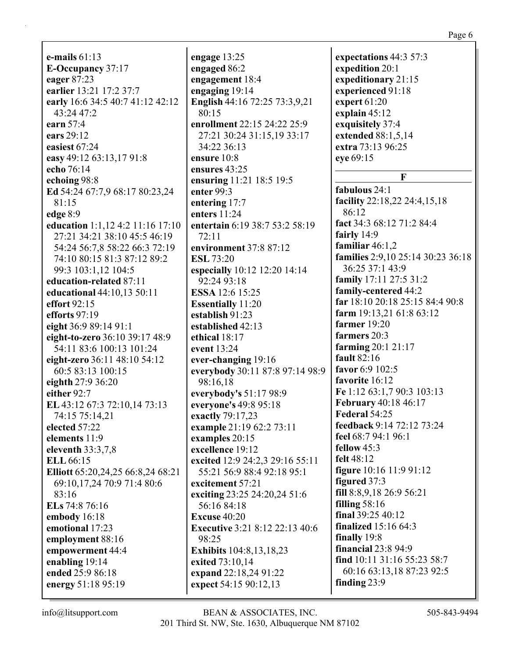**e-mails** 61:13 **E-Occupancy** 37:17 **eager** 87:23 **earlier** 13:21 17:2 37:7 **early** 16:6 34:5 40:7 41:12 42:12 43:24 47:2 **earn** 57:4 **ears** 29:12 **easiest** 67:24 **easy** 49:12 63:13,17 91:8 **echo** 76:14 **echoing** 98:8 **Ed** 54:24 67:7,9 68:17 80:23,24 81:15 **edge** 8:9 **education** 1:1,12 4:2 11:16 17:10 27:21 34:21 38:10 45:5 46:19 54:24 56:7,8 58:22 66:3 72:19 74:10 80:15 81:3 87:12 89:2 99:3 103:1,12 104:5 **education-related** 87:11 **educational** 44:10,13 50:11 **effort** 92:15 **efforts** 97:19 **eight** 36:9 89:14 91:1 **eight-to-zero** 36:10 39:17 48:9 54:11 83:6 100:13 101:24 **eight-zero** 36:11 48:10 54:12 60:5 83:13 100:15 **eighth** 27:9 36:20 **either** 92:7 **EL** 43:12 67:3 72:10,14 73:13 74:15 75:14,21 **elected** 57:22 **elements** 11:9 **eleventh** 33:3,7,8 **ELL** 66:15 **Elliott** 65:20,24,25 66:8,24 68:21 69:10,17,24 70:9 71:4 80:6 83:16 **ELs** 74:8 76:16 **embody** 16:18 **emotional** 17:23 **employment** 88:16 **empowerment** 44:4 **enabling** 19:14 **ended** 25:9 86:18 **energy** 51:18 95:19

**engage** 13:25 **engaged** 86:2 **engagement** 18:4 **engaging** 19:14 **English** 44:16 72:25 73:3,9,21 80:15 **enrollment** 22:15 24:22 25:9 27:21 30:24 31:15,19 33:17 34:22 36:13 **ensure** 10:8 **ensures** 43:25 **ensuring** 11:21 18:5 19:5 **enter** 99:3 **entering** 17:7 **enters** 11:24 **entertain** 6:19 38:7 53:2 58:19 72:11 **environment** 37:8 87:12 **ESL** 73:20 **especially** 10:12 12:20 14:14 92:24 93:18 **ESSA** 12:6 15:25 **Essentially** 11:20 **establish** 91:23 **established** 42:13 **ethical** 18:17 **event** 13:24 **ever-changing** 19:16 **everybody** 30:11 87:8 97:14 98:9 98:16,18 **everybody's** 51:17 98:9 **everyone's** 49:8 95:18 **exactly** 79:17,23 **example** 21:19 62:2 73:11 **examples** 20:15 **excellence** 19:12 **excited** 12:9 24:2,3 29:16 55:11 55:21 56:9 88:4 92:18 95:1 **excitement** 57:21 **exciting** 23:25 24:20,24 51:6 56:16 84:18 **Excuse** 40:20 **Executive** 3:21 8:12 22:13 40:6 98:25 **Exhibits** 104:8,13,18,23 **exited** 73:10,14 **expand** 22:18,24 91:22 **expect** 54:15 90:12,13

**expectations** 44:3 57:3 **expedition** 20:1 **expeditionary** 21:15 **experienced** 91:18 **expert** 61:20 **explain** 45:12 **exquisitely** 37:4 **extended** 88:1,5,14 **extra** 73:13 96:25 **eye** 69:15 **F fabulous** 24:1 **facility** 22:18,22 24:4,15,18 86:12 **fact** 34:3 68:12 71:2 84:4 **fairly** 14:9 **familiar** 46:1,2 **families** 2:9,10 25:14 30:23 36:18 36:25 37:1 43:9 **family** 17:11 27:5 31:2 **family-centered** 44:2 **far** 18:10 20:18 25:15 84:4 90:8 **farm** 19:13,21 61:8 63:12 **farmer** 19:20 **farmers** 20:3 **farming** 20:1 21:17 **fault** 82:16 **favor** 6:9 102:5 **favorite** 16:12 **Fe** 1:12 63:1,7 90:3 103:13 **February** 40:18 46:17 **Federal** 54:25 **feedback** 9:14 72:12 73:24 **feel** 68:7 94:1 96:1 **fellow** 45:3 **felt** 48:12 **figure** 10:16 11:9 91:12 **figured** 37:3 **fill** 8:8,9,18 26:9 56:21 **filling** 58:16 **final** 39:25 40:12 **finalized** 15:16 64:3 **finally** 19:8 **financial** 23:8 94:9 **find** 10:11 31:16 55:23 58:7 60:16 63:13,18 87:23 92:5 **finding** 23:9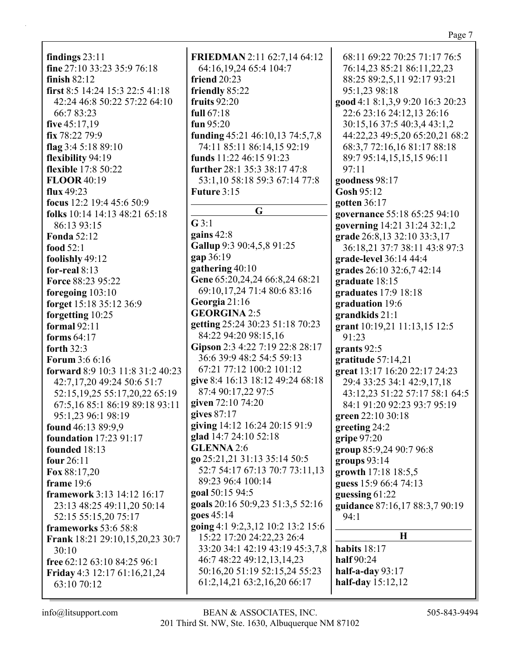**findings** 23:11 **fine** 27:10 33:23 35:9 76:18 **finish** 82:12 **first** 8:5 14:24 15:3 22:5 41:18 42:24 46:8 50:22 57:22 64:10 66:7 83:23 **five** 45:17,19 **fix** 78:22 79:9 **flag** 3:4 5:18 89:10 **flexibility** 94:19 **flexible** 17:8 50:22 **FLOOR** 40:19 **flux** 49:23 **focus** 12:2 19:4 45:6 50:9 **folks** 10:14 14:13 48:21 65:18 86:13 93:15 **Fonda** 52:12 **food** 52:1 **foolishly** 49:12 **for-real** 8:13 **Force** 88:23 95:22 **foregoing** 103:10 **forget** 15:18 35:12 36:9 **forgetting** 10:25 **formal** 92:11 **forms** 64:17 **forth** 32:3 **Forum** 3:6 6:16 **forward** 8:9 10:3 11:8 31:2 40:23 42:7,17,20 49:24 50:6 51:7 52:15,19,25 55:17,20,22 65:19 67:5,16 85:1 86:19 89:18 93:11 95:1,23 96:1 98:19 **found** 46:13 89:9,9 **foundation** 17:23 91:17 **founded** 18:13 **four** 26:11 **Fox** 88:17,20 **frame** 19:6 **framework** 3:13 14:12 16:17 23:13 48:25 49:11,20 50:14 52:15 55:15,20 75:17 **frameworks** 53:6 58:8 **Frank** 18:21 29:10,15,20,23 30:7 30:10 **free** 62:12 63:10 84:25 96:1 **Friday** 4:3 12:17 61:16,21,24 63:10 70:12

**FRIEDMAN** 2:11 62:7,14 64:12 64:16,19,24 65:4 104:7 **friend** 20:23 **friendly** 85:22 **fruits** 92:20 **full** 67:18 **fun** 95:20 **funding** 45:21 46:10,13 74:5,7,8 74:11 85:11 86:14,15 92:19 **funds** 11:22 46:15 91:23 **further** 28:1 35:3 38:17 47:8 53:1,10 58:18 59:3 67:14 77:8 **Future** 3:15 **G G** 3:1 **gains** 42:8 **Gallup** 9:3 90:4,5,8 91:25 **gap** 36:19 **gathering** 40:10 **Gene** 65:20,24,24 66:8,24 68:21 69:10,17,24 71:4 80:6 83:16 **Georgia** 21:16 **GEORGINA** 2:5 **getting** 25:24 30:23 51:18 70:23 84:22 94:20 98:15,16 **Gipson** 2:3 4:22 7:19 22:8 28:17 36:6 39:9 48:2 54:5 59:13 67:21 77:12 100:2 101:12 **give** 8:4 16:13 18:12 49:24 68:18 87:4 90:17,22 97:5 **given** 72:10 74:20 **gives** 87:17 **giving** 14:12 16:24 20:15 91:9 **glad** 14:7 24:10 52:18 **GLENNA** 2:6 **go** 25:21,21 31:13 35:14 50:5 52:7 54:17 67:13 70:7 73:11,13 89:23 96:4 100:14 **goal** 50:15 94:5 **goals** 20:16 50:9,23 51:3,5 52:16 **goes** 45:14 **going** 4:1 9:2,3,12 10:2 13:2 15:6 15:22 17:20 24:22,23 26:4 33:20 34:1 42:19 43:19 45:3,7,8 46:7 48:22 49:12,13,14,23 50:16,20 51:19 52:15,24 55:23 61:2,14,21 63:2,16,20 66:17

68:11 69:22 70:25 71:17 76:5 76:14,23 85:21 86:11,22,23 88:25 89:2,5,11 92:17 93:21 95:1,23 98:18 **good** 4:1 8:1,3,9 9:20 16:3 20:23 22:6 23:16 24:12,13 26:16 30:15,16 37:5 40:3,4 43:1,2 44:22,23 49:5,20 65:20,21 68:2 68:3,7 72:16,16 81:17 88:18 89:7 95:14,15,15,15 96:11 97:11 **goodness** 98:17 **Gosh** 95:12 **gotten** 36:17 **governance** 55:18 65:25 94:10 **governing** 14:21 31:24 32:1,2 **grade** 26:8,13 32:10 33:3,17 36:18,21 37:7 38:11 43:8 97:3 **grade-level** 36:14 44:4 **grades** 26:10 32:6,7 42:14 **graduate** 18:15 **graduates** 17:9 18:18 **graduation** 19:6 **grandkids** 21:1 **grant** 10:19,21 11:13,15 12:5 91:23 **grants** 92:5 **gratitude** 57:14,21 **great** 13:17 16:20 22:17 24:23 29:4 33:25 34:1 42:9,17,18 43:12,23 51:22 57:17 58:1 64:5 84:1 91:20 92:23 93:7 95:19 **green** 22:10 30:18 **greeting** 24:2 **gripe** 97:20 **group** 85:9,24 90:7 96:8 **groups** 93:14 **growth** 17:18 18:5,5 **guess** 15:9 66:4 74:13 **guessing** 61:22 **guidance** 87:16,17 88:3,7 90:19 94:1 **H habits** 18:17 **half** 90:24

**half-a-day** 93:17 **half-day** 15:12,12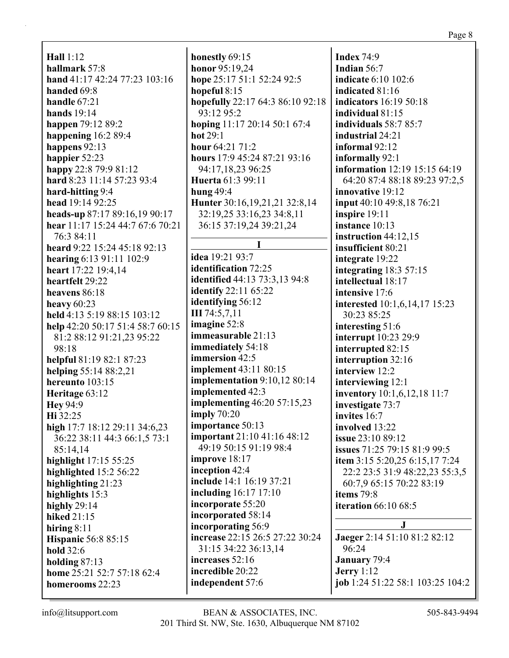**Hall** 1:12 **hallmark** 57:8 **hand** 41:17 42:24 77:23 103:16 **handed** 69:8 **handle** 67:21 **hands** 19:14 **happen** 79:12 89:2 **happening** 16:2 89:4 **happens** 92:13 **happier** 52:23 **happy** 22:8 79:9 81:12 **hard** 8:23 11:14 57:23 93:4 **hard-hitting** 9:4 **head** 19:14 92:25 **heads-up** 87:17 89:16,19 90:17 **hear** 11:17 15:24 44:7 67:6 70:21 76:3 84:11 **heard** 9:22 15:24 45:18 92:13 **hearing** 6:13 91:11 102:9 **heart** 17:22 19:4,14 **heartfelt** 29:22 **heavens** 86:18 **heavy** 60:23 **held** 4:13 5:19 88:15 103:12 **help** 42:20 50:17 51:4 58:7 60:15 81:2 88:12 91:21,23 95:22 98:18 **helpful** 81:19 82:1 87:23 **helping** 55:14 88:2,21 **hereunto** 103:15 **Heritage** 63:12 **Hey** 94:9 **Hi** 32:25 **high** 17:7 18:12 29:11 34:6,23 36:22 38:11 44:3 66:1,5 73:1 85:14,14 **highlight** 17:15 55:25 **highlighted** 15:2 56:22 **highlighting** 21:23 **highlights** 15:3 **highly** 29:14 **hiked** 21:15 **hiring** 8:11 **Hispanic** 56:8 85:15 **hold** 32:6 **holding** 87:13 **home** 25:21 52:7 57:18 62:4 **homerooms** 22:23

**honestly** 69:15 **honor** 95:19,24 **hope** 25:17 51:1 52:24 92:5 **hopeful** 8:15 **hopefully** 22:17 64:3 86:10 92:18 93:12 95:2 **hoping** 11:17 20:14 50:1 67:4 **hot** 29:1 **hour** 64:21 71:2 **hours** 17:9 45:24 87:21 93:16 94:17,18,23 96:25 **Huerta** 61:3 99:11 **hung** 49:4 **Hunter** 30:16,19,21,21 32:8,14 32:19,25 33:16,23 34:8,11 36:15 37:19,24 39:21,24 **I idea** 19:21 93:7 **identification** 72:25 **identified** 44:13 73:3,13 94:8 **identify** 22:11 65:22 **identifying** 56:12 **III** 74:5,7,11 **imagine** 52:8 **immeasurable** 21:13 **immediately** 54:18 **immersion** 42:5 **implement** 43:11 80:15 **implementation** 9:10,12 80:14 **implemented** 42:3 **implementing** 46:20 57:15,23 **imply** 70:20 **importance** 50:13 **important** 21:10 41:16 48:12 49:19 50:15 91:19 98:4 **improve** 18:17 **inception** 42:4 **include** 14:1 16:19 37:21 **including** 16:17 17:10 **incorporate** 55:20 **incorporated** 58:14 **incorporating** 56:9 **increase** 22:15 26:5 27:22 30:24 31:15 34:22 36:13,14 **increases** 52:16 **incredible** 20:22 **independent** 57:6

**Index** 74:9 **Indian** 56:7 **indicate** 6:10 102:6 **indicated** 81:16 **indicators** 16:19 50:18 **individual** 81:15 **individuals** 58:7 85:7 **industrial** 24:21 **informal** 92:12 **informally** 92:1 **information** 12:19 15:15 64:19 64:20 87:4 88:18 89:23 97:2,5 **innovative** 19:12 **input** 40:10 49:8,18 76:21 **inspire** 19:11 **instance** 10:13 **instruction** 44:12,15 **insufficient** 80:21 **integrate** 19:22 **integrating** 18:3 57:15 **intellectual** 18:17 **intensive** 17:6 **interested** 10:1,6,14,17 15:23 30:23 85:25 **interesting** 51:6 **interrupt** 10:23 29:9 **interrupted** 82:15 **interruption** 32:16 **interview** 12:2 **interviewing** 12:1 **inventory** 10:1,6,12,18 11:7 **investigate** 73:7 **invites** 16:7 **involved** 13:22 **issue** 23:10 89:12 **issues** 71:25 79:15 81:9 99:5 **item** 3:15 5:20,25 6:15,17 7:24 22:2 23:5 31:9 48:22,23 55:3,5 60:7,9 65:15 70:22 83:19 **items** 79:8 **iteration** 66:10 68:5 **J**

**Jaeger** 2:14 51:10 81:2 82:12 96:24 **January** 79:4 **Jerry** 1:12 **job** 1:24 51:22 58:1 103:25 104:2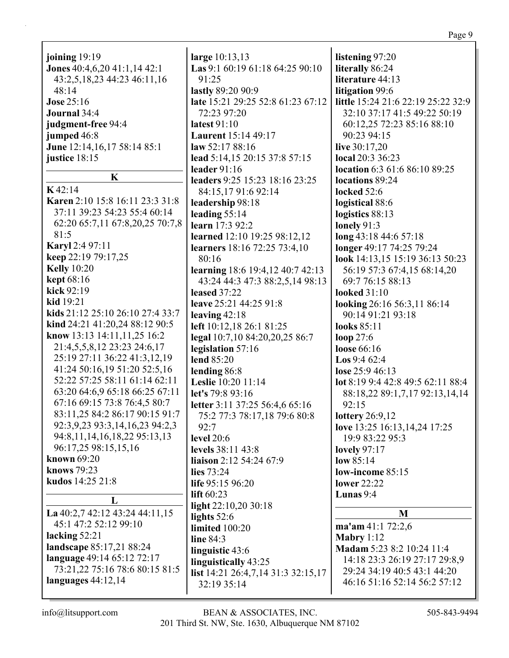|                                     |                                                   | Page 9                                    |
|-------------------------------------|---------------------------------------------------|-------------------------------------------|
| joining 19:19                       | large $10:13,13$                                  | listening 97:20                           |
| Jones 40:4,6,20 41:1,14 42:1        | Las 9:1 60:19 61:18 64:25 90:10                   | literally 86:24                           |
| 43:2,5,18,23 44:23 46:11,16         | 91:25                                             | literature 44:13                          |
| 48:14                               | lastly 89:20 90:9                                 | litigation 99:6                           |
| <b>Jose 25:16</b>                   | late 15:21 29:25 52:8 61:23 67:12                 | little 15:24 21:6 22:19 25:22 32:9        |
| Journal 34:4                        | 72:23 97:20                                       | 32:10 37:17 41:5 49:22 50:19              |
|                                     | <b>latest 91:10</b>                               |                                           |
| judgment-free 94:4                  |                                                   | 60:12,25 72:23 85:16 88:10<br>90:23 94:15 |
| jumped 46:8                         | <b>Laurent</b> 15:14 49:17                        |                                           |
| June 12:14,16,17 58:14 85:1         | law $52:1788:16$                                  | live $30:17,20$                           |
| justice $18:15$                     | lead 5:14,15 20:15 37:8 57:15                     | local 20:3 36:23                          |
| $\mathbf K$                         | leader $91:16$                                    | location 6:3 61:6 86:10 89:25             |
| K42:14                              | leaders 9:25 15:23 18:16 23:25                    | locations 89:24                           |
|                                     | 84:15,17 91:6 92:14                               | locked 52:6                               |
| Karen 2:10 15:8 16:11 23:3 31:8     | leadership 98:18                                  | logistical 88:6                           |
| 37:11 39:23 54:23 55:4 60:14        | leading $55:14$                                   | logistics 88:13                           |
| 62:20 65:7,11 67:8,20,25 70:7,8     | learn 17:3 92:2                                   | lonely $91:3$                             |
| 81:5                                | learned 12:10 19:25 98:12,12                      | long 43:18 44:6 57:18                     |
| <b>Karyl</b> 2:4 97:11              | <b>learners</b> 18:16 72:25 73:4,10               | longer 49:17 74:25 79:24                  |
| keep 22:19 79:17,25                 | 80:16                                             | look 14:13,15 15:19 36:13 50:23           |
| <b>Kelly</b> 10:20                  | learning 18:6 19:4,12 40:7 42:13                  | 56:19 57:3 67:4,15 68:14,20               |
| <b>kept</b> 68:16                   | 43:24 44:3 47:3 88:2,5,14 98:13                   | 69:7 76:15 88:13                          |
| kick 92:19                          | leased $37:22$                                    | looked $31:10$                            |
| $kid$ 19:21                         | leave 25:21 44:25 91:8                            | looking 26:16 56:3,11 86:14               |
| kids 21:12 25:10 26:10 27:4 33:7    | leaving $42:18$                                   | 90:14 91:21 93:18                         |
| kind 24:21 41:20,24 88:12 90:5      | left 10:12,18 26:1 81:25                          | looks 85:11                               |
| know 13:13 14:11,11,25 16:2         | legal 10:7,10 84:20,20,25 86:7                    | loop $27:6$                               |
| 21:4,5,5,8,12 23:23 24:6,17         | legislation 57:16                                 | loose 66:16                               |
| 25:19 27:11 36:22 41:3,12,19        | lend 85:20                                        | <b>Los</b> 9:4 62:4                       |
| 41:24 50:16,19 51:20 52:5,16        | lending 86:8                                      | lose $25:946:13$                          |
| 52:22 57:25 58:11 61:14 62:11       | Leslie 10:20 11:14                                | lot 8:19 9:4 42:8 49:5 62:11 88:4         |
| 63:20 64:6,9 65:18 66:25 67:11      | let's 79:8 93:16                                  | 88:18,22 89:1,7,17 92:13,14,14            |
| 67:16 69:15 73:8 76:4,5 80:7        | letter 3:11 37:25 56:4,6 65:16                    | 92:15                                     |
| 83:11,25 84:2 86:17 90:15 91:7      | 75:2 77:3 78:17,18 79:6 80:8                      | lottery 26:9,12                           |
| 92:3,9,23 93:3,14,16,23 94:2,3      | 92:7                                              | love 13:25 16:13,14,24 17:25              |
| 94:8, 11, 14, 16, 18, 22 95: 13, 13 | <b>level</b> 20:6                                 | 19:9 83:22 95:3                           |
| 96:17,25 98:15,15,16                | levels 38:11 43:8                                 | lovely $97:17$                            |
| known 69:20                         | liaison 2:12 54:24 67:9                           | low $85:14$                               |
| knows 79:23                         | lies $73:24$                                      | low-income 85:15                          |
| kudos 14:25 21:8                    | life 95:15 96:20                                  | <b>lower</b> 22:22                        |
|                                     | lift $60:23$                                      | Lunas 9:4                                 |
| L                                   | light 22:10,20 30:18                              |                                           |
| La $40:2,7$ 42:12 43:24 44:11,15    | lights $52:6$                                     | M                                         |
| 45:1 47:2 52:12 99:10               | limited 100:20                                    | ma'am 41:1 72:2,6                         |
| lacking $52:21$                     | line 84:3                                         | Mabry 1:12                                |
| landscape 85:17,21 88:24            | linguistic 43:6                                   | Madam 5:23 8:2 10:24 11:4                 |
| language 49:14 65:12 72:17          | linguistically 43:25                              | 14:18 23:3 26:19 27:17 29:8,9             |
| 73:21,22 75:16 78:6 80:15 81:5      |                                                   | 29:24 34:19 40:5 43:1 44:20               |
| languages $44:12,14$                | list 14:21 26:4,7,14 31:3 32:15,17<br>32:19 35:14 | 46:16 51:16 52:14 56:2 57:12              |
|                                     |                                                   |                                           |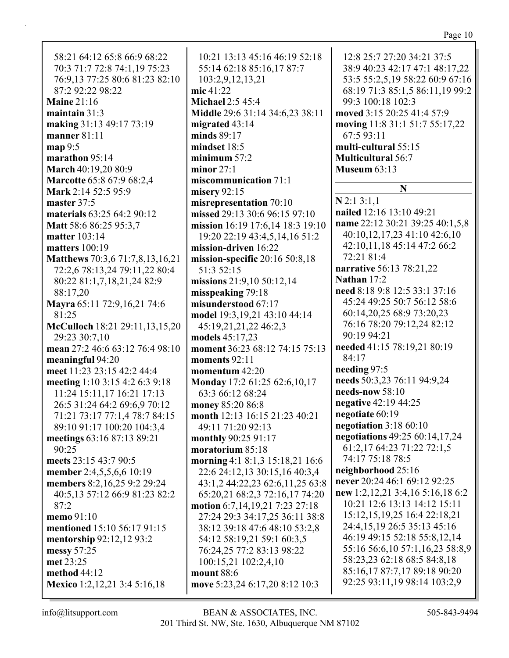58:21 64:12 65:8 66:9 68:22 70:3 71:7 72:8 74:1,19 75:23 76:9,13 77:25 80:6 81:23 82:10 87:2 92:22 98:22 **Maine** 21:16 **maintain** 31:3 **making** 31:13 49:17 73:19 **manner** 81:11 **map** 9:5 **marathon** 95:14 **March** 40:19,20 80:9 **Marcotte** 65:8 67:9 68:2,4 **Mark** 2:14 52:5 95:9 **master** 37:5 **materials** 63:25 64:2 90:12 **Matt** 58:6 86:25 95:3,7 **matter** 103:14 **matters** 100:19 **Matthews** 70:3,6 71:7,8,13,16,21 72:2,6 78:13,24 79:11,22 80:4 80:22 81:1,7,18,21,24 82:9 88:17,20 **Mayra** 65:11 72:9,16,21 74:6 81:25 **McCulloch** 18:21 29:11,13,15,20 29:23 30:7,10 **mean** 27:2 46:6 63:12 76:4 98:10 **meaningful** 94:20 **meet** 11:23 23:15 42:2 44:4 **meeting** 1:10 3:15 4:2 6:3 9:18 11:24 15:11,17 16:21 17:13 26:5 31:24 64:2 69:6,9 70:12 71:21 73:17 77:1,4 78:7 84:15 89:10 91:17 100:20 104:3,4 **meetings** 63:16 87:13 89:21 90:25 **meets** 23:15 43:7 90:5 **member** 2:4,5,5,6,6 10:19 **members** 8:2,16,25 9:2 29:24 40:5,13 57:12 66:9 81:23 82:2 87:2 **memo** 91:10 **mentioned** 15:10 56:17 91:15 **mentorship** 92:12,12 93:2 **messy** 57:25 **met** 23:25 **method** 44:12 **Mexico** 1:2,12,21 3:4 5:16,18

10:21 13:13 45:16 46:19 52:18 55:14 62:18 85:16,17 87:7 103:2,9,12,13,21 **mic** 41:22 **Michael** 2:5 45:4 **Middle** 29:6 31:14 34:6,23 38:11 **migrated** 43:14 **minds** 89:17 **mindset** 18:5 **minimum** 57:2 **minor** 27:1 **miscommunication** 71:1 **misery** 92:15 **misrepresentation** 70:10 **missed** 29:13 30:6 96:15 97:10 **mission** 16:19 17:6,14 18:3 19:10 19:20 22:19 43:4,5,14,16 51:2 **mission-driven** 16:22 **mission-specific** 20:16 50:8,18 51:3 52:15 **missions** 21:9,10 50:12,14 **misspeaking** 79:18 **misunderstood** 67:17 **model** 19:3,19,21 43:10 44:14 45:19,21,21,22 46:2,3 **models** 45:17,23 **moment** 36:23 68:12 74:15 75:13 **moments** 92:11 **momentum** 42:20 **Monday** 17:2 61:25 62:6,10,17 63:3 66:12 68:24 **money** 85:20 86:8 **month** 12:13 16:15 21:23 40:21 49:11 71:20 92:13 **monthly** 90:25 91:17 **moratorium** 85:18 **morning** 4:1 8:1,3 15:18,21 16:6 22:6 24:12,13 30:15,16 40:3,4 43:1,2 44:22,23 62:6,11,25 63:8 65:20,21 68:2,3 72:16,17 74:20 **motion** 6:7,14,19,21 7:23 27:18 27:24 29:3 34:17,25 36:11 38:8 38:12 39:18 47:6 48:10 53:2,8 54:12 58:19,21 59:1 60:3,5 76:24,25 77:2 83:13 98:22 100:15,21 102:2,4,10 **mount** 88:6 **move** 5:23,24 6:17,20 8:12 10:3

12:8 25:7 27:20 34:21 37:5 38:9 40:23 42:17 47:1 48:17,22 53:5 55:2,5,19 58:22 60:9 67:16 68:19 71:3 85:1,5 86:11,19 99:2 99:3 100:18 102:3 **moved** 3:15 20:25 41:4 57:9 **moving** 11:8 31:1 51:7 55:17,22 67:5 93:11 **multi-cultural** 55:15 **Multicultural** 56:7 **Museum** 63:13

### **N**

**N** 2:1 3:1,1 **nailed** 12:16 13:10 49:21 **name** 22:12 30:21 39:25 40:1,5,8 40:10,12,17,23 41:10 42:6,10 42:10,11,18 45:14 47:2 66:2 72:21 81:4 **narrative** 56:13 78:21,22 **Nathan** 17:2 **need** 8:18 9:8 12:5 33:1 37:16 45:24 49:25 50:7 56:12 58:6 60:14,20,25 68:9 73:20,23 76:16 78:20 79:12,24 82:12 90:19 94:21 **needed** 41:15 78:19,21 80:19 84:17 **needing** 97:5 **needs** 50:3,23 76:11 94:9,24 **needs-now** 58:10 **negative** 42:19 44:25 **negotiate** 60:19 **negotiation** 3:18 60:10 **negotiations** 49:25 60:14,17,24 61:2,17 64:23 71:22 72:1,5 74:17 75:18 78:5 **neighborhood** 25:16 **never** 20:24 46:1 69:12 92:25 **new** 1:2,12,21 3:4,16 5:16,18 6:2 10:21 12:6 13:13 14:12 15:11 15:12,15,19,25 16:4 22:18,21 24:4,15,19 26:5 35:13 45:16 46:19 49:15 52:18 55:8,12,14 55:16 56:6,10 57:1,16,23 58:8,9 58:23,23 62:18 68:5 84:8,18 85:16,17 87:7,17 89:18 90:20 92:25 93:11,19 98:14 103:2,9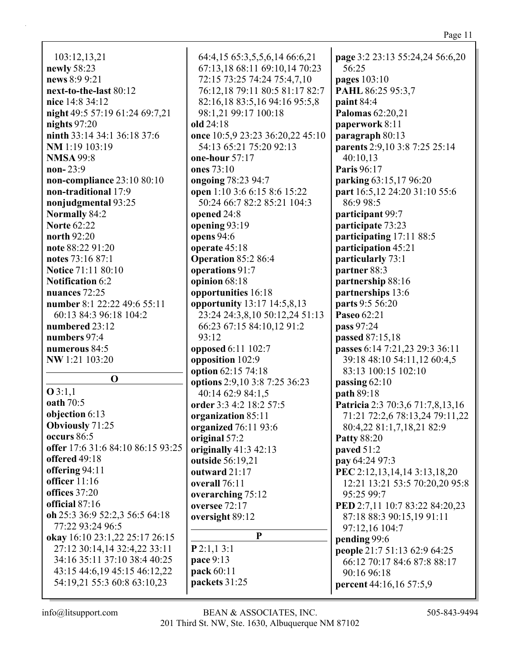103:12,13,21 **newly** 58:23 **news** 8:9 9:21 **next-to-the-last** 80:12 **nice** 14:8 34:12 **night** 49:5 57:19 61:24 69:7,21 **nights** 97:20 **ninth** 33:14 34:1 36:18 37:6 **NM** 1:19 103:19 **NMSA** 99:8 **non-** 23:9 **non-compliance** 23:10 80:10 **non-traditional** 17:9 **nonjudgmental** 93:25 **Normally** 84:2 **Norte** 62:22 **north** 92:20 **note** 88:22 91:20 **notes** 73:16 87:1 **Notice** 71:11 80:10 **Notification** 6:2 **nuances** 72:25 **number** 8:1 22:22 49:6 55:11 60:13 84:3 96:18 104:2 **numbered** 23:12 **numbers** 97:4 **numerous** 84:5 **NW** 1:21 103:20 **O O** 3:1,1 **oath** 70:5 **objection** 6:13 **Obviously** 71:25 **occurs** 86:5 **offer** 17:6 31:6 84:10 86:15 93:25 **offered** 49:18 **offering** 94:11 **officer** 11:16 **offices** 37:20 **official** 87:16 **oh** 25:3 36:9 52:2,3 56:5 64:18 77:22 93:24 96:5 **okay** 16:10 23:1,22 25:17 26:15 27:12 30:14,14 32:4,22 33:11 34:16 35:11 37:10 38:4 40:25 43:15 44:6,19 45:15 46:12,22 54:19,21 55:3 60:8 63:10,23

64:4,15 65:3,5,5,6,14 66:6,21 67:13,18 68:11 69:10,14 70:23 72:15 73:25 74:24 75:4,7,10 76:12,18 79:11 80:5 81:17 82:7 82:16,18 83:5,16 94:16 95:5,8 98:1,21 99:17 100:18 **old** 24:18 **once** 10:5,9 23:23 36:20,22 45:10 54:13 65:21 75:20 92:13 **one-hour** 57:17 **ones** 73:10 **ongoing** 78:23 94:7 **open** 1:10 3:6 6:15 8:6 15:22 50:24 66:7 82:2 85:21 104:3 **opened** 24:8 **opening** 93:19 **opens** 94:6 **operate** 45:18 **Operation** 85:2 86:4 **operations** 91:7 **opinion** 68:18 **opportunities** 16:18 **opportunity** 13:17 14:5,8,13 23:24 24:3,8,10 50:12,24 51:13 66:23 67:15 84:10,12 91:2 93:12 **opposed** 6:11 102:7 **opposition** 102:9 **option** 62:15 74:18 **options** 2:9,10 3:8 7:25 36:23 40:14 62:9 84:1,5 **order** 3:3 4:2 18:2 57:5 **organization** 85:11 **organized** 76:11 93:6 **original** 57:2 **originally** 41:3 42:13 **outside** 56:19,21 **outward** 21:17 **overall** 76:11 **overarching** 75:12 **oversee** 72:17 **oversight** 89:12 **P P** 2:1,1 3:1 **pace** 9:13 **pack** 60:11

**page** 3:2 23:13 55:24,24 56:6,20 56:25 **pages** 103:10 **PAHL** 86:25 95:3,7 **paint** 84:4 **Palomas** 62:20,21 **paperwork** 8:11 **paragraph** 80:13 **parents** 2:9,10 3:8 7:25 25:14 40:10,13 **Paris** 96:17 **parking** 63:15,17 96:20 **part** 16:5,12 24:20 31:10 55:6 86:9 98:5 **participant** 99:7 **participate** 73:23 **participating** 17:11 88:5 **participation** 45:21 **particularly** 73:1 **partner** 88:3 **partnership** 88:16 **partnerships** 13:6 **parts** 9:5 56:20 **Paseo** 62:21 **pass** 97:24 **passed** 87:15,18 **passes** 6:14 7:21,23 29:3 36:11 39:18 48:10 54:11,12 60:4,5 83:13 100:15 102:10 **passing** 62:10 **path** 89:18 **Patricia** 2:3 70:3,6 71:7,8,13,16 71:21 72:2,6 78:13,24 79:11,22 80:4,22 81:1,7,18,21 82:9 **Patty** 88:20 **paved** 51:2 **pay** 64:24 97:3 **PEC** 2:12,13,14,14 3:13,18,20 12:21 13:21 53:5 70:20,20 95:8 95:25 99:7 **PED** 2:7,11 10:7 83:22 84:20,23 87:18 88:3 90:15,19 91:11 97:12,16 104:7 **pending** 99:6 **people** 21:7 51:13 62:9 64:25 66:12 70:17 84:6 87:8 88:17 90:16 96:18 **percent** 44:16,16 57:5,9

**packets** 31:25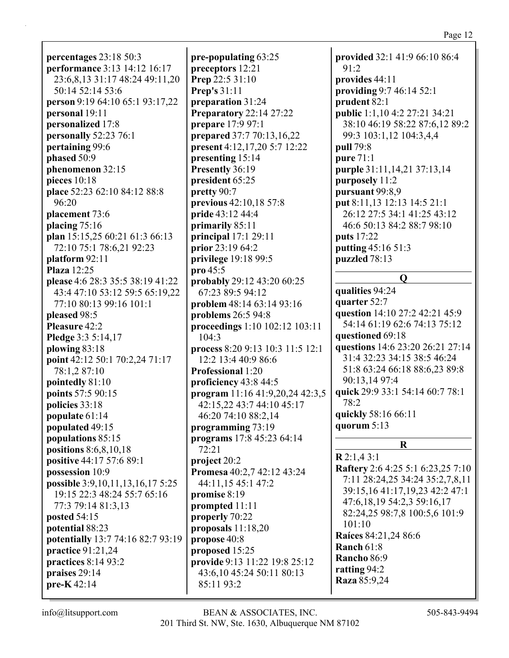**percentages** 23:18 50:3 **performance** 3:13 14:12 16:17 23:6,8,13 31:17 48:24 49:11,20 50:14 52:14 53:6 **person** 9:19 64:10 65:1 93:17,22 **personal** 19:11 **personalized** 17:8 **personally** 52:23 76:1 **pertaining** 99:6 **phased** 50:9 **phenomenon** 32:15 **pieces** 10:18 **place** 52:23 62:10 84:12 88:8 96:20 **placement** 73:6 **placing** 75:16 **plan** 15:15,25 60:21 61:3 66:13 72:10 75:1 78:6,21 92:23 **platform** 92:11 **Plaza** 12:25 **please** 4:6 28:3 35:5 38:19 41:22 43:4 47:10 53:12 59:5 65:19,22 77:10 80:13 99:16 101:1 **pleased** 98:5 **Pleasure** 42:2 **Pledge** 3:3 5:14,17 **plowing** 83:18 **point** 42:12 50:1 70:2,24 71:17 78:1,2 87:10 **pointedly** 81:10 **points** 57:5 90:15 **policies** 33:18 **populate** 61:14 **populated** 49:15 **populations** 85:15 **positions** 8:6,8,10,18 **positive** 44:17 57:6 89:1 **possession** 10:9 **possible** 3:9,10,11,13,16,17 5:25 19:15 22:3 48:24 55:7 65:16 77:3 79:14 81:3,13 **posted** 54:15 **potential** 88:23 **potentially** 13:7 74:16 82:7 93:19 **practice** 91:21,24 **practices** 8:14 93:2 **praises** 29:14 **pre-K** 42:14

**pre-populating** 63:25 **preceptors** 12:21 **Prep** 22:5 31:10 **Prep's** 31:11 **preparation** 31:24 **Preparatory** 22:14 27:22 **prepare** 17:9 97:1 **prepared** 37:7 70:13,16,22 **present** 4:12,17,20 5:7 12:22 **presenting** 15:14 **Presently** 36:19 **president** 65:25 **pretty** 90:7 **previous** 42:10,18 57:8 **pride** 43:12 44:4 **primarily** 85:11 **principal** 17:1 29:11 **prior** 23:19 64:2 **privilege** 19:18 99:5 **pro** 45:5 **probably** 29:12 43:20 60:25 67:23 89:5 94:12 **problem** 48:14 63:14 93:16 **problems** 26:5 94:8 **proceedings** 1:10 102:12 103:11 104:3 **process** 8:20 9:13 10:3 11:5 12:1 12:2 13:4 40:9 86:6 **Professional** 1:20 **proficiency** 43:8 44:5 **program** 11:16 41:9,20,24 42:3,5 42:15,22 43:7 44:10 45:17 46:20 74:10 88:2,14 **programming** 73:19 **programs** 17:8 45:23 64:14 72:21 **project** 20:2 **Promesa** 40:2,7 42:12 43:24 44:11,15 45:1 47:2 **promise** 8:19 **prompted** 11:11 **properly** 70:22 **proposals** 11:18,20 **propose** 40:8 **proposed** 15:25 **provide** 9:13 11:22 19:8 25:12 43:6,10 45:24 50:11 80:13 85:11 93:2

**provided** 32:1 41:9 66:10 86:4 91:2 **provides** 44:11 **providing** 9:7 46:14 52:1 **prudent** 82:1 **public** 1:1,10 4:2 27:21 34:21 38:10 46:19 58:22 87:6,12 89:2 99:3 103:1,12 104:3,4,4 **pull** 79:8 **pure** 71:1 **purple** 31:11,14,21 37:13,14 **purposely** 11:2 **pursuant** 99:8,9 **put** 8:11,13 12:13 14:5 21:1 26:12 27:5 34:1 41:25 43:12 46:6 50:13 84:2 88:7 98:10 **puts** 17:22 **putting** 45:16 51:3 **puzzled** 78:13 **Q qualities** 94:24 **quarter** 52:7 **question** 14:10 27:2 42:21 45:9 54:14 61:19 62:6 74:13 75:12 **questioned** 69:18 **questions** 14:6 23:20 26:21 27:14 31:4 32:23 34:15 38:5 46:24 51:8 63:24 66:18 88:6,23 89:8 90:13,14 97:4 **quick** 29:9 33:1 54:14 60:7 78:1 78:2 **quickly** 58:16 66:11 **quorum** 5:13 **R R** 2:1,4 3:1 **Raftery** 2:6 4:25 5:1 6:23,25 7:10 7:11 28:24,25 34:24 35:2,7,8,11 39:15,16 41:17,19,23 42:2 47:1 47:6,18,19 54:2,3 59:16,17 82:24,25 98:7,8 100:5,6 101:9 101:10 **Raíces** 84:21,24 86:6 **Ranch** 61:8

**Rancho** 86:9 **ratting** 94:2 **Raza** 85:9,24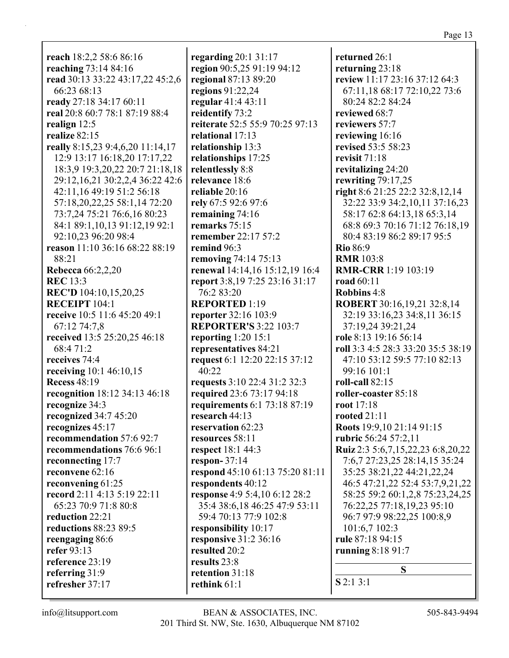**reach** 18:2,2 58:6 86:16 **reaching** 73:14 84:16 **read** 30:13 33:22 43:17,22 45:2,6 66:23 68:13 **ready** 27:18 34:17 60:11 **real** 20:8 60:7 78:1 87:19 88:4 **realign** 12:5 **realize** 82:15 **really** 8:15,23 9:4,6,20 11:14,17 12:9 13:17 16:18,20 17:17,22 18:3,9 19:3,20,22 20:7 21:18,18 29:12,16,21 30:2,2,4 36:22 42:6 42:11,16 49:19 51:2 56:18 57:18,20,22,25 58:1,14 72:20 73:7,24 75:21 76:6,16 80:23 84:1 89:1,10,13 91:12,19 92:1 92:10,23 96:20 98:4 **reason** 11:10 36:16 68:22 88:19 88:21 **Rebecca** 66:2,2,20 **REC** 13:3 **REC'D** 104:10,15,20,25 **RECEIPT** 104:1 **receive** 10:5 11:6 45:20 49:1 67:12 74:7,8 **received** 13:5 25:20,25 46:18 68:4 71:2 **receives** 74:4 **receiving** 10:1 46:10,15 **Recess** 48:19 **recognition** 18:12 34:13 46:18 **recognize** 34:3 **recognized** 34:7 45:20 **recognizes** 45:17 **recommendation** 57:6 92:7 **recommendations** 76:6 96:1 **reconnecting** 17:7 **reconvene** 62:16 **reconvening** 61:25 **record** 2:11 4:13 5:19 22:11 65:23 70:9 71:8 80:8 **reduction** 22:21 **reductions** 88:23 89:5 **reengaging** 86:6 **refer** 93:13 **reference** 23:19 **referring** 31:9 **refresher** 37:17

**regarding** 20:1 31:17 **region** 90:5,25 91:19 94:12 **regional** 87:13 89:20 **regions** 91:22,24 **regular** 41:4 43:11 **reidentify** 73:2 **reiterate** 52:5 55:9 70:25 97:13 **relational** 17:13 **relationship** 13:3 **relationships** 17:25 **relentlessly** 8:8 **relevance** 18:6 **reliable** 20:16 **rely** 67:5 92:6 97:6 **remaining** 74:16 **remarks** 75:15 **remember** 22:17 57:2 **remind** 96:3 **removing** 74:14 75:13 **renewal** 14:14,16 15:12,19 16:4 **report** 3:8,19 7:25 23:16 31:17 76:2 83:20 **REPORTED** 1:19 **reporter** 32:16 103:9 **REPORTER'S** 3:22 103:7 **reporting** 1:20 15:1 **representatives** 84:21 **request** 6:1 12:20 22:15 37:12 40:22 **requests** 3:10 22:4 31:2 32:3 **required** 23:6 73:17 94:18 **requirements** 6:1 73:18 87:19 **research** 44:13 **reservation** 62:23 **resources** 58:11 **respect** 18:1 44:3 **respon-** 37:14 **respond** 45:10 61:13 75:20 81:11 **respondents** 40:12 **response** 4:9 5:4,10 6:12 28:2 35:4 38:6,18 46:25 47:9 53:11 59:4 70:13 77:9 102:8 **responsibility** 10:17 **responsive** 31:2 36:16 **resulted** 20:2 **results** 23:8 **retention** 31:18 **rethink** 61:1

**returned** 26:1 **returning** 23:18 **review** 11:17 23:16 37:12 64:3 67:11,18 68:17 72:10,22 73:6 80:24 82:2 84:24 **reviewed** 68:7 **reviewers** 57:7 **reviewing** 16:16 **revised** 53:5 58:23 **revisit** 71:18 **revitalizing** 24:20 **rewriting** 79:17,25 **right** 8:6 21:25 22:2 32:8,12,14 32:22 33:9 34:2,10,11 37:16,23 58:17 62:8 64:13,18 65:3,14 68:8 69:3 70:16 71:12 76:18,19 80:4 83:19 86:2 89:17 95:5 **Rio** 86:9 **RMR** 103:8 **RMR-CRR** 1:19 103:19 **road** 60:11 **Robbins** 4:8 **ROBERT** 30:16,19,21 32:8,14 32:19 33:16,23 34:8,11 36:15 37:19,24 39:21,24 **role** 8:13 19:16 56:14 **roll** 3:3 4:5 28:3 33:20 35:5 38:19 47:10 53:12 59:5 77:10 82:13 99:16 101:1 **roll-call** 82:15 **roller-coaster** 85:18 **root** 17:18 **rooted** 21:11 **Roots** 19:9,10 21:14 91:15 **rubric** 56:24 57:2,11 **Ruiz** 2:3 5:6,7,15,22,23 6:8,20,22 7:6,7 27:23,25 28:14,15 35:24 35:25 38:21,22 44:21,22,24 46:5 47:21,22 52:4 53:7,9,21,22 58:25 59:2 60:1,2,8 75:23,24,25 76:22,25 77:18,19,23 95:10 96:7 97:9 98:22,25 100:8,9 101:6,7 102:3 **rule** 87:18 94:15 **running** 8:18 91:7 **S S** 2:1 3:1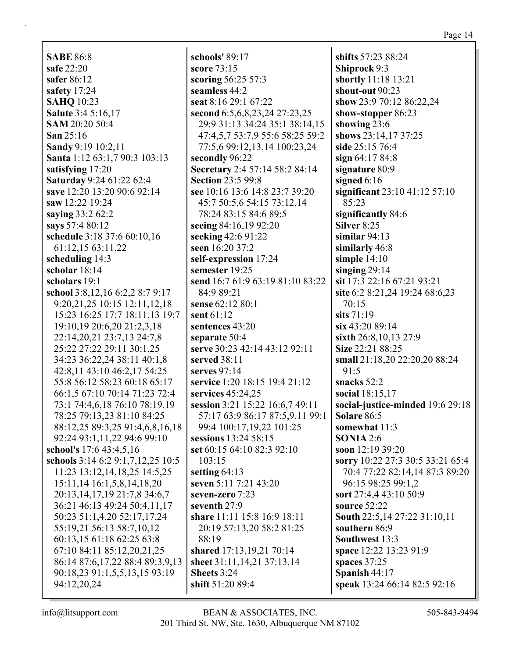**SABE** 86:8 **safe** 22:20 **safer** 86:12 **safety** 17:24 **SAHQ** 10:23 **Salute** 3:4 5:16,17 **SAM** 20:20 50:4 **San** 25:16 **Sandy** 9:19 10:2,11 **Santa** 1:12 63:1,7 90:3 103:13 **satisfying** 17:20 **Saturday** 9:24 61:22 62:4 **save** 12:20 13:20 90:6 92:14 **saw** 12:22 19:24 **saying** 33:2 62:2 **says** 57:4 80:12 **schedule** 3:18 37:6 60:10,16 61:12,15 63:11,22 **scheduling** 14:3 **scholar** 18:14 **scholars** 19:1 **school** 3:8,12,16 6:2,2 8:7 9:17 9:20,21,25 10:15 12:11,12,18 15:23 16:25 17:7 18:11,13 19:7 19:10,19 20:6,20 21:2,3,18 22:14,20,21 23:7,13 24:7,8 25:22 27:22 29:11 30:1,25 34:23 36:22,24 38:11 40:1,8 42:8,11 43:10 46:2,17 54:25 55:8 56:12 58:23 60:18 65:17 66:1,5 67:10 70:14 71:23 72:4 73:1 74:4,6,18 76:10 78:19,19 78:25 79:13,23 81:10 84:25 88:12,25 89:3,25 91:4,6,8,16,18 92:24 93:1,11,22 94:6 99:10 **school's** 17:6 43:4,5,16 **schools** 3:14 6:2 9:1,7,12,25 10:5 11:23 13:12,14,18,25 14:5,25 15:11,14 16:1,5,8,14,18,20 20:13,14,17,19 21:7,8 34:6,7 36:21 46:13 49:24 50:4,11,17 50:23 51:1,4,20 52:17,17,24 55:19,21 56:13 58:7,10,12 60:13,15 61:18 62:25 63:8 67:10 84:11 85:12,20,21,25 86:14 87:6,17,22 88:4 89:3,9,13 90:18,23 91:1,5,5,13,15 93:19

**schools'** 89:17 **score** 73:15 **scoring** 56:25 57:3 **seamless** 44:2 **seat** 8:16 29:1 67:22 **second** 6:5,6,8,23,24 27:23,25 29:9 31:13 34:24 35:1 38:14,15 47:4,5,7 53:7,9 55:6 58:25 59:2 77:5,6 99:12,13,14 100:23,24 **secondly** 96:22 **Secretary** 2:4 57:14 58:2 84:14 **Section** 23:5 99:8 **see** 10:16 13:6 14:8 23:7 39:20 45:7 50:5,6 54:15 73:12,14 78:24 83:15 84:6 89:5 **seeing** 84:16,19 92:20 **seeking** 42:6 91:22 **seen** 16:20 37:2 **self-expression** 17:24 **semester** 19:25 **send** 16:7 61:9 63:19 81:10 83:22 84:9 89:21 **sense** 62:12 80:1 **sent** 61:12 **sentences** 43:20 **separate** 50:4 **serve** 30:23 42:14 43:12 92:11 **served** 38:11 **serves** 97:14 **service** 1:20 18:15 19:4 21:12 **services** 45:24,25 **session** 3:21 15:22 16:6,7 49:11 57:17 63:9 86:17 87:5,9,11 99:1 99:4 100:17,19,22 101:25 **sessions** 13:24 58:15 **set** 60:15 64:10 82:3 92:10 103:15 **setting** 64:13 **seven** 5:11 7:21 43:20 **seven-zero** 7:23 **seventh** 27:9 **share** 11:11 15:8 16:9 18:11 20:19 57:13,20 58:2 81:25 88:19 **shared** 17:13,19,21 70:14 **sheet** 31:11,14,21 37:13,14 **Sheets** 3:24 **shift** 51:20 89:4

**shifts** 57:23 88:24 **Shiprock** 9:3 **shortly** 11:18 13:21 **shout-out** 90:23 **show** 23:9 70:12 86:22,24 **show-stopper** 86:23 **showing** 23:6 **shows** 23:14,17 37:25 **side** 25:15 76:4 **sign** 64:17 84:8 **signature** 80:9 **signed** 6:16 **significant** 23:10 41:12 57:10 85:23 **significantly** 84:6 **Silver** 8:25 **similar** 94:13 **similarly** 46:8 **simple** 14:10 **singing** 29:14 **sit** 17:3 22:16 67:21 93:21 **site** 6:2 8:21,24 19:24 68:6,23 70:15 **sits** 71:19 **six** 43:20 89:14 **sixth** 26:8,10,13 27:9 **Size** 22:21 88:25 **small** 21:18,20 22:20,20 88:24 91:5 **snacks** 52:2 **social** 18:15,17 **social-justice-minded** 19:6 29:18 **Solare** 86:5 **somewhat** 11:3 **SONIA** 2:6 **soon** 12:19 39:20 **sorry** 10:22 27:3 30:5 33:21 65:4 70:4 77:22 82:14,14 87:3 89:20 96:15 98:25 99:1,2 **sort** 27:4,4 43:10 50:9 **source** 52:22 **South** 22:5,14 27:22 31:10,11 **southern** 86:9 **Southwest** 13:3 **space** 12:22 13:23 91:9 **spaces** 37:25 **Spanish** 44:17 **speak** 13:24 66:14 82:5 92:16

94:12,20,24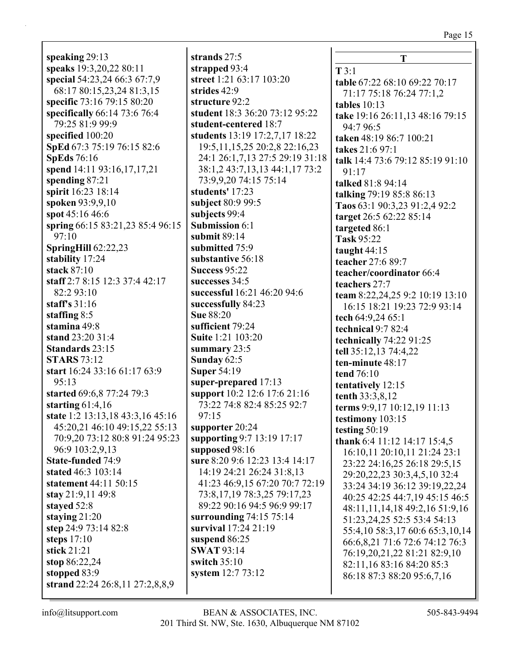**speaking** 29:13 **speaks** 19:3,20,22 80:11 **special** 54:23,24 66:3 67:7,9 68:17 80:15,23,24 81:3,15 **specific** 73:16 79:15 80:20 **specifically** 66:14 73:6 76:4 79:25 81:9 99:9 **specified** 100:20 **SpEd** 67:3 75:19 76:15 82:6 **SpEds** 76:16 **spend** 14:11 93:16,17,17,21 **spending** 87:21 **spirit** 16:23 18:14 **spoken** 93:9,9,10 **spot** 45:16 46:6 **spring** 66:15 83:21,23 85:4 96:15 97:10 **SpringHill** 62:22,23 **stability** 17:24 **stack** 87:10 **staff** 2:7 8:15 12:3 37:4 42:17 82:2 93:10 **staff's** 31:16 **staffing** 8:5 **stamina** 49:8 **stand** 23:20 31:4 **Standards** 23:15 **STARS** 73:12 **start** 16:24 33:16 61:17 63:9 95:13 **started** 69:6,8 77:24 79:3 **starting** 61:4,16 **state** 1:2 13:13,18 43:3,16 45:16 45:20,21 46:10 49:15,22 55:13 70:9,20 73:12 80:8 91:24 95:23 96:9 103:2,9,13 **State-funded** 74:9 **stated** 46:3 103:14 **statement** 44:11 50:15 **stay** 21:9,11 49:8 **stayed** 52:8 **staying** 21:20 **step** 24:9 73:14 82:8 **steps** 17:10 **stick** 21:21 **stop** 86:22,24

**strands** 27:5 **strapped** 93:4 **street** 1:21 63:17 103:20 **strides** 42:9 **structure** 92:2 **student** 18:3 36:20 73:12 95:22 **student-centered** 18:7 **students** 13:19 17:2,7,17 18:22 19:5,11,15,25 20:2,8 22:16,23 24:1 26:1,7,13 27:5 29:19 31:18 38:1,2 43:7,13,13 44:1,17 73:2 73:9,9,20 74:15 75:14 **students'** 17:23 **subject** 80:9 99:5 **subjects** 99:4 **Submission** 6:1 **submit** 89:14 **submitted** 75:9 **substantive** 56:18 **Success** 95:22 **successes** 34:5 **successful** 16:21 46:20 94:6 **successfully** 84:23 **Sue** 88:20 **sufficient** 79:24 **Suite** 1:21 103:20 **summary** 23:5 **Sunday** 62:5 **Super** 54:19 **super-prepared** 17:13 **support** 10:2 12:6 17:6 21:16 73:22 74:8 82:4 85:25 92:7 97:15 **supporter** 20:24 **supporting** 9:7 13:19 17:17 **supposed** 98:16 **sure** 8:20 9:6 12:23 13:4 14:17 14:19 24:21 26:24 31:8,13 41:23 46:9,15 67:20 70:7 72:19 73:8,17,19 78:3,25 79:17,23 89:22 90:16 94:5 96:9 99:17 **surrounding** 74:15 75:14 **survival** 17:24 21:19 **suspend** 86:25 **SWAT** 93:14 **switch** 35:10 **system** 12:7 73:12

**T T** 3:1 **table** 67:22 68:10 69:22 70:17 71:17 75:18 76:24 77:1,2 **tables** 10:13 **take** 19:16 26:11,13 48:16 79:15 94:7 96:5 **taken** 48:19 86:7 100:21 **takes** 21:6 97:1 **talk** 14:4 73:6 79:12 85:19 91:10 91:17 **talked** 81:8 94:14 **talking** 79:19 85:8 86:13 **Taos** 63:1 90:3,23 91:2,4 92:2 **target** 26:5 62:22 85:14 **targeted** 86:1 **Task** 95:22 **taught** 44:15 **teacher** 27:6 89:7 **teacher/coordinator** 66:4 **teachers** 27:7 **team** 8:22,24,25 9:2 10:19 13:10 16:15 18:21 19:23 72:9 93:14 **tech** 64:9,24 65:1 **technical** 9:7 82:4 **technically** 74:22 91:25 **tell** 35:12,13 74:4,22 **ten-minute** 48:17 **tend** 76:10 **tentatively** 12:15 **tenth** 33:3,8,12 **terms** 9:9,17 10:12,19 11:13 **testimony** 103:15 **testing** 50:19 **thank** 6:4 11:12 14:17 15:4,5 16:10,11 20:10,11 21:24 23:1 23:22 24:16,25 26:18 29:5,15 29:20,22,23 30:3,4,5,10 32:4 33:24 34:19 36:12 39:19,22,24 40:25 42:25 44:7,19 45:15 46:5 48:11,11,14,18 49:2,16 51:9,16 51:23,24,25 52:5 53:4 54:13 55:4,10 58:3,17 60:6 65:3,10,14 66:6,8,21 71:6 72:6 74:12 76:3 76:19,20,21,22 81:21 82:9,10 82:11,16 83:16 84:20 85:3 86:18 87:3 88:20 95:6,7,16

**strand** 22:24 26:8,11 27:2,8,8,9

**stopped** 83:9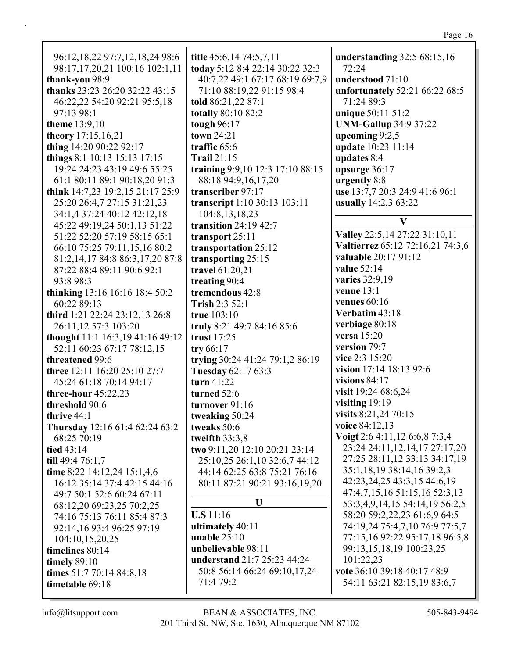| 96:12, 18, 22 97: 7, 12, 18, 24 98: 6<br>98:17,17,20,21 100:16 102:1,11<br>thank-you 98:9<br>thanks 23:23 26:20 32:22 43:15<br>46:22,22 54:20 92:21 95:5,18 | title 45:6,14 74:5,7,11<br>today 5:12 8:4 22:14 30:22 32:3<br>40:7,22 49:1 67:17 68:19 69:7,9<br>71:10 88:19,22 91:15 98:4<br>told 86:21,22 87:1 | understanding 32:5 68:15,16<br>72:24<br>understood 71:10<br>unfortunately 52:21 66:22 68:5<br>71:24 89:3 |
|-------------------------------------------------------------------------------------------------------------------------------------------------------------|--------------------------------------------------------------------------------------------------------------------------------------------------|----------------------------------------------------------------------------------------------------------|
| 97:13 98:1                                                                                                                                                  | totally 80:10 82:2                                                                                                                               | unique 50:11 51:2                                                                                        |
| <b>theme</b> 13:9,10<br>theory 17:15,16,21                                                                                                                  | tough 96:17<br>town 24:21                                                                                                                        | <b>UNM-Gallup 34:9 37:22</b><br>upcoming $9:2,5$                                                         |
| thing 14:20 90:22 92:17                                                                                                                                     | traffic 65:6                                                                                                                                     | update 10:23 11:14                                                                                       |
| things 8:1 10:13 15:13 17:15                                                                                                                                | <b>Trail 21:15</b>                                                                                                                               | updates 8:4                                                                                              |
| 19:24 24:23 43:19 49:6 55:25<br>61:1 80:11 89:1 90:18,20 91:3                                                                                               | training 9:9,10 12:3 17:10 88:15<br>88:18 94:9,16,17,20                                                                                          | upsurge 36:17<br>urgently 8:8                                                                            |
| think 14:7,23 19:2,15 21:17 25:9                                                                                                                            | transcriber 97:17                                                                                                                                | use 13:7,7 20:3 24:9 41:6 96:1                                                                           |
| 25:20 26:4,7 27:15 31:21,23                                                                                                                                 | transcript 1:10 30:13 103:11                                                                                                                     | usually 14:2,3 63:22                                                                                     |
| 34:1,4 37:24 40:12 42:12,18                                                                                                                                 | 104:8, 13, 18, 23                                                                                                                                | V                                                                                                        |
| 45:22 49:19,24 50:1,13 51:22                                                                                                                                | transition $24:19$ $42:7$                                                                                                                        | Valley 22:5, 14 27:22 31:10, 11                                                                          |
| 51:22 52:20 57:19 58:15 65:1<br>66:10 75:25 79:11,15,16 80:2                                                                                                | transport $25:11$<br>transportation 25:12                                                                                                        | Valtierrez 65:12 72:16,21 74:3,6                                                                         |
| 81:2,14,17 84:8 86:3,17,20 87:8                                                                                                                             | transporting 25:15                                                                                                                               | valuable 20:17 91:12                                                                                     |
| 87:22 88:4 89:11 90:6 92:1                                                                                                                                  | travel 61:20,21                                                                                                                                  | value 52:14                                                                                              |
| 93:8 98:3                                                                                                                                                   | treating 90:4                                                                                                                                    | varies 32:9,19                                                                                           |
| thinking 13:16 16:16 18:4 50:2                                                                                                                              | tremendous 42:8                                                                                                                                  | venue $13:1$<br>venues $60:16$                                                                           |
| 60:22 89:13<br>third 1:21 22:24 23:12,13 26:8                                                                                                               | Trish 2:3 52:1<br>true $103:10$                                                                                                                  | Verbatim 43:18                                                                                           |
| 26:11,12 57:3 103:20                                                                                                                                        | truly 8:21 49:7 84:16 85:6                                                                                                                       | verbiage 80:18                                                                                           |
| thought 11:1 16:3,19 41:16 49:12                                                                                                                            | trust 17:25                                                                                                                                      | versa 15:20                                                                                              |
| 52:11 60:23 67:17 78:12,15                                                                                                                                  | try $66:17$                                                                                                                                      | version 79:7                                                                                             |
| threatened 99:6                                                                                                                                             | trying 30:24 41:24 79:1,2 86:19                                                                                                                  | vice 2:3 15:20                                                                                           |
| <b>three</b> 12:11 16:20 25:10 27:7                                                                                                                         | Tuesday 62:17 63:3                                                                                                                               | vision 17:14 18:13 92:6                                                                                  |
| 45:24 61:18 70:14 94:17                                                                                                                                     | turn 41:22                                                                                                                                       | visions $84:17$<br>visit 19:24 68:6,24                                                                   |
| three-hour $45:22,23$<br>threshold 90:6                                                                                                                     | turned 52:6<br>turnover 91:16                                                                                                                    | visiting $19:19$                                                                                         |
| thrive $44:1$                                                                                                                                               | tweaking 50:24                                                                                                                                   | visits 8:21,24 70:15                                                                                     |
| Thursday 12:16 61:4 62:24 63:2                                                                                                                              | tweaks 50:6                                                                                                                                      | voice 84:12,13                                                                                           |
| 68:25 70:19                                                                                                                                                 | twelfth 33:3,8                                                                                                                                   | Voigt 2:6 4:11,12 6:6,8 7:3,4                                                                            |
| tied $43:14$                                                                                                                                                | two 9:11,20 12:10 20:21 23:14                                                                                                                    | 23:24 24:11,12,14,17 27:17,20                                                                            |
| till 49:4 $76:1,7$                                                                                                                                          | 25:10,25 26:1,10 32:6,7 44:12                                                                                                                    | 27:25 28:11,12 33:13 34:17,19<br>35:1,18,19 38:14,16 39:2,3                                              |
| time 8:22 14:12,24 15:1,4,6<br>16:12 35:14 37:4 42:15 44:16                                                                                                 | 44:14 62:25 63:8 75:21 76:16<br>80:11 87:21 90:21 93:16,19,20                                                                                    | 42:23,24,25 43:3,15 44:6,19                                                                              |
| 49:7 50:1 52:6 60:24 67:11                                                                                                                                  |                                                                                                                                                  | 47:4,7,15,16 51:15,16 52:3,13                                                                            |
| 68:12,20 69:23,25 70:2,25                                                                                                                                   | U                                                                                                                                                | 53:3,4,9,14,15 54:14,19 56:2,5                                                                           |
| 74:16 75:13 76:11 85:4 87:3                                                                                                                                 | $U.S 11:16$                                                                                                                                      | 58:20 59:2,22,23 61:6,9 64:5                                                                             |
| 92:14,16 93:4 96:25 97:19                                                                                                                                   | ultimately 40:11                                                                                                                                 | 74:19,24 75:4,7,10 76:9 77:5,7                                                                           |
| 104:10,15,20,25                                                                                                                                             | unable $25:10$<br>unbelievable 98:11                                                                                                             | 77:15,16 92:22 95:17,18 96:5,8<br>99:13,15,18,19 100:23,25                                               |
| timelines 80:14<br>timely $89:10$                                                                                                                           | understand 21:7 25:23 44:24                                                                                                                      | 101:22,23                                                                                                |
| times 51:7 70:14 84:8,18                                                                                                                                    | 50:8 56:14 66:24 69:10,17,24                                                                                                                     | vote 36:10 39:18 40:17 48:9                                                                              |
| timetable 69:18                                                                                                                                             | 71:4 79:2                                                                                                                                        | 54:11 63:21 82:15,19 83:6,7                                                                              |
|                                                                                                                                                             |                                                                                                                                                  |                                                                                                          |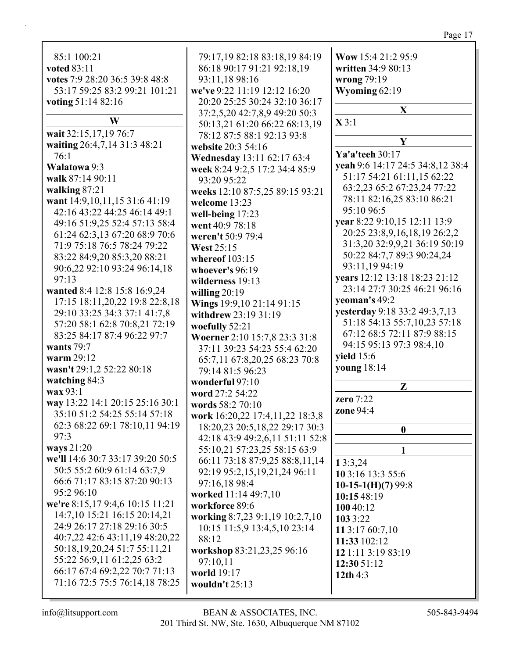# Page 17

| 85:1 100:21                                                     | 79:17,19 82:18 83:18,19 84:19   | Wow 15:4 21:2 95:9               |
|-----------------------------------------------------------------|---------------------------------|----------------------------------|
| voted 83:11                                                     | 86:18 90:17 91:21 92:18,19      | written 34:9 80:13               |
| votes 7:9 28:20 36:5 39:8 48:8                                  | 93:11,18 98:16                  | wrong 79:19                      |
| 53:17 59:25 83:2 99:21 101:21                                   | we've 9:22 11:19 12:12 16:20    | Wyoming 62:19                    |
| voting 51:14 82:16                                              | 20:20 25:25 30:24 32:10 36:17   |                                  |
|                                                                 | 37:2,5,20 42:7,8,9 49:20 50:3   | $\mathbf X$                      |
| W                                                               | 50:13,21 61:20 66:22 68:13,19   | $\mathbf{X}$ 3:1                 |
| wait 32:15,17,19 76:7                                           | 78:12 87:5 88:1 92:13 93:8      |                                  |
| waiting 26:4,7,14 31:3 48:21                                    | website 20:3 54:16              | Y                                |
| 76:1                                                            | Wednesday 13:11 62:17 63:4      | Ya'a'teeh 30:17                  |
| Walatowa 9:3                                                    | week 8:24 9:2,5 17:2 34:4 85:9  | yeah 9:6 14:17 24:5 34:8,12 38:4 |
| walk 87:14 90:11                                                | 93:20 95:22                     | 51:17 54:21 61:11,15 62:22       |
| walking 87:21                                                   | weeks 12:10 87:5,25 89:15 93:21 | 63:2,23 65:2 67:23,24 77:22      |
| want 14:9,10,11,15 31:6 41:19                                   | welcome 13:23                   | 78:11 82:16,25 83:10 86:21       |
| 42:16 43:22 44:25 46:14 49:1                                    | well-being 17:23                | 95:10 96:5                       |
| 49:16 51:9,25 52:4 57:13 58:4                                   | went 40:9 78:18                 | year 8:22 9:10,15 12:11 13:9     |
| 61:24 62:3,13 67:20 68:9 70:6                                   | weren't 50:9 79:4               | 20:25 23:8,9,16,18,19 26:2,2     |
| 71:9 75:18 76:5 78:24 79:22                                     | <b>West 25:15</b>               | 31:3,20 32:9,9,21 36:19 50:19    |
| 83:22 84:9,20 85:3,20 88:21                                     |                                 | 50:22 84:7,7 89:3 90:24,24       |
| 90:6,22 92:10 93:24 96:14,18                                    | whereof $103:15$                | 93:11,19 94:19                   |
| 97:13                                                           | whoever's 96:19                 | years 12:12 13:18 18:23 21:12    |
| wanted 8:4 12:8 15:8 16:9,24                                    | wilderness 19:13                | 23:14 27:7 30:25 46:21 96:16     |
| 17:15 18:11,20,22 19:8 22:8,18                                  | willing $20:19$                 | yeoman's 49:2                    |
| 29:10 33:25 34:3 37:1 41:7,8                                    | Wings 19:9,10 21:14 91:15       | yesterday 9:18 33:2 49:3,7,13    |
| 57:20 58:1 62:8 70:8,21 72:19                                   | withdrew 23:19 31:19            | 51:18 54:13 55:7,10,23 57:18     |
| 83:25 84:17 87:4 96:22 97:7                                     | woefully 52:21                  | 67:12 68:5 72:11 87:9 88:15      |
| wants $79:7$                                                    | Woerner 2:10 15:7,8 23:3 31:8   | 94:15 95:13 97:3 98:4,10         |
| warm 29:12                                                      | 37:11 39:23 54:23 55:4 62:20    | <b>yield</b> 15:6                |
| wasn't 29:1,2 52:22 80:18                                       | 65:7,11 67:8,20,25 68:23 70:8   | young 18:14                      |
| watching 84:3                                                   | 79:14 81:5 96:23                |                                  |
| wax 93:1                                                        | wonderful 97:10                 | $\mathbf{Z}$                     |
|                                                                 | word 27:2 54:22                 | zero 7:22                        |
| way 13:22 14:1 20:15 25:16 30:1<br>35:10 51:2 54:25 55:14 57:18 | words 58:2 70:10                | zone 94:4                        |
|                                                                 | work 16:20,22 17:4,11,22 18:3,8 |                                  |
| 62:3 68:22 69:1 78:10,11 94:19<br>97:3                          | 18:20,23 20:5,18,22 29:17 30:3  | $\boldsymbol{0}$                 |
| ways 21:20                                                      | 42:18 43:9 49:2,6,11 51:11 52:8 |                                  |
| we'll 14:6 30:7 33:17 39:20 50:5                                | 55:10,21 57:23,25 58:15 63:9    | 1                                |
|                                                                 | 66:11 73:18 87:9,25 88:8,11,14  | 13:3,24                          |
| 50:5 55:2 60:9 61:14 63:7,9                                     | 92:19 95:2,15,19,21,24 96:11    | 10 3:16 13:3 55:6                |
| 66:6 71:17 83:15 87:20 90:13                                    | 97:16,18 98:4                   | 10-15-1(H)(7) $99:8$             |
| 95:2 96:10                                                      | worked 11:14 49:7,10            | 10:15 48:19                      |
| we're 8:15,17 9:4,6 10:15 11:21                                 | workforce 89:6                  | 100 40:12                        |
| 14:7,10 15:21 16:15 20:14,21                                    | working 8:7,23 9:1,19 10:2,7,10 | 103 3:22                         |
| 24:9 26:17 27:18 29:16 30:5                                     | 10:15 11:5,9 13:4,5,10 23:14    | 11 3:17 60:7,10                  |
| 40:7,22 42:6 43:11,19 48:20,22                                  | 88:12                           | 11:33 102:12                     |
| 50:18, 19, 20, 24 51:7 55:11, 21                                | workshop 83:21,23,25 96:16      | 12 1:11 3:19 83:19               |
| 55:22 56:9,11 61:2,25 63:2                                      | 97:10,11                        | 12:30 51:12                      |
| 66:17 67:4 69:2,22 70:7 71:13                                   | world 19:17                     | 12th $4:3$                       |
| 71:16 72:5 75:5 76:14,18 78:25                                  | wouldn't 25:13                  |                                  |
|                                                                 |                                 |                                  |